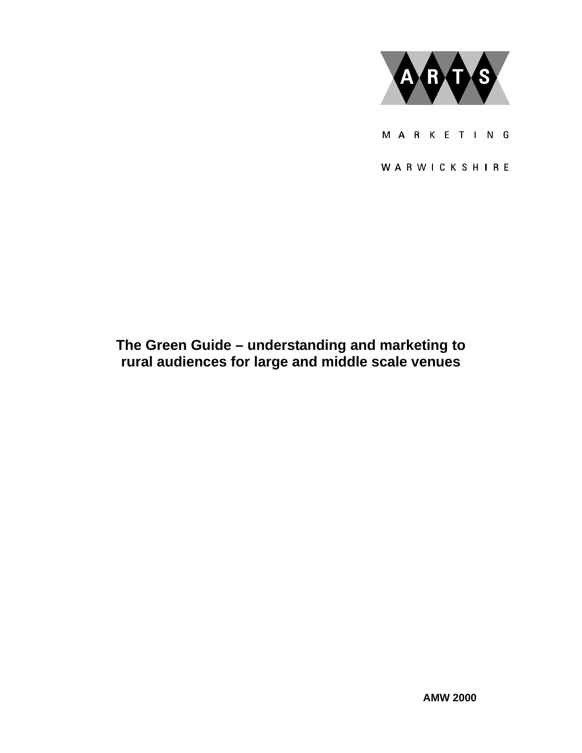

M A R K E T I N G

WARWICKSHIRE

# **The Green Guide – understanding and marketing to rural audiences for large and middle scale venues**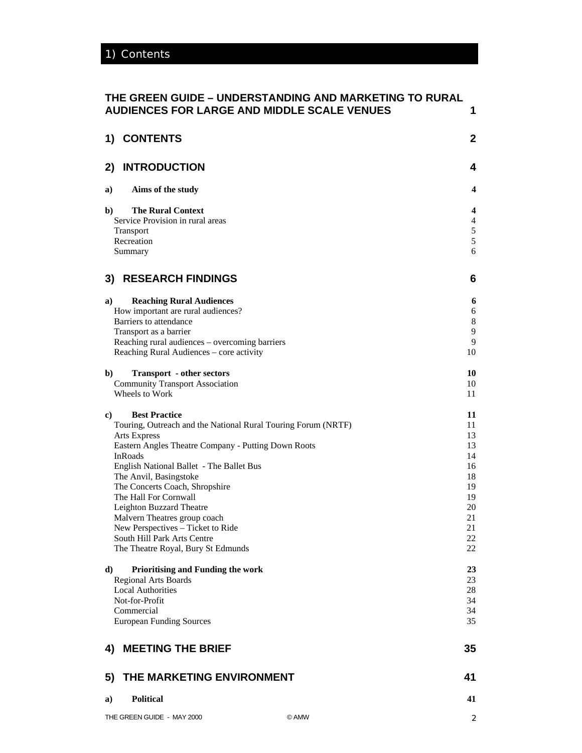# **THE GREEN GUIDE – UNDERSTANDING AND MARKETING TO RURAL AUDIENCES FOR LARGE AND MIDDLE SCALE VENUES 1**

| 1) CONTENTS                                                                                |                                                               | $\boldsymbol{2}$ |
|--------------------------------------------------------------------------------------------|---------------------------------------------------------------|------------------|
| <b>INTRODUCTION</b><br>2)                                                                  |                                                               | 4                |
| Aims of the study<br>a)                                                                    |                                                               | 4                |
| <b>The Rural Context</b><br>b)                                                             |                                                               | 4                |
| Service Provision in rural areas                                                           |                                                               | $\overline{4}$   |
| <b>Transport</b>                                                                           |                                                               | $\mathfrak s$    |
| Recreation                                                                                 |                                                               | 5                |
| Summary                                                                                    |                                                               | 6                |
| <b>RESEARCH FINDINGS</b><br>3)                                                             |                                                               | 6                |
| <b>Reaching Rural Audiences</b><br>a)                                                      |                                                               | 6                |
| How important are rural audiences?                                                         |                                                               | 6                |
| Barriers to attendance                                                                     |                                                               | $\,8\,$          |
| Transport as a barrier                                                                     |                                                               | 9                |
| Reaching rural audiences - overcoming barriers<br>Reaching Rural Audiences - core activity |                                                               | 9<br>10          |
|                                                                                            |                                                               |                  |
| $\mathbf{b}$<br><b>Transport</b> - other sectors                                           |                                                               | 10               |
| <b>Community Transport Association</b><br>Wheels to Work                                   |                                                               | 10               |
|                                                                                            |                                                               | 11               |
| <b>Best Practice</b><br>c)                                                                 |                                                               | 11               |
|                                                                                            | Touring, Outreach and the National Rural Touring Forum (NRTF) | 11               |
| <b>Arts Express</b>                                                                        |                                                               | 13               |
| Eastern Angles Theatre Company - Putting Down Roots<br>InRoads                             |                                                               | 13               |
| English National Ballet - The Ballet Bus                                                   |                                                               | 14<br>16         |
| The Anvil, Basingstoke                                                                     |                                                               | 18               |
| The Concerts Coach, Shropshire                                                             |                                                               | 19               |
| The Hall For Cornwall                                                                      |                                                               | 19               |
| Leighton Buzzard Theatre                                                                   |                                                               | 20               |
| Malvern Theatres group coach                                                               |                                                               | 21               |
| New Perspectives - Ticket to Ride<br>South Hill Park Arts Centre                           |                                                               | 21<br>22         |
| The Theatre Royal, Bury St Edmunds                                                         |                                                               | 22               |
|                                                                                            |                                                               |                  |
| Prioritising and Funding the work<br>d)                                                    |                                                               | 23               |
| <b>Regional Arts Boards</b>                                                                |                                                               | 23               |
| <b>Local Authorities</b>                                                                   |                                                               | 28               |
| Not-for-Profit<br>Commercial                                                               |                                                               | 34<br>34         |
| <b>European Funding Sources</b>                                                            |                                                               | 35               |
| 4) MEETING THE BRIEF                                                                       |                                                               | 35               |
|                                                                                            |                                                               |                  |
| THE MARKETING ENVIRONMENT<br>5)                                                            |                                                               | 41               |
| <b>Political</b><br>a)                                                                     |                                                               | 41               |
| THE GREEN GUIDE - MAY 2000                                                                 | © AMW                                                         | 2                |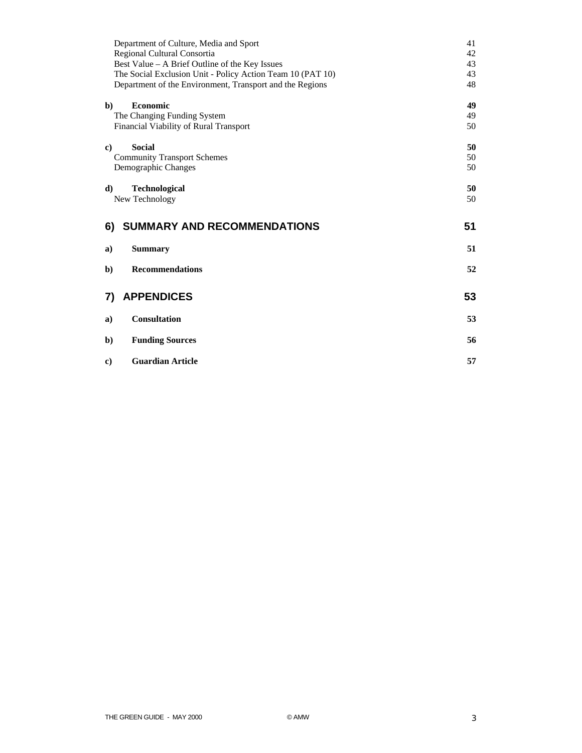| Department of Culture, Media and Sport<br>Regional Cultural Consortia | 41<br>42 |
|-----------------------------------------------------------------------|----------|
| Best Value - A Brief Outline of the Key Issues                        | 43       |
| The Social Exclusion Unit - Policy Action Team 10 (PAT 10)            | 43       |
| Department of the Environment, Transport and the Regions              | 48       |
| $\mathbf{b}$<br>Economic                                              | 49       |
| The Changing Funding System                                           | 49       |
| Financial Viability of Rural Transport                                | 50       |
| <b>Social</b><br>c)                                                   | 50       |
| <b>Community Transport Schemes</b>                                    | 50       |
| Demographic Changes                                                   | 50       |
| <b>Technological</b><br>d)                                            | 50       |
| New Technology                                                        | 50       |
|                                                                       |          |
|                                                                       |          |
| SUMMARY AND RECOMMENDATIONS<br>6)                                     | 51       |
| <b>Summary</b><br>a)                                                  | 51       |
|                                                                       |          |
| <b>Recommendations</b><br>b)                                          | 52       |
|                                                                       |          |
| <b>APPENDICES</b><br>7)                                               | 53       |
| <b>Consultation</b><br>a)                                             | 53       |
|                                                                       |          |
| <b>Funding Sources</b><br>b)                                          | 56       |
| <b>Guardian Article</b><br>$\bf c)$                                   | 57       |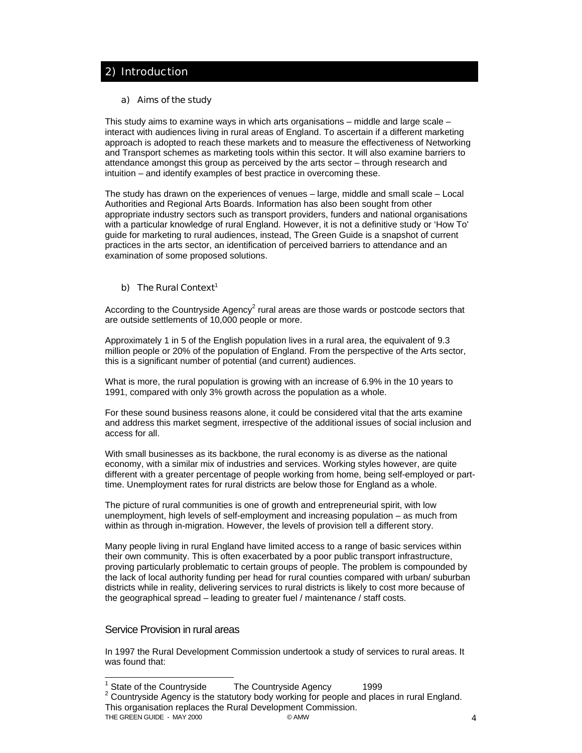# 2) Introduction

### a) Aims of the study

This study aims to examine ways in which arts organisations – middle and large scale – interact with audiences living in rural areas of England. To ascertain if a different marketing approach is adopted to reach these markets and to measure the effectiveness of Networking and Transport schemes as marketing tools within this sector. It will also examine barriers to attendance amongst this group as perceived by the arts sector – through research and intuition – and identify examples of best practice in overcoming these.

The study has drawn on the experiences of venues – large, middle and small scale – Local Authorities and Regional Arts Boards. Information has also been sought from other appropriate industry sectors such as transport providers, funders and national organisations with a particular knowledge of rural England. However, it is not a definitive study or 'How To' guide for marketing to rural audiences, instead, The Green Guide is a snapshot of current practices in the arts sector, an identification of perceived barriers to attendance and an examination of some proposed solutions.

# b) The Rural Context<sup>1</sup>

According to the Countryside Agency<sup>2</sup> rural areas are those wards or postcode sectors that are outside settlements of 10,000 people or more.

Approximately 1 in 5 of the English population lives in a rural area, the equivalent of 9.3 million people or 20% of the population of England. From the perspective of the Arts sector, this is a significant number of potential (and current) audiences.

What is more, the rural population is growing with an increase of 6.9% in the 10 years to 1991, compared with only 3% growth across the population as a whole.

For these sound business reasons alone, it could be considered vital that the arts examine and address this market segment, irrespective of the additional issues of social inclusion and access for all.

With small businesses as its backbone, the rural economy is as diverse as the national economy, with a similar mix of industries and services. Working styles however, are quite different with a greater percentage of people working from home, being self-employed or parttime. Unemployment rates for rural districts are below those for England as a whole.

The picture of rural communities is one of growth and entrepreneurial spirit, with low unemployment, high levels of self-employment and increasing population – as much from within as through in-migration. However, the levels of provision tell a different story.

Many people living in rural England have limited access to a range of basic services within their own community. This is often exacerbated by a poor public transport infrastructure, proving particularly problematic to certain groups of people. The problem is compounded by the lack of local authority funding per head for rural counties compared with urban/ suburban districts while in reality, delivering services to rural districts is likely to cost more because of the geographical spread – leading to greater fuel / maintenance / staff costs.

# Service Provision in rural areas

In 1997 the Rural Development Commission undertook a study of services to rural areas. It was found that:

 1 State of the Countryside The Countryside Agency 1999

THE GREEN GUIDE - MAY 2000 **CAMW** 6 AMW 4  $2$  Countryside Agency is the statutory body working for people and places in rural England. This organisation replaces the Rural Development Commission.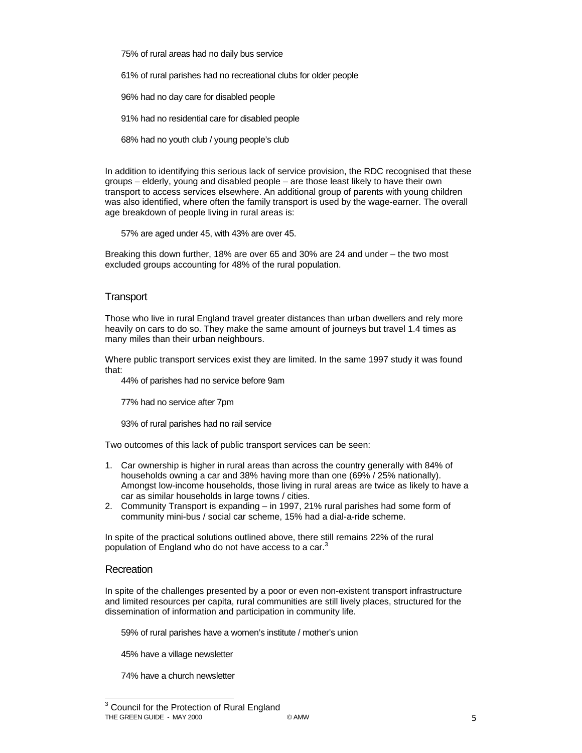75% of rural areas had no daily bus service

61% of rural parishes had no recreational clubs for older people

96% had no day care for disabled people

91% had no residential care for disabled people

68% had no youth club / young people's club

In addition to identifying this serious lack of service provision, the RDC recognised that these groups – elderly, young and disabled people – are those least likely to have their own transport to access services elsewhere. An additional group of parents with young children was also identified, where often the family transport is used by the wage-earner. The overall age breakdown of people living in rural areas is:

57% are aged under 45, with 43% are over 45.

Breaking this down further, 18% are over 65 and 30% are 24 and under – the two most excluded groups accounting for 48% of the rural population.

### **Transport**

Those who live in rural England travel greater distances than urban dwellers and rely more heavily on cars to do so. They make the same amount of journeys but travel 1.4 times as many miles than their urban neighbours.

Where public transport services exist they are limited. In the same 1997 study it was found that:

44% of parishes had no service before 9am

77% had no service after 7pm

93% of rural parishes had no rail service

Two outcomes of this lack of public transport services can be seen:

- 1. Car ownership is higher in rural areas than across the country generally with 84% of households owning a car and 38% having more than one (69% / 25% nationally). Amongst low-income households, those living in rural areas are twice as likely to have a car as similar households in large towns / cities.
- 2. Community Transport is expanding in 1997, 21% rural parishes had some form of community mini-bus / social car scheme, 15% had a dial-a-ride scheme.

In spite of the practical solutions outlined above, there still remains 22% of the rural population of England who do not have access to a car.<sup>3</sup>

### **Recreation**

In spite of the challenges presented by a poor or even non-existent transport infrastructure and limited resources per capita, rural communities are still lively places, structured for the dissemination of information and participation in community life.

59% of rural parishes have a women's institute / mother's union

45% have a village newsletter

74% have a church newsletter

THE GREEN GUIDE - MAY 2000 **Example 2001** © AMW 6 AMW 5 3 Council for the Protection of Rural England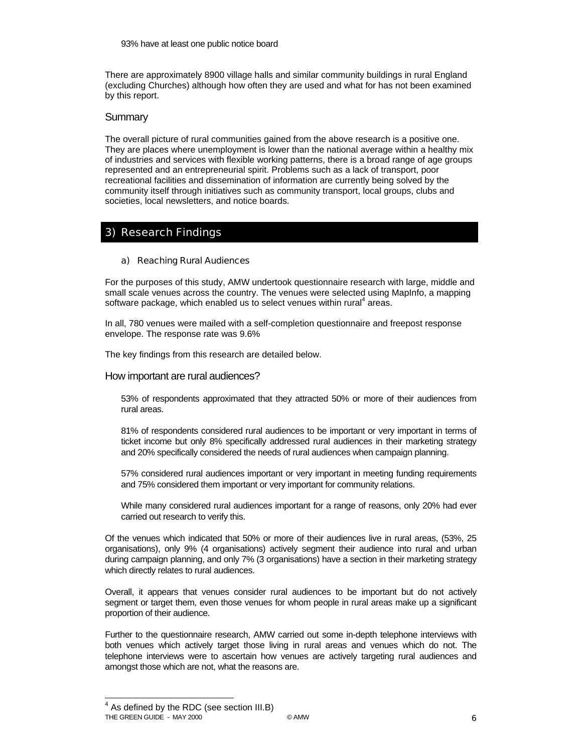There are approximately 8900 village halls and similar community buildings in rural England (excluding Churches) although how often they are used and what for has not been examined by this report.

### **Summary**

The overall picture of rural communities gained from the above research is a positive one. They are places where unemployment is lower than the national average within a healthy mix of industries and services with flexible working patterns, there is a broad range of age groups represented and an entrepreneurial spirit. Problems such as a lack of transport, poor recreational facilities and dissemination of information are currently being solved by the community itself through initiatives such as community transport, local groups, clubs and societies, local newsletters, and notice boards.

# 3) Research Findings

### a) Reaching Rural Audiences

For the purposes of this study, AMW undertook questionnaire research with large, middle and small scale venues across the country. The venues were selected using MapInfo, a mapping software package, which enabled us to select venues within rural<sup>4</sup> areas.

In all, 780 venues were mailed with a self-completion questionnaire and freepost response envelope. The response rate was 9.6%

The key findings from this research are detailed below.

### How important are rural audiences?

53% of respondents approximated that they attracted 50% or more of their audiences from rural areas.

81% of respondents considered rural audiences to be important or very important in terms of ticket income but only 8% specifically addressed rural audiences in their marketing strategy and 20% specifically considered the needs of rural audiences when campaign planning.

57% considered rural audiences important or very important in meeting funding requirements and 75% considered them important or very important for community relations.

While many considered rural audiences important for a range of reasons, only 20% had ever carried out research to verify this.

Of the venues which indicated that 50% or more of their audiences live in rural areas, (53%, 25 organisations), only 9% (4 organisations) actively segment their audience into rural and urban during campaign planning, and only 7% (3 organisations) have a section in their marketing strategy which directly relates to rural audiences.

Overall, it appears that venues consider rural audiences to be important but do not actively segment or target them, even those venues for whom people in rural areas make up a significant proportion of their audience.

Further to the questionnaire research, AMW carried out some in-depth telephone interviews with both venues which actively target those living in rural areas and venues which do not. The telephone interviews were to ascertain how venues are actively targeting rural audiences and amongst those which are not, what the reasons are.

THE GREEN GUIDE - MAY 2000 GALLACTER COMMUNISTIES ON A CONTROL CONTROL CONTROL CONTROL CONTROL CONTROL CONTROL CONTROL CONTROL CONTROL CONTROL CONTROL CONTROL CONTROL CONTROL CONTROL CONTROL CONTROL CONTROL CONTROL CONTROL 4 As defined by the RDC (see section III.B)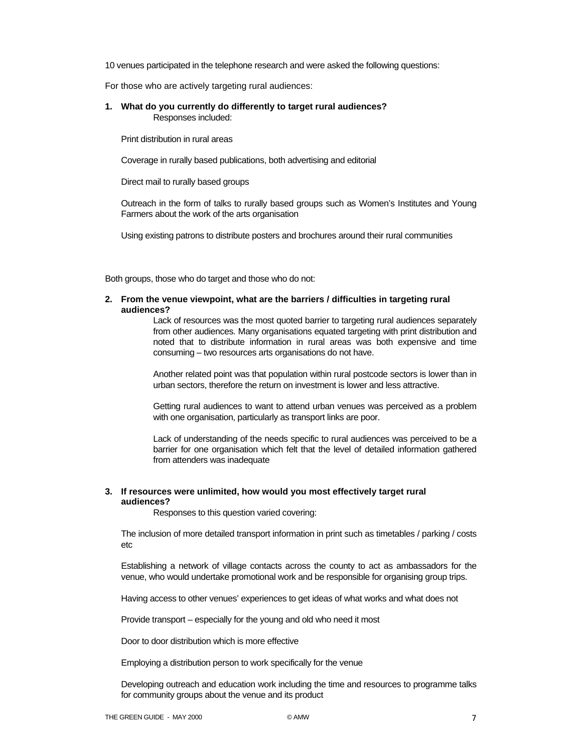10 venues participated in the telephone research and were asked the following questions:

For those who are actively targeting rural audiences:

#### **1. What do you currently do differently to target rural audiences?**  Responses included:

Print distribution in rural areas

Coverage in rurally based publications, both advertising and editorial

Direct mail to rurally based groups

Outreach in the form of talks to rurally based groups such as Women's Institutes and Young Farmers about the work of the arts organisation

Using existing patrons to distribute posters and brochures around their rural communities

Both groups, those who do target and those who do not:

#### **2. From the venue viewpoint, what are the barriers / difficulties in targeting rural audiences?**

Lack of resources was the most quoted barrier to targeting rural audiences separately from other audiences. Many organisations equated targeting with print distribution and noted that to distribute information in rural areas was both expensive and time consuming – two resources arts organisations do not have.

Another related point was that population within rural postcode sectors is lower than in urban sectors, therefore the return on investment is lower and less attractive.

Getting rural audiences to want to attend urban venues was perceived as a problem with one organisation, particularly as transport links are poor.

Lack of understanding of the needs specific to rural audiences was perceived to be a barrier for one organisation which felt that the level of detailed information gathered from attenders was inadequate

### **3. If resources were unlimited, how would you most effectively target rural audiences?**

Responses to this question varied covering:

The inclusion of more detailed transport information in print such as timetables / parking / costs etc

Establishing a network of village contacts across the county to act as ambassadors for the venue, who would undertake promotional work and be responsible for organising group trips.

Having access to other venues' experiences to get ideas of what works and what does not

Provide transport – especially for the young and old who need it most

Door to door distribution which is more effective

Employing a distribution person to work specifically for the venue

Developing outreach and education work including the time and resources to programme talks for community groups about the venue and its product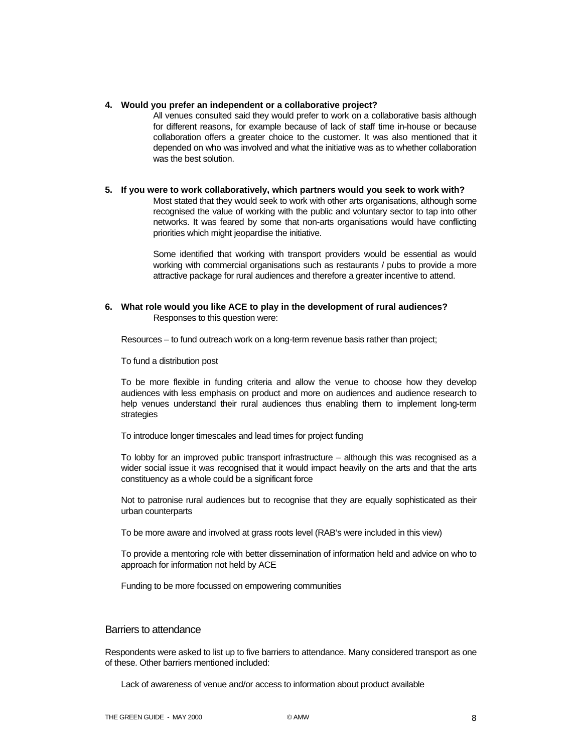#### **4. Would you prefer an independent or a collaborative project?**

All venues consulted said they would prefer to work on a collaborative basis although for different reasons, for example because of lack of staff time in-house or because collaboration offers a greater choice to the customer. It was also mentioned that it depended on who was involved and what the initiative was as to whether collaboration was the best solution.

### **5. If you were to work collaboratively, which partners would you seek to work with?**

Most stated that they would seek to work with other arts organisations, although some recognised the value of working with the public and voluntary sector to tap into other networks. It was feared by some that non-arts organisations would have conflicting priorities which might jeopardise the initiative.

Some identified that working with transport providers would be essential as would working with commercial organisations such as restaurants / pubs to provide a more attractive package for rural audiences and therefore a greater incentive to attend.

### **6. What role would you like ACE to play in the development of rural audiences?**  Responses to this question were:

Resources – to fund outreach work on a long-term revenue basis rather than project;

To fund a distribution post

To be more flexible in funding criteria and allow the venue to choose how they develop audiences with less emphasis on product and more on audiences and audience research to help venues understand their rural audiences thus enabling them to implement long-term strategies

To introduce longer timescales and lead times for project funding

To lobby for an improved public transport infrastructure – although this was recognised as a wider social issue it was recognised that it would impact heavily on the arts and that the arts constituency as a whole could be a significant force

Not to patronise rural audiences but to recognise that they are equally sophisticated as their urban counterparts

To be more aware and involved at grass roots level (RAB's were included in this view)

To provide a mentoring role with better dissemination of information held and advice on who to approach for information not held by ACE

Funding to be more focussed on empowering communities

### Barriers to attendance

Respondents were asked to list up to five barriers to attendance. Many considered transport as one of these. Other barriers mentioned included:

Lack of awareness of venue and/or access to information about product available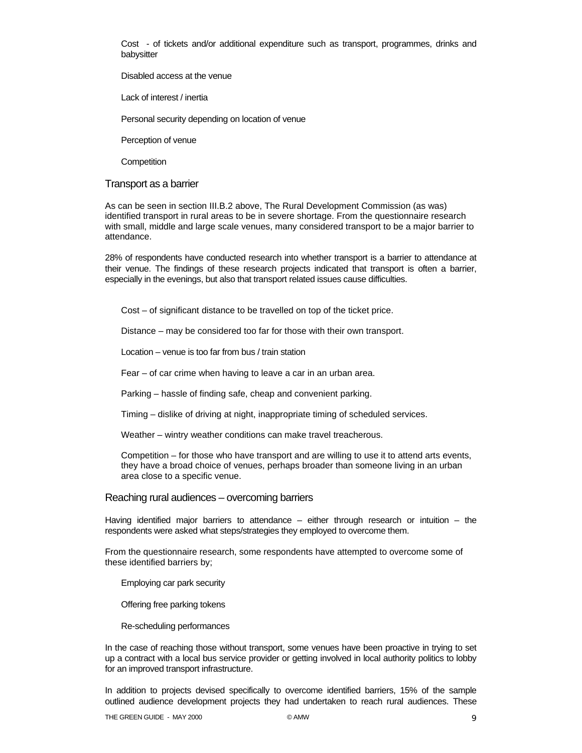Cost - of tickets and/or additional expenditure such as transport, programmes, drinks and babysitter

Disabled access at the venue

Lack of interest / inertia

Personal security depending on location of venue

Perception of venue

**Competition** 

#### Transport as a barrier

As can be seen in section III.B.2 above, The Rural Development Commission (as was) identified transport in rural areas to be in severe shortage. From the questionnaire research with small, middle and large scale venues, many considered transport to be a major barrier to attendance.

28% of respondents have conducted research into whether transport is a barrier to attendance at their venue. The findings of these research projects indicated that transport is often a barrier, especially in the evenings, but also that transport related issues cause difficulties.

Cost – of significant distance to be travelled on top of the ticket price.

Distance – may be considered too far for those with their own transport.

Location – venue is too far from bus / train station

Fear – of car crime when having to leave a car in an urban area.

Parking – hassle of finding safe, cheap and convenient parking.

Timing – dislike of driving at night, inappropriate timing of scheduled services.

Weather – wintry weather conditions can make travel treacherous.

Competition – for those who have transport and are willing to use it to attend arts events, they have a broad choice of venues, perhaps broader than someone living in an urban area close to a specific venue.

#### Reaching rural audiences – overcoming barriers

Having identified major barriers to attendance – either through research or intuition – the respondents were asked what steps/strategies they employed to overcome them.

From the questionnaire research, some respondents have attempted to overcome some of these identified barriers by;

Employing car park security

Offering free parking tokens

Re-scheduling performances

In the case of reaching those without transport, some venues have been proactive in trying to set up a contract with a local bus service provider or getting involved in local authority politics to lobby for an improved transport infrastructure.

In addition to projects devised specifically to overcome identified barriers, 15% of the sample outlined audience development projects they had undertaken to reach rural audiences. These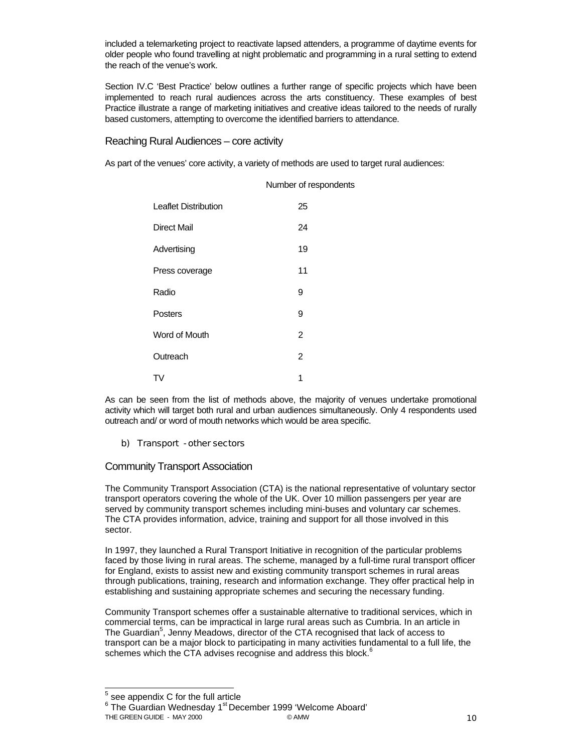included a telemarketing project to reactivate lapsed attenders, a programme of daytime events for older people who found travelling at night problematic and programming in a rural setting to extend the reach of the venue's work.

Section IV.C 'Best Practice' below outlines a further range of specific projects which have been implemented to reach rural audiences across the arts constituency. These examples of best Practice illustrate a range of marketing initiatives and creative ideas tailored to the needs of rurally based customers, attempting to overcome the identified barriers to attendance.

Reaching Rural Audiences – core activity

As part of the venues' core activity, a variety of methods are used to target rural audiences:

|                             | Number of respondents |
|-----------------------------|-----------------------|
| <b>Leaflet Distribution</b> | 25                    |
| Direct Mail                 | 24                    |
| Advertising                 | 19                    |
| Press coverage              | 11                    |
| Radio                       | 9                     |
| Posters                     | 9                     |
| Word of Mouth               | $\mathfrak{p}$        |
| Outreach                    | 2                     |
| TV                          | 1                     |

As can be seen from the list of methods above, the majority of venues undertake promotional activity which will target both rural and urban audiences simultaneously. Only 4 respondents used outreach and/ or word of mouth networks which would be area specific.

### b) Transport - other sectors

### Community Transport Association

The Community Transport Association (CTA) is the national representative of voluntary sector transport operators covering the whole of the UK. Over 10 million passengers per year are served by community transport schemes including mini-buses and voluntary car schemes. The CTA provides information, advice, training and support for all those involved in this sector.

In 1997, they launched a Rural Transport Initiative in recognition of the particular problems faced by those living in rural areas. The scheme, managed by a full-time rural transport officer for England, exists to assist new and existing community transport schemes in rural areas through publications, training, research and information exchange. They offer practical help in establishing and sustaining appropriate schemes and securing the necessary funding.

Community Transport schemes offer a sustainable alternative to traditional services, which in commercial terms, can be impractical in large rural areas such as Cumbria. In an article in The Guardian<sup>5</sup>, Jenny Meadows, director of the CTA recognised that lack of access to transport can be a major block to participating in many activities fundamental to a full life, the schemes which the CTA advises recognise and address this block.<sup>6</sup>

THE GREEN GUIDE - MAY 2000 **CAMW 10** CAMW 10 AMW 10 <sup>6</sup> The Guardian Wednesday 1<sup>st</sup> December 1999 'Welcome Aboard'

 5 see appendix C for the full article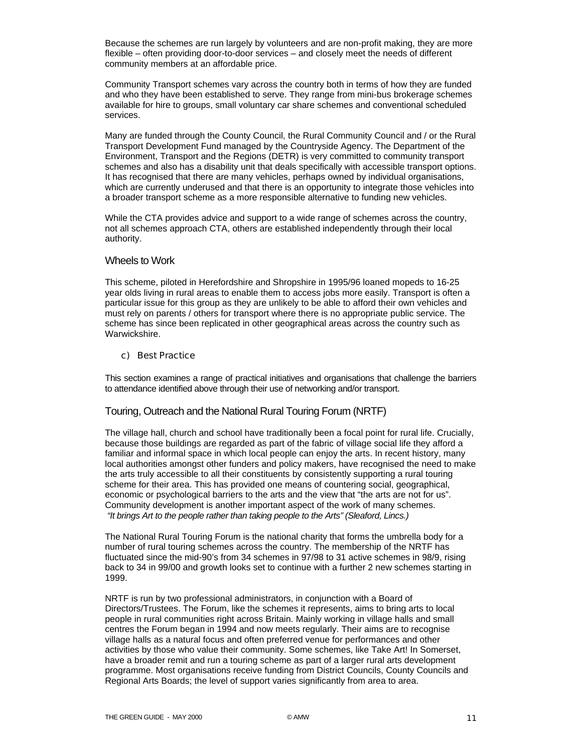Because the schemes are run largely by volunteers and are non-profit making, they are more flexible – often providing door-to-door services – and closely meet the needs of different community members at an affordable price.

Community Transport schemes vary across the country both in terms of how they are funded and who they have been established to serve. They range from mini-bus brokerage schemes available for hire to groups, small voluntary car share schemes and conventional scheduled services.

Many are funded through the County Council, the Rural Community Council and / or the Rural Transport Development Fund managed by the Countryside Agency. The Department of the Environment, Transport and the Regions (DETR) is very committed to community transport schemes and also has a disability unit that deals specifically with accessible transport options. It has recognised that there are many vehicles, perhaps owned by individual organisations, which are currently underused and that there is an opportunity to integrate those vehicles into a broader transport scheme as a more responsible alternative to funding new vehicles.

While the CTA provides advice and support to a wide range of schemes across the country, not all schemes approach CTA, others are established independently through their local authority.

### Wheels to Work

This scheme, piloted in Herefordshire and Shropshire in 1995/96 loaned mopeds to 16-25 year olds living in rural areas to enable them to access jobs more easily. Transport is often a particular issue for this group as they are unlikely to be able to afford their own vehicles and must rely on parents / others for transport where there is no appropriate public service. The scheme has since been replicated in other geographical areas across the country such as Warwickshire.

### c) Best Practice

This section examines a range of practical initiatives and organisations that challenge the barriers to attendance identified above through their use of networking and/or transport.

# Touring, Outreach and the National Rural Touring Forum (NRTF)

The village hall, church and school have traditionally been a focal point for rural life. Crucially, because those buildings are regarded as part of the fabric of village social life they afford a familiar and informal space in which local people can enjoy the arts. In recent history, many local authorities amongst other funders and policy makers, have recognised the need to make the arts truly accessible to all their constituents by consistently supporting a rural touring scheme for their area. This has provided one means of countering social, geographical, economic or psychological barriers to the arts and the view that "the arts are not for us". Community development is another important aspect of the work of many schemes.  *"It brings Art to the people rather than taking people to the Arts" (Sleaford, Lincs.)*

The National Rural Touring Forum is the national charity that forms the umbrella body for a number of rural touring schemes across the country. The membership of the NRTF has fluctuated since the mid-90's from 34 schemes in 97/98 to 31 active schemes in 98/9, rising back to 34 in 99/00 and growth looks set to continue with a further 2 new schemes starting in 1999.

NRTF is run by two professional administrators, in conjunction with a Board of Directors/Trustees. The Forum, like the schemes it represents, aims to bring arts to local people in rural communities right across Britain. Mainly working in village halls and small centres the Forum began in 1994 and now meets regularly. Their aims are to recognise village halls as a natural focus and often preferred venue for performances and other activities by those who value their community. Some schemes, like Take Art! In Somerset, have a broader remit and run a touring scheme as part of a larger rural arts development programme. Most organisations receive funding from District Councils, County Councils and Regional Arts Boards; the level of support varies significantly from area to area.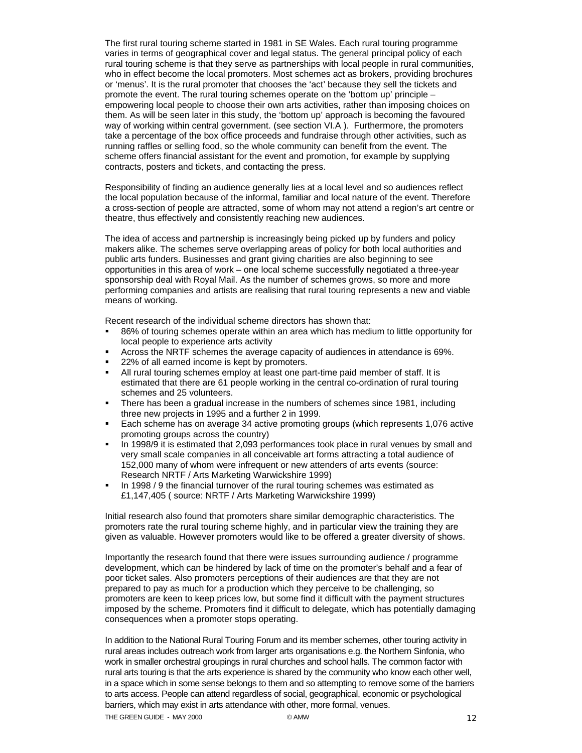The first rural touring scheme started in 1981 in SE Wales. Each rural touring programme varies in terms of geographical cover and legal status. The general principal policy of each rural touring scheme is that they serve as partnerships with local people in rural communities, who in effect become the local promoters. Most schemes act as brokers, providing brochures or 'menus'. It is the rural promoter that chooses the 'act' because they sell the tickets and promote the event. The rural touring schemes operate on the 'bottom up' principle – empowering local people to choose their own arts activities, rather than imposing choices on them. As will be seen later in this study, the 'bottom up' approach is becoming the favoured way of working within central government. (see section VI.A ). Furthermore, the promoters take a percentage of the box office proceeds and fundraise through other activities, such as running raffles or selling food, so the whole community can benefit from the event. The scheme offers financial assistant for the event and promotion, for example by supplying contracts, posters and tickets, and contacting the press.

Responsibility of finding an audience generally lies at a local level and so audiences reflect the local population because of the informal, familiar and local nature of the event. Therefore a cross-section of people are attracted, some of whom may not attend a region's art centre or theatre, thus effectively and consistently reaching new audiences.

The idea of access and partnership is increasingly being picked up by funders and policy makers alike. The schemes serve overlapping areas of policy for both local authorities and public arts funders. Businesses and grant giving charities are also beginning to see opportunities in this area of work – one local scheme successfully negotiated a three-year sponsorship deal with Royal Mail. As the number of schemes grows, so more and more performing companies and artists are realising that rural touring represents a new and viable means of working.

Recent research of the individual scheme directors has shown that:

- 86% of touring schemes operate within an area which has medium to little opportunity for local people to experience arts activity
- Across the NRTF schemes the average capacity of audiences in attendance is 69%.
- 22% of all earned income is kept by promoters.
- All rural touring schemes employ at least one part-time paid member of staff. It is estimated that there are 61 people working in the central co-ordination of rural touring schemes and 25 volunteers.
- There has been a gradual increase in the numbers of schemes since 1981, including three new projects in 1995 and a further 2 in 1999.
- Each scheme has on average 34 active promoting groups (which represents 1,076 active promoting groups across the country)
- In 1998/9 it is estimated that 2,093 performances took place in rural venues by small and very small scale companies in all conceivable art forms attracting a total audience of 152,000 many of whom were infrequent or new attenders of arts events (source: Research NRTF / Arts Marketing Warwickshire 1999)
- In 1998 / 9 the financial turnover of the rural touring schemes was estimated as £1,147,405 ( source: NRTF / Arts Marketing Warwickshire 1999)

Initial research also found that promoters share similar demographic characteristics. The promoters rate the rural touring scheme highly, and in particular view the training they are given as valuable. However promoters would like to be offered a greater diversity of shows.

Importantly the research found that there were issues surrounding audience / programme development, which can be hindered by lack of time on the promoter's behalf and a fear of poor ticket sales. Also promoters perceptions of their audiences are that they are not prepared to pay as much for a production which they perceive to be challenging, so promoters are keen to keep prices low, but some find it difficult with the payment structures imposed by the scheme. Promoters find it difficult to delegate, which has potentially damaging consequences when a promoter stops operating.

In addition to the National Rural Touring Forum and its member schemes, other touring activity in rural areas includes outreach work from larger arts organisations e.g. the Northern Sinfonia, who work in smaller orchestral groupings in rural churches and school halls. The common factor with rural arts touring is that the arts experience is shared by the community who know each other well, in a space which in some sense belongs to them and so attempting to remove some of the barriers to arts access. People can attend regardless of social, geographical, economic or psychological barriers, which may exist in arts attendance with other, more formal, venues.

THE GREEN GUIDE - MAY 2000 CAMW 6 AMW 12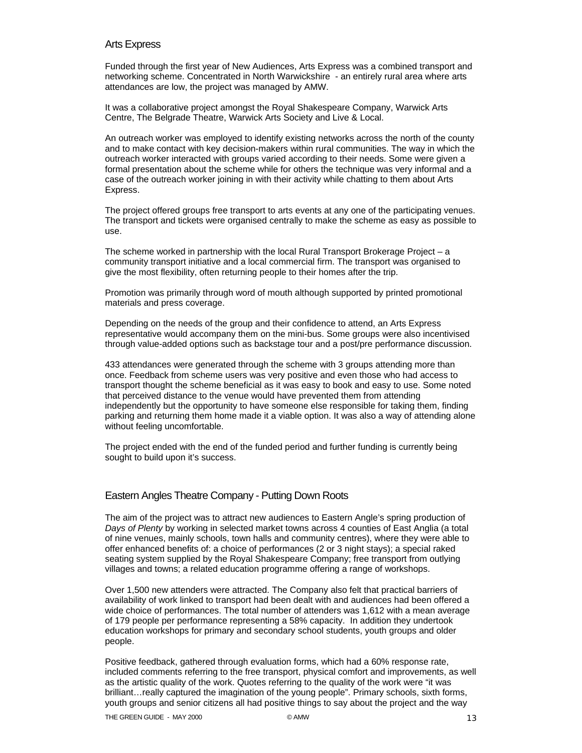### Arts Express

Funded through the first year of New Audiences, Arts Express was a combined transport and networking scheme. Concentrated in North Warwickshire - an entirely rural area where arts attendances are low, the project was managed by AMW.

It was a collaborative project amongst the Royal Shakespeare Company, Warwick Arts Centre, The Belgrade Theatre, Warwick Arts Society and Live & Local.

An outreach worker was employed to identify existing networks across the north of the county and to make contact with key decision-makers within rural communities. The way in which the outreach worker interacted with groups varied according to their needs. Some were given a formal presentation about the scheme while for others the technique was very informal and a case of the outreach worker joining in with their activity while chatting to them about Arts Express.

The project offered groups free transport to arts events at any one of the participating venues. The transport and tickets were organised centrally to make the scheme as easy as possible to use.

The scheme worked in partnership with the local Rural Transport Brokerage Project – a community transport initiative and a local commercial firm. The transport was organised to give the most flexibility, often returning people to their homes after the trip.

Promotion was primarily through word of mouth although supported by printed promotional materials and press coverage.

Depending on the needs of the group and their confidence to attend, an Arts Express representative would accompany them on the mini-bus. Some groups were also incentivised through value-added options such as backstage tour and a post/pre performance discussion.

433 attendances were generated through the scheme with 3 groups attending more than once. Feedback from scheme users was very positive and even those who had access to transport thought the scheme beneficial as it was easy to book and easy to use. Some noted that perceived distance to the venue would have prevented them from attending independently but the opportunity to have someone else responsible for taking them, finding parking and returning them home made it a viable option. It was also a way of attending alone without feeling uncomfortable.

The project ended with the end of the funded period and further funding is currently being sought to build upon it's success.

### Eastern Angles Theatre Company - Putting Down Roots

The aim of the project was to attract new audiences to Eastern Angle's spring production of *Days of Plenty* by working in selected market towns across 4 counties of East Anglia (a total of nine venues, mainly schools, town halls and community centres), where they were able to offer enhanced benefits of: a choice of performances (2 or 3 night stays); a special raked seating system supplied by the Royal Shakespeare Company; free transport from outlying villages and towns; a related education programme offering a range of workshops.

Over 1,500 new attenders were attracted. The Company also felt that practical barriers of availability of work linked to transport had been dealt with and audiences had been offered a wide choice of performances. The total number of attenders was 1,612 with a mean average of 179 people per performance representing a 58% capacity. In addition they undertook education workshops for primary and secondary school students, youth groups and older people.

Positive feedback, gathered through evaluation forms, which had a 60% response rate, included comments referring to the free transport, physical comfort and improvements, as well as the artistic quality of the work. Quotes referring to the quality of the work were "it was brilliant…really captured the imagination of the young people". Primary schools, sixth forms, youth groups and senior citizens all had positive things to say about the project and the way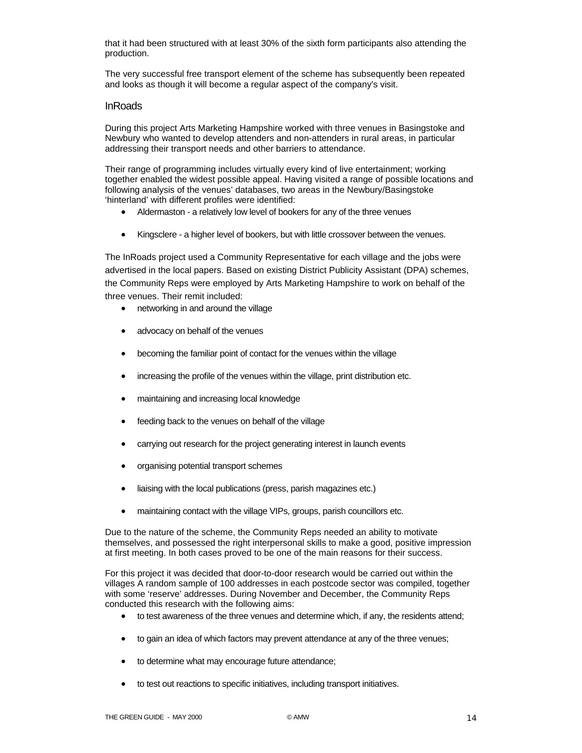that it had been structured with at least 30% of the sixth form participants also attending the production.

The very successful free transport element of the scheme has subsequently been repeated and looks as though it will become a regular aspect of the company's visit.

### InRoads

During this project Arts Marketing Hampshire worked with three venues in Basingstoke and Newbury who wanted to develop attenders and non-attenders in rural areas, in particular addressing their transport needs and other barriers to attendance.

Their range of programming includes virtually every kind of live entertainment; working together enabled the widest possible appeal. Having visited a range of possible locations and following analysis of the venues' databases, two areas in the Newbury/Basingstoke 'hinterland' with different profiles were identified:

- Aldermaston a relatively low level of bookers for any of the three venues
- Kingsclere a higher level of bookers, but with little crossover between the venues.

The InRoads project used a Community Representative for each village and the jobs were advertised in the local papers. Based on existing District Publicity Assistant (DPA) schemes, the Community Reps were employed by Arts Marketing Hampshire to work on behalf of the three venues. Their remit included:

- networking in and around the village
- advocacy on behalf of the venues
- becoming the familiar point of contact for the venues within the village
- increasing the profile of the venues within the village, print distribution etc.
- maintaining and increasing local knowledge
- feeding back to the venues on behalf of the village
- carrying out research for the project generating interest in launch events
- organising potential transport schemes
- liaising with the local publications (press, parish magazines etc.)
- maintaining contact with the village VIPs, groups, parish councillors etc.

Due to the nature of the scheme, the Community Reps needed an ability to motivate themselves, and possessed the right interpersonal skills to make a good, positive impression at first meeting. In both cases proved to be one of the main reasons for their success.

For this project it was decided that door-to-door research would be carried out within the villages A random sample of 100 addresses in each postcode sector was compiled, together with some 'reserve' addresses. During November and December, the Community Reps conducted this research with the following aims:

- to test awareness of the three venues and determine which, if any, the residents attend;
- to gain an idea of which factors may prevent attendance at any of the three venues;
- to determine what may encourage future attendance;
- to test out reactions to specific initiatives, including transport initiatives.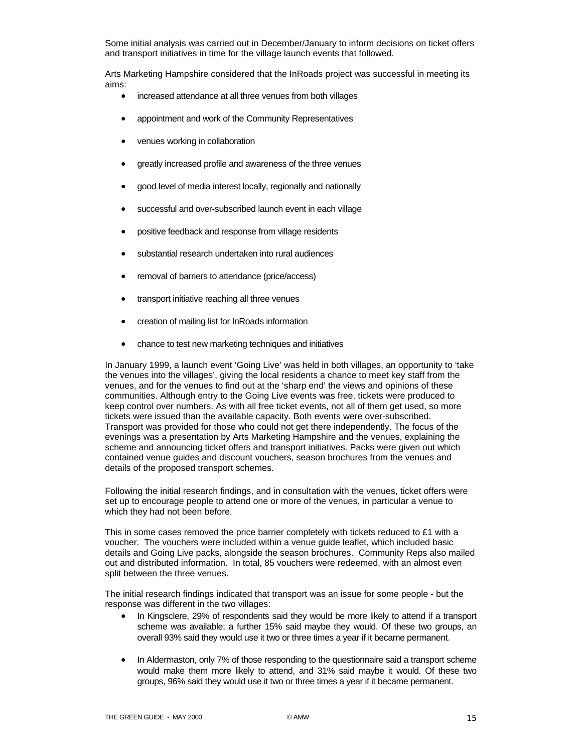Some initial analysis was carried out in December/January to inform decisions on ticket offers and transport initiatives in time for the village launch events that followed.

Arts Marketing Hampshire considered that the InRoads project was successful in meeting its aims:

- increased attendance at all three venues from both villages
- appointment and work of the Community Representatives
- venues working in collaboration
- greatly increased profile and awareness of the three venues
- good level of media interest locally, regionally and nationally
- successful and over-subscribed launch event in each village
- positive feedback and response from village residents
- substantial research undertaken into rural audiences
- removal of barriers to attendance (price/access)
- transport initiative reaching all three venues
- creation of mailing list for InRoads information
- chance to test new marketing techniques and initiatives

In January 1999, a launch event 'Going Live' was held in both villages, an opportunity to 'take the venues into the villages', giving the local residents a chance to meet key staff from the venues, and for the venues to find out at the 'sharp end' the views and opinions of these communities. Although entry to the Going Live events was free, tickets were produced to keep control over numbers. As with all free ticket events, not all of them get used, so more tickets were issued than the available capacity. Both events were over-subscribed. Transport was provided for those who could not get there independently. The focus of the evenings was a presentation by Arts Marketing Hampshire and the venues, explaining the scheme and announcing ticket offers and transport initiatives. Packs were given out which contained venue guides and discount vouchers, season brochures from the venues and details of the proposed transport schemes.

Following the initial research findings, and in consultation with the venues, ticket offers were set up to encourage people to attend one or more of the venues, in particular a venue to which they had not been before.

This in some cases removed the price barrier completely with tickets reduced to £1 with a voucher. The vouchers were included within a venue guide leaflet, which included basic details and Going Live packs, alongside the season brochures. Community Reps also mailed out and distributed information. In total, 85 vouchers were redeemed, with an almost even split between the three venues.

The initial research findings indicated that transport was an issue for some people - but the response was different in the two villages:

- In Kingsclere, 29% of respondents said they would be more likely to attend if a transport scheme was available; a further 15% said maybe they would. Of these two groups, an overall 93% said they would use it two or three times a year if it became permanent.
- In Aldermaston, only 7% of those responding to the questionnaire said a transport scheme would make them more likely to attend, and 31% said maybe it would. Of these two groups, 96% said they would use it two or three times a year if it became permanent.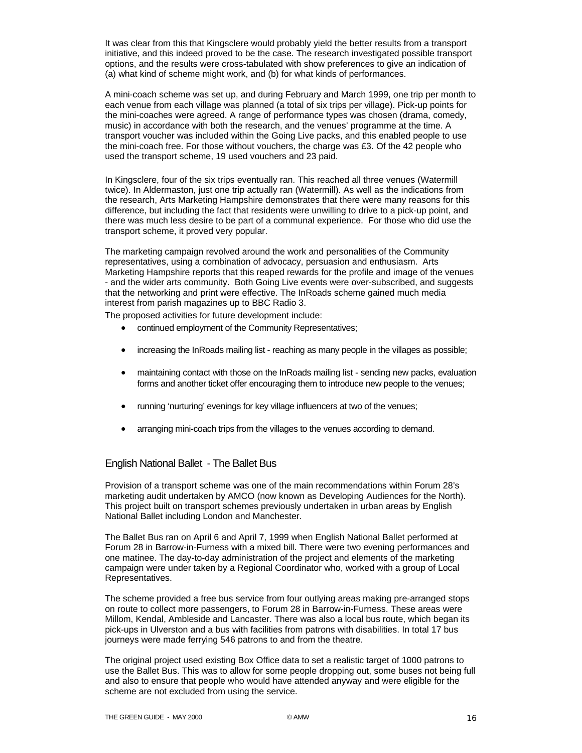It was clear from this that Kingsclere would probably yield the better results from a transport initiative, and this indeed proved to be the case. The research investigated possible transport options, and the results were cross-tabulated with show preferences to give an indication of (a) what kind of scheme might work, and (b) for what kinds of performances.

A mini-coach scheme was set up, and during February and March 1999, one trip per month to each venue from each village was planned (a total of six trips per village). Pick-up points for the mini-coaches were agreed. A range of performance types was chosen (drama, comedy, music) in accordance with both the research, and the venues' programme at the time. A transport voucher was included within the Going Live packs, and this enabled people to use the mini-coach free. For those without vouchers, the charge was £3. Of the 42 people who used the transport scheme, 19 used vouchers and 23 paid.

In Kingsclere, four of the six trips eventually ran. This reached all three venues (Watermill twice). In Aldermaston, just one trip actually ran (Watermill). As well as the indications from the research, Arts Marketing Hampshire demonstrates that there were many reasons for this difference, but including the fact that residents were unwilling to drive to a pick-up point, and there was much less desire to be part of a communal experience. For those who did use the transport scheme, it proved very popular.

The marketing campaign revolved around the work and personalities of the Community representatives, using a combination of advocacy, persuasion and enthusiasm. Arts Marketing Hampshire reports that this reaped rewards for the profile and image of the venues - and the wider arts community. Both Going Live events were over-subscribed, and suggests that the networking and print were effective. The InRoads scheme gained much media interest from parish magazines up to BBC Radio 3.

The proposed activities for future development include:

- continued employment of the Community Representatives;
- increasing the InRoads mailing list reaching as many people in the villages as possible;
- maintaining contact with those on the InRoads mailing list sending new packs, evaluation forms and another ticket offer encouraging them to introduce new people to the venues;
- running 'nurturing' evenings for key village influencers at two of the venues;
- arranging mini-coach trips from the villages to the venues according to demand.

### English National Ballet - The Ballet Bus

Provision of a transport scheme was one of the main recommendations within Forum 28's marketing audit undertaken by AMCO (now known as Developing Audiences for the North). This project built on transport schemes previously undertaken in urban areas by English National Ballet including London and Manchester.

The Ballet Bus ran on April 6 and April 7, 1999 when English National Ballet performed at Forum 28 in Barrow-in-Furness with a mixed bill. There were two evening performances and one matinee. The day-to-day administration of the project and elements of the marketing campaign were under taken by a Regional Coordinator who, worked with a group of Local Representatives.

The scheme provided a free bus service from four outlying areas making pre-arranged stops on route to collect more passengers, to Forum 28 in Barrow-in-Furness. These areas were Millom, Kendal, Ambleside and Lancaster. There was also a local bus route, which began its pick-ups in Ulverston and a bus with facilities from patrons with disabilities. In total 17 bus journeys were made ferrying 546 patrons to and from the theatre.

The original project used existing Box Office data to set a realistic target of 1000 patrons to use the Ballet Bus. This was to allow for some people dropping out, some buses not being full and also to ensure that people who would have attended anyway and were eligible for the scheme are not excluded from using the service.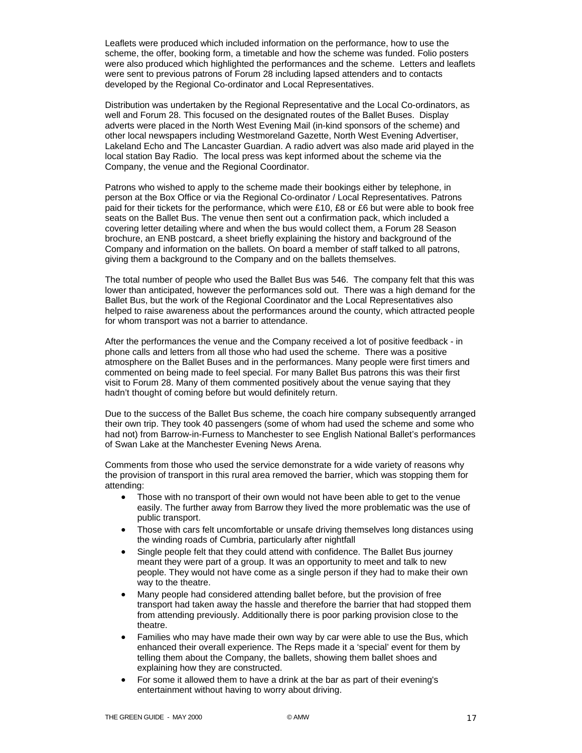Leaflets were produced which included information on the performance, how to use the scheme, the offer, booking form, a timetable and how the scheme was funded. Folio posters were also produced which highlighted the performances and the scheme. Letters and leaflets were sent to previous patrons of Forum 28 including lapsed attenders and to contacts developed by the Regional Co-ordinator and Local Representatives.

Distribution was undertaken by the Regional Representative and the Local Co-ordinators, as well and Forum 28. This focused on the designated routes of the Ballet Buses. Display adverts were placed in the North West Evening Mail (in-kind sponsors of the scheme) and other local newspapers including Westmoreland Gazette, North West Evening Advertiser, Lakeland Echo and The Lancaster Guardian. A radio advert was also made arid played in the local station Bay Radio. The local press was kept informed about the scheme via the Company, the venue and the Regional Coordinator.

Patrons who wished to apply to the scheme made their bookings either by telephone, in person at the Box Office or via the Regional Co-ordinator / Local Representatives. Patrons paid for their tickets for the performance, which were £10, £8 or £6 but were able to book free seats on the Ballet Bus. The venue then sent out a confirmation pack, which included a covering letter detailing where and when the bus would collect them, a Forum 28 Season brochure, an ENB postcard, a sheet briefly explaining the history and background of the Company and information on the ballets. On board a member of staff talked to all patrons, giving them a background to the Company and on the ballets themselves.

The total number of people who used the Ballet Bus was 546. The company felt that this was lower than anticipated, however the performances sold out. There was a high demand for the Ballet Bus, but the work of the Regional Coordinator and the Local Representatives also helped to raise awareness about the performances around the county, which attracted people for whom transport was not a barrier to attendance.

After the performances the venue and the Company received a lot of positive feedback - in phone calls and letters from all those who had used the scheme. There was a positive atmosphere on the Ballet Buses and in the performances. Many people were first timers and commented on being made to feel special. For many Ballet Bus patrons this was their first visit to Forum 28. Many of them commented positively about the venue saying that they hadn't thought of coming before but would definitely return.

Due to the success of the Ballet Bus scheme, the coach hire company subsequently arranged their own trip. They took 40 passengers (some of whom had used the scheme and some who had not) from Barrow-in-Furness to Manchester to see English National Ballet's performances of Swan Lake at the Manchester Evening News Arena.

Comments from those who used the service demonstrate for a wide variety of reasons why the provision of transport in this rural area removed the barrier, which was stopping them for attending:

- Those with no transport of their own would not have been able to get to the venue easily. The further away from Barrow they lived the more problematic was the use of public transport.
- Those with cars felt uncomfortable or unsafe driving themselves long distances using the winding roads of Cumbria, particularly after nightfall
- Single people felt that they could attend with confidence. The Ballet Bus journey meant they were part of a group. It was an opportunity to meet and talk to new people. They would not have come as a single person if they had to make their own way to the theatre.
- Many people had considered attending ballet before, but the provision of free transport had taken away the hassle and therefore the barrier that had stopped them from attending previously. Additionally there is poor parking provision close to the theatre.
- Families who may have made their own way by car were able to use the Bus, which enhanced their overall experience. The Reps made it a 'special' event for them by telling them about the Company, the ballets, showing them ballet shoes and explaining how they are constructed.
- For some it allowed them to have a drink at the bar as part of their evening's entertainment without having to worry about driving.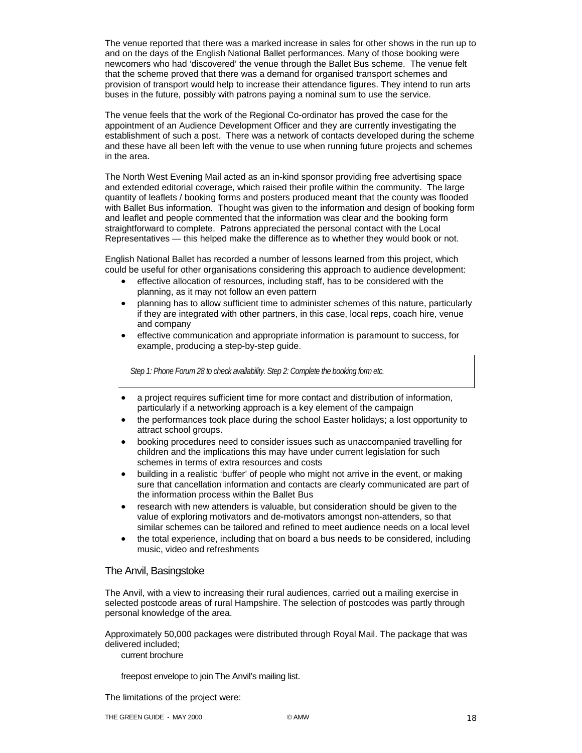The venue reported that there was a marked increase in sales for other shows in the run up to and on the days of the English National Ballet performances. Many of those booking were newcomers who had 'discovered' the venue through the Ballet Bus scheme. The venue felt that the scheme proved that there was a demand for organised transport schemes and provision of transport would help to increase their attendance figures. They intend to run arts buses in the future, possibly with patrons paying a nominal sum to use the service.

The venue feels that the work of the Regional Co-ordinator has proved the case for the appointment of an Audience Development Officer and they are currently investigating the establishment of such a post. There was a network of contacts developed during the scheme and these have all been left with the venue to use when running future projects and schemes in the area.

The North West Evening Mail acted as an in-kind sponsor providing free advertising space and extended editorial coverage, which raised their profile within the community. The large quantity of leaflets / booking forms and posters produced meant that the county was flooded with Ballet Bus information. Thought was given to the information and design of booking form and leaflet and people commented that the information was clear and the booking form straightforward to complete. Patrons appreciated the personal contact with the Local Representatives — this helped make the difference as to whether they would book or not.

English National Ballet has recorded a number of lessons learned from this project, which could be useful for other organisations considering this approach to audience development:

- effective allocation of resources, including staff, has to be considered with the planning, as it may not follow an even pattern
- planning has to allow sufficient time to administer schemes of this nature, particularly if they are integrated with other partners, in this case, local reps, coach hire, venue and company
- effective communication and appropriate information is paramount to success, for example, producing a step-by-step guide.

*Step 1: Phone Forum 28 to check availability. Step 2: Complete the booking form etc.* 

- a project requires sufficient time for more contact and distribution of information, particularly if a networking approach is a key element of the campaign
- the performances took place during the school Easter holidays; a lost opportunity to attract school groups.
- booking procedures need to consider issues such as unaccompanied travelling for children and the implications this may have under current legislation for such schemes in terms of extra resources and costs
- building in a realistic 'buffer' of people who might not arrive in the event, or making sure that cancellation information and contacts are clearly communicated are part of the information process within the Ballet Bus
- research with new attenders is valuable, but consideration should be given to the value of exploring motivators and de-motivators amongst non-attenders, so that similar schemes can be tailored and refined to meet audience needs on a local level
- the total experience, including that on board a bus needs to be considered, including music, video and refreshments

### The Anvil, Basingstoke

The Anvil, with a view to increasing their rural audiences, carried out a mailing exercise in selected postcode areas of rural Hampshire. The selection of postcodes was partly through personal knowledge of the area.

Approximately 50,000 packages were distributed through Royal Mail. The package that was delivered included;

current brochure

freepost envelope to join The Anvil's mailing list.

The limitations of the project were: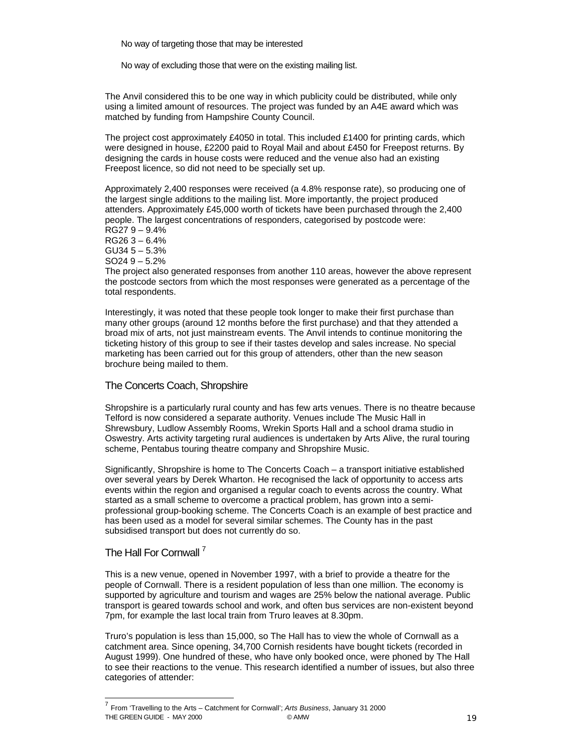No way of targeting those that may be interested

No way of excluding those that were on the existing mailing list.

The Anvil considered this to be one way in which publicity could be distributed, while only using a limited amount of resources. The project was funded by an A4E award which was matched by funding from Hampshire County Council.

The project cost approximately £4050 in total. This included £1400 for printing cards, which were designed in house, £2200 paid to Royal Mail and about £450 for Freepost returns. By designing the cards in house costs were reduced and the venue also had an existing Freepost licence, so did not need to be specially set up.

Approximately 2,400 responses were received (a 4.8% response rate), so producing one of the largest single additions to the mailing list. More importantly, the project produced attenders. Approximately £45,000 worth of tickets have been purchased through the 2,400 people. The largest concentrations of responders, categorised by postcode were: RG27 9 – 9.4%

RG26 3 – 6.4%

GU34 5 – 5.3% SO24 9 – 5.2%

The project also generated responses from another 110 areas, however the above represent the postcode sectors from which the most responses were generated as a percentage of the total respondents.

Interestingly, it was noted that these people took longer to make their first purchase than many other groups (around 12 months before the first purchase) and that they attended a broad mix of arts, not just mainstream events. The Anvil intends to continue monitoring the ticketing history of this group to see if their tastes develop and sales increase. No special marketing has been carried out for this group of attenders, other than the new season brochure being mailed to them.

# The Concerts Coach, Shropshire

Shropshire is a particularly rural county and has few arts venues. There is no theatre because Telford is now considered a separate authority. Venues include The Music Hall in Shrewsbury, Ludlow Assembly Rooms, Wrekin Sports Hall and a school drama studio in Oswestry. Arts activity targeting rural audiences is undertaken by Arts Alive, the rural touring scheme, Pentabus touring theatre company and Shropshire Music.

Significantly, Shropshire is home to The Concerts Coach – a transport initiative established over several years by Derek Wharton. He recognised the lack of opportunity to access arts events within the region and organised a regular coach to events across the country. What started as a small scheme to overcome a practical problem, has grown into a semiprofessional group-booking scheme. The Concerts Coach is an example of best practice and has been used as a model for several similar schemes. The County has in the past subsidised transport but does not currently do so.

# The Hall For Cornwall<sup>7</sup>

 $\overline{a}$ 

This is a new venue, opened in November 1997, with a brief to provide a theatre for the people of Cornwall. There is a resident population of less than one million. The economy is supported by agriculture and tourism and wages are 25% below the national average. Public transport is geared towards school and work, and often bus services are non-existent beyond 7pm, for example the last local train from Truro leaves at 8.30pm.

Truro's population is less than 15,000, so The Hall has to view the whole of Cornwall as a catchment area. Since opening, 34,700 Cornish residents have bought tickets (recorded in August 1999). One hundred of these, who have only booked once, were phoned by The Hall to see their reactions to the venue. This research identified a number of issues, but also three categories of attender:

THE GREEN GUIDE - MAY 2000 CAMW 19 COMMUNISTIES ON THE GREEN GUIDE - MAY 2000 <sup>7</sup> From 'Travelling to the Arts – Catchment for Cornwall'; *Arts Business*, January 31 2000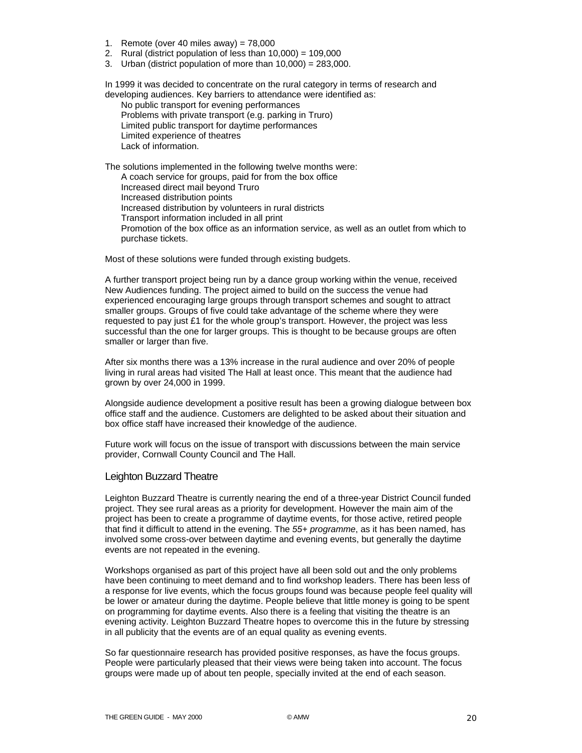- 1. Remote (over 40 miles away) = 78,000
- 2. Rural (district population of less than  $10,000$ ) =  $109,000$
- 3. Urban (district population of more than 10,000) = 283,000.

In 1999 it was decided to concentrate on the rural category in terms of research and developing audiences. Key barriers to attendance were identified as:

No public transport for evening performances Problems with private transport (e.g. parking in Truro) Limited public transport for daytime performances Limited experience of theatres Lack of information.

The solutions implemented in the following twelve months were: A coach service for groups, paid for from the box office Increased direct mail beyond Truro Increased distribution points Increased distribution by volunteers in rural districts Transport information included in all print Promotion of the box office as an information service, as well as an outlet from which to purchase tickets.

Most of these solutions were funded through existing budgets.

A further transport project being run by a dance group working within the venue, received New Audiences funding. The project aimed to build on the success the venue had experienced encouraging large groups through transport schemes and sought to attract smaller groups. Groups of five could take advantage of the scheme where they were requested to pay just £1 for the whole group's transport. However, the project was less successful than the one for larger groups. This is thought to be because groups are often smaller or larger than five.

After six months there was a 13% increase in the rural audience and over 20% of people living in rural areas had visited The Hall at least once. This meant that the audience had grown by over 24,000 in 1999.

Alongside audience development a positive result has been a growing dialogue between box office staff and the audience. Customers are delighted to be asked about their situation and box office staff have increased their knowledge of the audience.

Future work will focus on the issue of transport with discussions between the main service provider, Cornwall County Council and The Hall.

### Leighton Buzzard Theatre

Leighton Buzzard Theatre is currently nearing the end of a three-year District Council funded project. They see rural areas as a priority for development. However the main aim of the project has been to create a programme of daytime events, for those active, retired people that find it difficult to attend in the evening. The *55+ programme*, as it has been named, has involved some cross-over between daytime and evening events, but generally the daytime events are not repeated in the evening.

Workshops organised as part of this project have all been sold out and the only problems have been continuing to meet demand and to find workshop leaders. There has been less of a response for live events, which the focus groups found was because people feel quality will be lower or amateur during the daytime. People believe that little money is going to be spent on programming for daytime events. Also there is a feeling that visiting the theatre is an evening activity. Leighton Buzzard Theatre hopes to overcome this in the future by stressing in all publicity that the events are of an equal quality as evening events.

So far questionnaire research has provided positive responses, as have the focus groups. People were particularly pleased that their views were being taken into account. The focus groups were made up of about ten people, specially invited at the end of each season.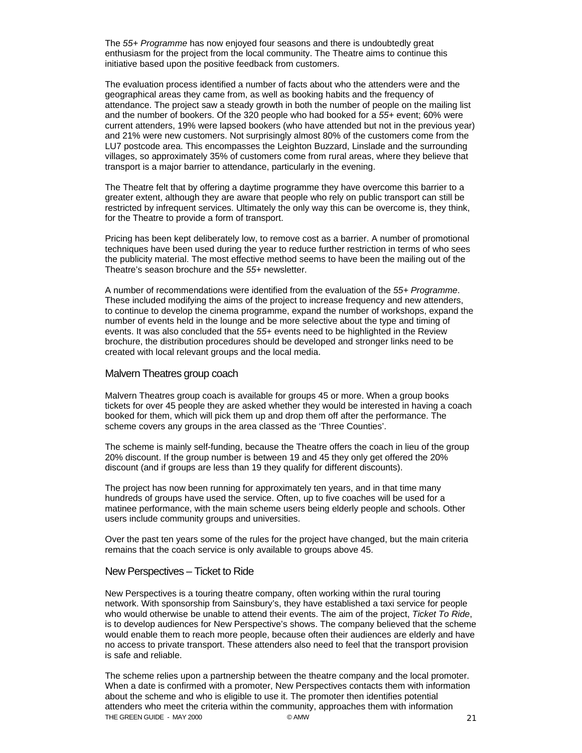The *55+ Programme* has now enjoyed four seasons and there is undoubtedly great enthusiasm for the project from the local community. The Theatre aims to continue this initiative based upon the positive feedback from customers.

The evaluation process identified a number of facts about who the attenders were and the geographical areas they came from, as well as booking habits and the frequency of attendance. The project saw a steady growth in both the number of people on the mailing list and the number of bookers. Of the 320 people who had booked for a *55+* event; 60% were current attenders, 19% were lapsed bookers (who have attended but not in the previous year) and 21% were new customers. Not surprisingly almost 80% of the customers come from the LU7 postcode area. This encompasses the Leighton Buzzard, Linslade and the surrounding villages, so approximately 35% of customers come from rural areas, where they believe that transport is a major barrier to attendance, particularly in the evening.

The Theatre felt that by offering a daytime programme they have overcome this barrier to a greater extent, although they are aware that people who rely on public transport can still be restricted by infrequent services. Ultimately the only way this can be overcome is, they think, for the Theatre to provide a form of transport.

Pricing has been kept deliberately low, to remove cost as a barrier. A number of promotional techniques have been used during the year to reduce further restriction in terms of who sees the publicity material. The most effective method seems to have been the mailing out of the Theatre's season brochure and the *55+* newsletter.

A number of recommendations were identified from the evaluation of the *55+ Programme*. These included modifying the aims of the project to increase frequency and new attenders, to continue to develop the cinema programme, expand the number of workshops, expand the number of events held in the lounge and be more selective about the type and timing of events. It was also concluded that the *55+* events need to be highlighted in the Review brochure, the distribution procedures should be developed and stronger links need to be created with local relevant groups and the local media.

### Malvern Theatres group coach

Malvern Theatres group coach is available for groups 45 or more. When a group books tickets for over 45 people they are asked whether they would be interested in having a coach booked for them, which will pick them up and drop them off after the performance. The scheme covers any groups in the area classed as the 'Three Counties'.

The scheme is mainly self-funding, because the Theatre offers the coach in lieu of the group 20% discount. If the group number is between 19 and 45 they only get offered the 20% discount (and if groups are less than 19 they qualify for different discounts).

The project has now been running for approximately ten years, and in that time many hundreds of groups have used the service. Often, up to five coaches will be used for a matinee performance, with the main scheme users being elderly people and schools. Other users include community groups and universities.

Over the past ten years some of the rules for the project have changed, but the main criteria remains that the coach service is only available to groups above 45.

### New Perspectives – Ticket to Ride

New Perspectives is a touring theatre company, often working within the rural touring network. With sponsorship from Sainsbury's, they have established a taxi service for people who would otherwise be unable to attend their events. The aim of the project, *Ticket To Ride*, is to develop audiences for New Perspective's shows. The company believed that the scheme would enable them to reach more people, because often their audiences are elderly and have no access to private transport. These attenders also need to feel that the transport provision is safe and reliable.

THE GREEN GUIDE - MAY 2000 CAMW 2000 CAMW 21 The scheme relies upon a partnership between the theatre company and the local promoter. When a date is confirmed with a promoter, New Perspectives contacts them with information about the scheme and who is eligible to use it. The promoter then identifies potential attenders who meet the criteria within the community, approaches them with information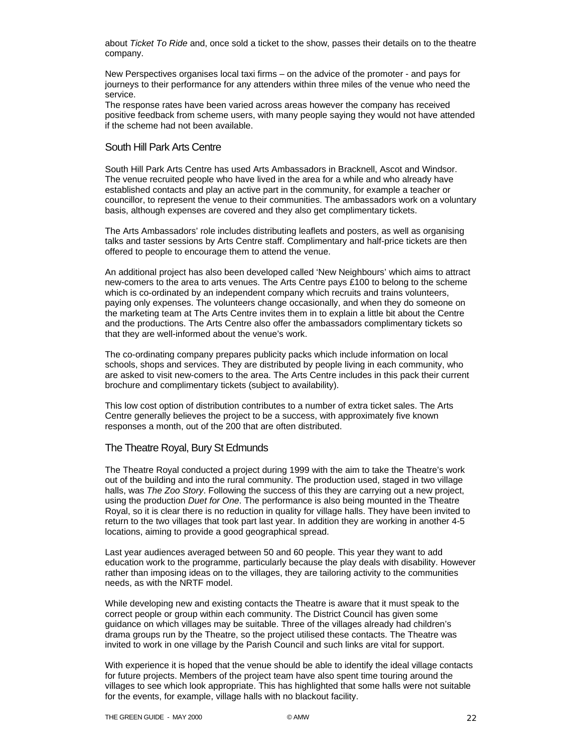about *Ticket To Ride* and, once sold a ticket to the show, passes their details on to the theatre company.

New Perspectives organises local taxi firms – on the advice of the promoter - and pays for journeys to their performance for any attenders within three miles of the venue who need the service.

The response rates have been varied across areas however the company has received positive feedback from scheme users, with many people saying they would not have attended if the scheme had not been available.

### South Hill Park Arts Centre

South Hill Park Arts Centre has used Arts Ambassadors in Bracknell, Ascot and Windsor. The venue recruited people who have lived in the area for a while and who already have established contacts and play an active part in the community, for example a teacher or councillor, to represent the venue to their communities. The ambassadors work on a voluntary basis, although expenses are covered and they also get complimentary tickets.

The Arts Ambassadors' role includes distributing leaflets and posters, as well as organising talks and taster sessions by Arts Centre staff. Complimentary and half-price tickets are then offered to people to encourage them to attend the venue.

An additional project has also been developed called 'New Neighbours' which aims to attract new-comers to the area to arts venues. The Arts Centre pays £100 to belong to the scheme which is co-ordinated by an independent company which recruits and trains volunteers, paying only expenses. The volunteers change occasionally, and when they do someone on the marketing team at The Arts Centre invites them in to explain a little bit about the Centre and the productions. The Arts Centre also offer the ambassadors complimentary tickets so that they are well-informed about the venue's work.

The co-ordinating company prepares publicity packs which include information on local schools, shops and services. They are distributed by people living in each community, who are asked to visit new-comers to the area. The Arts Centre includes in this pack their current brochure and complimentary tickets (subject to availability).

This low cost option of distribution contributes to a number of extra ticket sales. The Arts Centre generally believes the project to be a success, with approximately five known responses a month, out of the 200 that are often distributed.

### The Theatre Royal, Bury St Edmunds

The Theatre Royal conducted a project during 1999 with the aim to take the Theatre's work out of the building and into the rural community. The production used, staged in two village halls, was *The Zoo Story*. Following the success of this they are carrying out a new project, using the production *Duet for One*. The performance is also being mounted in the Theatre Royal, so it is clear there is no reduction in quality for village halls. They have been invited to return to the two villages that took part last year. In addition they are working in another 4-5 locations, aiming to provide a good geographical spread.

Last year audiences averaged between 50 and 60 people. This year they want to add education work to the programme, particularly because the play deals with disability. However rather than imposing ideas on to the villages, they are tailoring activity to the communities needs, as with the NRTF model.

While developing new and existing contacts the Theatre is aware that it must speak to the correct people or group within each community. The District Council has given some guidance on which villages may be suitable. Three of the villages already had children's drama groups run by the Theatre, so the project utilised these contacts. The Theatre was invited to work in one village by the Parish Council and such links are vital for support.

With experience it is hoped that the venue should be able to identify the ideal village contacts for future projects. Members of the project team have also spent time touring around the villages to see which look appropriate. This has highlighted that some halls were not suitable for the events, for example, village halls with no blackout facility.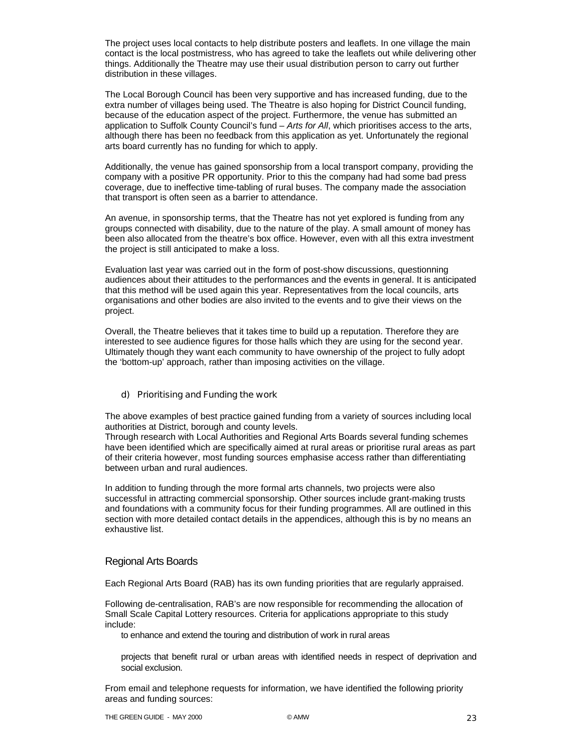The project uses local contacts to help distribute posters and leaflets. In one village the main contact is the local postmistress, who has agreed to take the leaflets out while delivering other things. Additionally the Theatre may use their usual distribution person to carry out further distribution in these villages.

The Local Borough Council has been very supportive and has increased funding, due to the extra number of villages being used. The Theatre is also hoping for District Council funding, because of the education aspect of the project. Furthermore, the venue has submitted an application to Suffolk County Council's fund – *Arts for All*, which prioritises access to the arts, although there has been no feedback from this application as yet. Unfortunately the regional arts board currently has no funding for which to apply.

Additionally, the venue has gained sponsorship from a local transport company, providing the company with a positive PR opportunity. Prior to this the company had had some bad press coverage, due to ineffective time-tabling of rural buses. The company made the association that transport is often seen as a barrier to attendance.

An avenue, in sponsorship terms, that the Theatre has not yet explored is funding from any groups connected with disability, due to the nature of the play. A small amount of money has been also allocated from the theatre's box office. However, even with all this extra investment the project is still anticipated to make a loss.

Evaluation last year was carried out in the form of post-show discussions, questionning audiences about their attitudes to the performances and the events in general. It is anticipated that this method will be used again this year. Representatives from the local councils, arts organisations and other bodies are also invited to the events and to give their views on the project.

Overall, the Theatre believes that it takes time to build up a reputation. Therefore they are interested to see audience figures for those halls which they are using for the second year. Ultimately though they want each community to have ownership of the project to fully adopt the 'bottom-up' approach, rather than imposing activities on the village.

### d) Prioritising and Funding the work

The above examples of best practice gained funding from a variety of sources including local authorities at District, borough and county levels.

Through research with Local Authorities and Regional Arts Boards several funding schemes have been identified which are specifically aimed at rural areas or prioritise rural areas as part of their criteria however, most funding sources emphasise access rather than differentiating between urban and rural audiences.

In addition to funding through the more formal arts channels, two projects were also successful in attracting commercial sponsorship. Other sources include grant-making trusts and foundations with a community focus for their funding programmes. All are outlined in this section with more detailed contact details in the appendices, although this is by no means an exhaustive list.

### Regional Arts Boards

Each Regional Arts Board (RAB) has its own funding priorities that are regularly appraised.

Following de-centralisation, RAB's are now responsible for recommending the allocation of Small Scale Capital Lottery resources. Criteria for applications appropriate to this study include:

to enhance and extend the touring and distribution of work in rural areas

projects that benefit rural or urban areas with identified needs in respect of deprivation and social exclusion.

From email and telephone requests for information, we have identified the following priority areas and funding sources: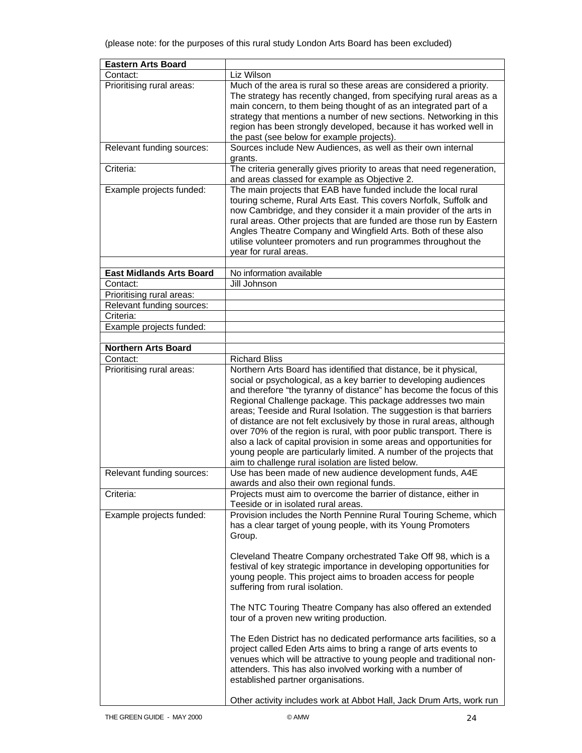| <b>Eastern Arts Board</b>       |                                                                         |
|---------------------------------|-------------------------------------------------------------------------|
| Contact:                        | Liz Wilson                                                              |
| Prioritising rural areas:       | Much of the area is rural so these areas are considered a priority.     |
|                                 | The strategy has recently changed, from specifying rural areas as a     |
|                                 | main concern, to them being thought of as an integrated part of a       |
|                                 | strategy that mentions a number of new sections. Networking in this     |
|                                 | region has been strongly developed, because it has worked well in       |
|                                 | the past (see below for example projects).                              |
| Relevant funding sources:       | Sources include New Audiences, as well as their own internal<br>grants. |
| Criteria:                       | The criteria generally gives priority to areas that need regeneration,  |
|                                 | and areas classed for example as Objective 2.                           |
| Example projects funded:        | The main projects that EAB have funded include the local rural          |
|                                 | touring scheme, Rural Arts East. This covers Norfolk, Suffolk and       |
|                                 | now Cambridge, and they consider it a main provider of the arts in      |
|                                 | rural areas. Other projects that are funded are those run by Eastern    |
|                                 | Angles Theatre Company and Wingfield Arts. Both of these also           |
|                                 | utilise volunteer promoters and run programmes throughout the           |
|                                 | year for rural areas.                                                   |
|                                 |                                                                         |
| <b>East Midlands Arts Board</b> | No information available                                                |
| Contact:                        | Jill Johnson                                                            |
| Prioritising rural areas:       |                                                                         |
| Relevant funding sources:       |                                                                         |
| Criteria:                       |                                                                         |
| Example projects funded:        |                                                                         |
|                                 |                                                                         |
| <b>Northern Arts Board</b>      |                                                                         |
| Contact:                        | <b>Richard Bliss</b>                                                    |
| Prioritising rural areas:       | Northern Arts Board has identified that distance, be it physical,       |
|                                 | social or psychological, as a key barrier to developing audiences       |
|                                 | and therefore "the tyranny of distance" has become the focus of this    |
|                                 | Regional Challenge package. This package addresses two main             |
|                                 | areas; Teeside and Rural Isolation. The suggestion is that barriers     |
|                                 | of distance are not felt exclusively by those in rural areas, although  |
|                                 | over 70% of the region is rural, with poor public transport. There is   |
|                                 | also a lack of capital provision in some areas and opportunities for    |
|                                 | young people are particularly limited. A number of the projects that    |
|                                 | aim to challenge rural isolation are listed below.                      |
| Relevant funding sources:       | Use has been made of new audience development funds, A4E                |
|                                 | awards and also their own regional funds.                               |
| Criteria:                       | Projects must aim to overcome the barrier of distance, either in        |
|                                 | Teeside or in isolated rural areas.                                     |
| Example projects funded:        | Provision includes the North Pennine Rural Touring Scheme, which        |
|                                 | has a clear target of young people, with its Young Promoters            |
|                                 | Group.                                                                  |
|                                 |                                                                         |
|                                 | Cleveland Theatre Company orchestrated Take Off 98, which is a          |
|                                 | festival of key strategic importance in developing opportunities for    |
|                                 | young people. This project aims to broaden access for people            |
|                                 | suffering from rural isolation.                                         |
|                                 |                                                                         |
|                                 | The NTC Touring Theatre Company has also offered an extended            |
|                                 | tour of a proven new writing production.                                |
|                                 |                                                                         |
|                                 | The Eden District has no dedicated performance arts facilities, so a    |
|                                 | project called Eden Arts aims to bring a range of arts events to        |
|                                 | venues which will be attractive to young people and traditional non-    |
|                                 | attenders. This has also involved working with a number of              |
|                                 | established partner organisations.                                      |
|                                 |                                                                         |
|                                 | Other activity includes work at Abbot Hall, Jack Drum Arts, work run    |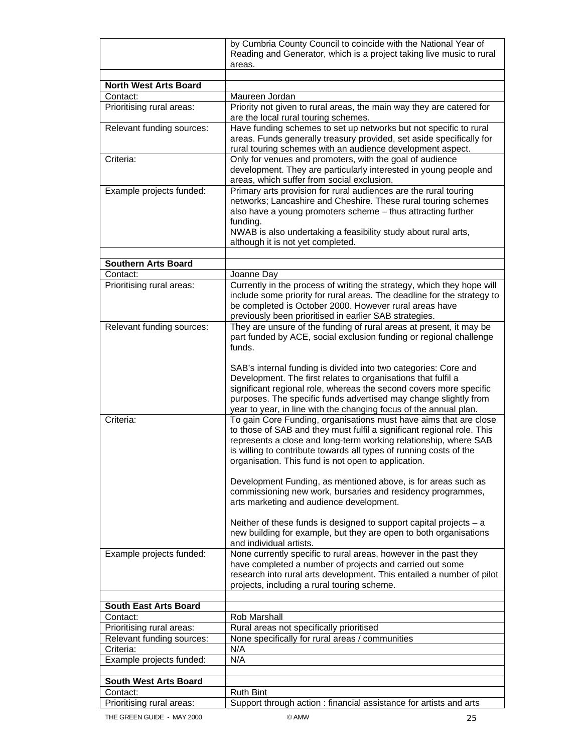|                                       | by Cumbria County Council to coincide with the National Year of                                                                                                                                                                                                       |
|---------------------------------------|-----------------------------------------------------------------------------------------------------------------------------------------------------------------------------------------------------------------------------------------------------------------------|
|                                       | Reading and Generator, which is a project taking live music to rural                                                                                                                                                                                                  |
|                                       | areas.                                                                                                                                                                                                                                                                |
|                                       |                                                                                                                                                                                                                                                                       |
| <b>North West Arts Board</b>          |                                                                                                                                                                                                                                                                       |
| Contact:<br>Prioritising rural areas: | Maureen Jordan<br>Priority not given to rural areas, the main way they are catered for                                                                                                                                                                                |
|                                       | are the local rural touring schemes.                                                                                                                                                                                                                                  |
| Relevant funding sources:             | Have funding schemes to set up networks but not specific to rural<br>areas. Funds generally treasury provided, set aside specifically for<br>rural touring schemes with an audience development aspect.                                                               |
| Criteria:                             | Only for venues and promoters, with the goal of audience                                                                                                                                                                                                              |
|                                       | development. They are particularly interested in young people and<br>areas, which suffer from social exclusion.                                                                                                                                                       |
| Example projects funded:              | Primary arts provision for rural audiences are the rural touring                                                                                                                                                                                                      |
|                                       | networks; Lancashire and Cheshire. These rural touring schemes<br>also have a young promoters scheme - thus attracting further                                                                                                                                        |
|                                       | funding.<br>NWAB is also undertaking a feasibility study about rural arts,<br>although it is not yet completed.                                                                                                                                                       |
|                                       |                                                                                                                                                                                                                                                                       |
| <b>Southern Arts Board</b>            |                                                                                                                                                                                                                                                                       |
| Contact:                              | Joanne Day                                                                                                                                                                                                                                                            |
| Prioritising rural areas:             | Currently in the process of writing the strategy, which they hope will<br>include some priority for rural areas. The deadline for the strategy to<br>be completed is October 2000. However rural areas have<br>previously been prioritised in earlier SAB strategies. |
| Relevant funding sources:             | They are unsure of the funding of rural areas at present, it may be                                                                                                                                                                                                   |
|                                       | part funded by ACE, social exclusion funding or regional challenge<br>funds.                                                                                                                                                                                          |
|                                       | SAB's internal funding is divided into two categories: Core and                                                                                                                                                                                                       |
|                                       | Development. The first relates to organisations that fulfil a                                                                                                                                                                                                         |
|                                       | significant regional role, whereas the second covers more specific<br>purposes. The specific funds advertised may change slightly from                                                                                                                                |
| Criteria:                             | year to year, in line with the changing focus of the annual plan.<br>To gain Core Funding, organisations must have aims that are close                                                                                                                                |
|                                       | to those of SAB and they must fulfil a significant regional role. This                                                                                                                                                                                                |
|                                       | represents a close and long-term working relationship, where SAB                                                                                                                                                                                                      |
|                                       | is willing to contribute towards all types of running costs of the<br>organisation. This fund is not open to application.                                                                                                                                             |
|                                       | Development Funding, as mentioned above, is for areas such as                                                                                                                                                                                                         |
|                                       | commissioning new work, bursaries and residency programmes,<br>arts marketing and audience development.                                                                                                                                                               |
|                                       | Neither of these funds is designed to support capital projects $- a$                                                                                                                                                                                                  |
|                                       | new building for example, but they are open to both organisations<br>and individual artists.                                                                                                                                                                          |
| Example projects funded:              | None currently specific to rural areas, however in the past they                                                                                                                                                                                                      |
|                                       | have completed a number of projects and carried out some                                                                                                                                                                                                              |
|                                       | research into rural arts development. This entailed a number of pilot<br>projects, including a rural touring scheme.                                                                                                                                                  |
|                                       |                                                                                                                                                                                                                                                                       |
| <b>South East Arts Board</b>          |                                                                                                                                                                                                                                                                       |
| Contact:                              | Rob Marshall                                                                                                                                                                                                                                                          |
| Prioritising rural areas:             | Rural areas not specifically prioritised                                                                                                                                                                                                                              |
| Relevant funding sources:             | None specifically for rural areas / communities                                                                                                                                                                                                                       |
| Criteria:                             | N/A                                                                                                                                                                                                                                                                   |
| Example projects funded:              | N/A                                                                                                                                                                                                                                                                   |
| <b>South West Arts Board</b>          |                                                                                                                                                                                                                                                                       |
| Contact:                              | <b>Ruth Bint</b>                                                                                                                                                                                                                                                      |
| Prioritising rural areas:             | Support through action : financial assistance for artists and arts                                                                                                                                                                                                    |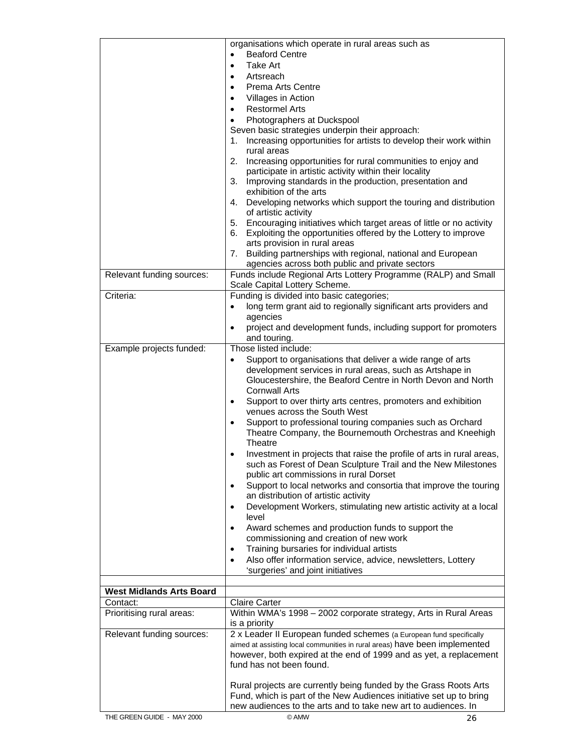|                                 | organisations which operate in rural areas such as                                                                       |
|---------------------------------|--------------------------------------------------------------------------------------------------------------------------|
|                                 | <b>Beaford Centre</b>                                                                                                    |
|                                 | Take Art<br>$\bullet$                                                                                                    |
|                                 | Artsreach<br>$\bullet$                                                                                                   |
|                                 | Prema Arts Centre<br>$\bullet$                                                                                           |
|                                 | Villages in Action<br>$\bullet$                                                                                          |
|                                 | <b>Restormel Arts</b><br>$\bullet$<br>Photographers at Duckspool                                                         |
|                                 | $\bullet$<br>Seven basic strategies underpin their approach:                                                             |
|                                 | Increasing opportunities for artists to develop their work within<br>1.                                                  |
|                                 | rural areas                                                                                                              |
|                                 | Increasing opportunities for rural communities to enjoy and<br>2.                                                        |
|                                 | participate in artistic activity within their locality                                                                   |
|                                 | 3. Improving standards in the production, presentation and                                                               |
|                                 | exhibition of the arts                                                                                                   |
|                                 | 4. Developing networks which support the touring and distribution                                                        |
|                                 | of artistic activity                                                                                                     |
|                                 | 5. Encouraging initiatives which target areas of little or no activity                                                   |
|                                 | 6. Exploiting the opportunities offered by the Lottery to improve                                                        |
|                                 | arts provision in rural areas<br>7. Building partnerships with regional, national and European                           |
|                                 | agencies across both public and private sectors                                                                          |
| Relevant funding sources:       | Funds include Regional Arts Lottery Programme (RALP) and Small                                                           |
|                                 | Scale Capital Lottery Scheme.                                                                                            |
| Criteria:                       | Funding is divided into basic categories;                                                                                |
|                                 | long term grant aid to regionally significant arts providers and<br>$\bullet$                                            |
|                                 | agencies                                                                                                                 |
|                                 | project and development funds, including support for promoters<br>$\bullet$                                              |
|                                 | and touring.                                                                                                             |
| Example projects funded:        | Those listed include:                                                                                                    |
|                                 | Support to organisations that deliver a wide range of arts<br>$\bullet$                                                  |
|                                 | development services in rural areas, such as Artshape in<br>Gloucestershire, the Beaford Centre in North Devon and North |
|                                 | <b>Cornwall Arts</b>                                                                                                     |
|                                 | Support to over thirty arts centres, promoters and exhibition<br>$\bullet$                                               |
|                                 | venues across the South West                                                                                             |
|                                 | Support to professional touring companies such as Orchard<br>$\bullet$                                                   |
|                                 | Theatre Company, the Bournemouth Orchestras and Kneehigh                                                                 |
|                                 | Theatre                                                                                                                  |
|                                 | Investment in projects that raise the profile of arts in rural areas,                                                    |
|                                 | such as Forest of Dean Sculpture Trail and the New Milestones                                                            |
|                                 | public art commissions in rural Dorset                                                                                   |
|                                 | Support to local networks and consortia that improve the touring<br>$\bullet$                                            |
|                                 | an distribution of artistic activity                                                                                     |
|                                 | Development Workers, stimulating new artistic activity at a local<br>$\bullet$<br>level                                  |
|                                 | Award schemes and production funds to support the<br>$\bullet$                                                           |
|                                 | commissioning and creation of new work                                                                                   |
|                                 | Training bursaries for individual artists<br>$\bullet$                                                                   |
|                                 | Also offer information service, advice, newsletters, Lottery<br>$\bullet$                                                |
|                                 | 'surgeries' and joint initiatives                                                                                        |
|                                 |                                                                                                                          |
| <b>West Midlands Arts Board</b> |                                                                                                                          |
| Contact:                        | <b>Claire Carter</b>                                                                                                     |
| Prioritising rural areas:       | Within WMA's 1998 - 2002 corporate strategy, Arts in Rural Areas                                                         |
| Relevant funding sources:       | is a priority<br>2 x Leader II European funded schemes (a European fund specifically                                     |
|                                 | aimed at assisting local communities in rural areas) have been implemented                                               |
|                                 | however, both expired at the end of 1999 and as yet, a replacement                                                       |
|                                 | fund has not been found.                                                                                                 |
|                                 |                                                                                                                          |
|                                 | Rural projects are currently being funded by the Grass Roots Arts                                                        |
|                                 | Fund, which is part of the New Audiences initiative set up to bring                                                      |
|                                 | new audiences to the arts and to take new art to audiences. In                                                           |
| THE GREEN GUIDE - MAY 2000      | © AMW<br>26                                                                                                              |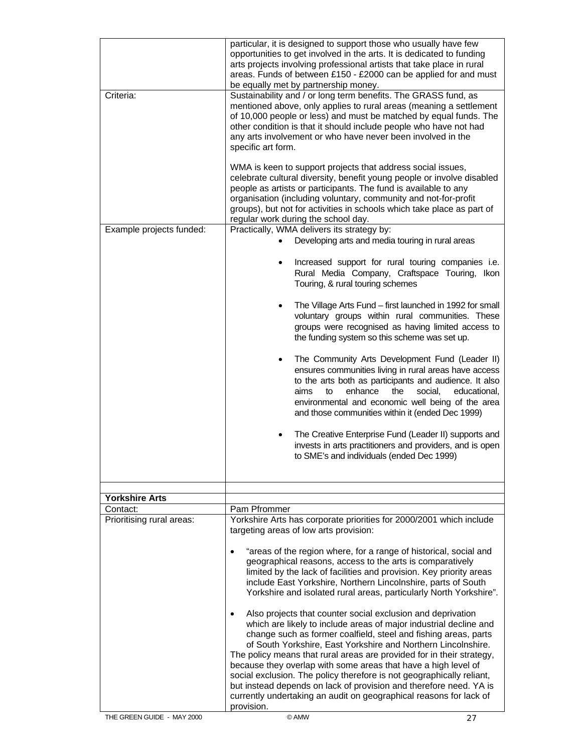| Practically, WMA delivers its strategy by:<br>Example projects funded:<br>Developing arts and media touring in rural areas<br>$\bullet$<br>Touring, & rural touring schemes<br>$\bullet$<br>the funding system so this scheme was set up.<br>$\bullet$<br>aims<br>enhance<br>social,<br>to<br>the<br>to SME's and individuals (ended Dec 1999)<br><b>Yorkshire Arts</b><br>Pam Pfrommer<br>Contact:<br>Prioritising rural areas:<br>targeting areas of low arts provision:<br>$\bullet$<br>geographical reasons, access to the arts is comparatively<br>limited by the lack of facilities and provision. Key priority areas<br>Also projects that counter social exclusion and deprivation<br>$\bullet$<br>because they overlap with some areas that have a high level of | Criteria: | particular, it is designed to support those who usually have few<br>opportunities to get involved in the arts. It is dedicated to funding<br>arts projects involving professional artists that take place in rural<br>areas. Funds of between £150 - £2000 can be applied for and must<br>be equally met by partnership money.<br>Sustainability and / or long term benefits. The GRASS fund, as<br>mentioned above, only applies to rural areas (meaning a settlement<br>of 10,000 people or less) and must be matched by equal funds. The<br>other condition is that it should include people who have not had<br>any arts involvement or who have never been involved in the<br>specific art form.<br>WMA is keen to support projects that address social issues,<br>celebrate cultural diversity, benefit young people or involve disabled<br>people as artists or participants. The fund is available to any<br>organisation (including voluntary, community and not-for-profit<br>groups), but not for activities in schools which take place as part of<br>regular work during the school day. |
|---------------------------------------------------------------------------------------------------------------------------------------------------------------------------------------------------------------------------------------------------------------------------------------------------------------------------------------------------------------------------------------------------------------------------------------------------------------------------------------------------------------------------------------------------------------------------------------------------------------------------------------------------------------------------------------------------------------------------------------------------------------------------|-----------|-------------------------------------------------------------------------------------------------------------------------------------------------------------------------------------------------------------------------------------------------------------------------------------------------------------------------------------------------------------------------------------------------------------------------------------------------------------------------------------------------------------------------------------------------------------------------------------------------------------------------------------------------------------------------------------------------------------------------------------------------------------------------------------------------------------------------------------------------------------------------------------------------------------------------------------------------------------------------------------------------------------------------------------------------------------------------------------------------------|
|                                                                                                                                                                                                                                                                                                                                                                                                                                                                                                                                                                                                                                                                                                                                                                           |           |                                                                                                                                                                                                                                                                                                                                                                                                                                                                                                                                                                                                                                                                                                                                                                                                                                                                                                                                                                                                                                                                                                       |
|                                                                                                                                                                                                                                                                                                                                                                                                                                                                                                                                                                                                                                                                                                                                                                           |           | Increased support for rural touring companies i.e.<br>Rural Media Company, Craftspace Touring, Ikon<br>The Village Arts Fund - first launched in 1992 for small<br>voluntary groups within rural communities. These<br>groups were recognised as having limited access to<br>The Community Arts Development Fund (Leader II)<br>ensures communities living in rural areas have access<br>to the arts both as participants and audience. It also<br>educational,<br>environmental and economic well being of the area<br>and those communities within it (ended Dec 1999)<br>The Creative Enterprise Fund (Leader II) supports and<br>invests in arts practitioners and providers, and is open                                                                                                                                                                                                                                                                                                                                                                                                         |
|                                                                                                                                                                                                                                                                                                                                                                                                                                                                                                                                                                                                                                                                                                                                                                           |           |                                                                                                                                                                                                                                                                                                                                                                                                                                                                                                                                                                                                                                                                                                                                                                                                                                                                                                                                                                                                                                                                                                       |
|                                                                                                                                                                                                                                                                                                                                                                                                                                                                                                                                                                                                                                                                                                                                                                           |           |                                                                                                                                                                                                                                                                                                                                                                                                                                                                                                                                                                                                                                                                                                                                                                                                                                                                                                                                                                                                                                                                                                       |
|                                                                                                                                                                                                                                                                                                                                                                                                                                                                                                                                                                                                                                                                                                                                                                           |           | Yorkshire Arts has corporate priorities for 2000/2001 which include<br>"areas of the region where, for a range of historical, social and                                                                                                                                                                                                                                                                                                                                                                                                                                                                                                                                                                                                                                                                                                                                                                                                                                                                                                                                                              |
|                                                                                                                                                                                                                                                                                                                                                                                                                                                                                                                                                                                                                                                                                                                                                                           |           | include East Yorkshire, Northern Lincolnshire, parts of South<br>Yorkshire and isolated rural areas, particularly North Yorkshire".                                                                                                                                                                                                                                                                                                                                                                                                                                                                                                                                                                                                                                                                                                                                                                                                                                                                                                                                                                   |
| provision.<br>THE GREEN GUIDE - MAY 2000<br>© AMW<br>27                                                                                                                                                                                                                                                                                                                                                                                                                                                                                                                                                                                                                                                                                                                   |           | which are likely to include areas of major industrial decline and<br>change such as former coalfield, steel and fishing areas, parts<br>of South Yorkshire, East Yorkshire and Northern Lincolnshire.<br>The policy means that rural areas are provided for in their strategy,<br>social exclusion. The policy therefore is not geographically reliant,<br>but instead depends on lack of provision and therefore need. YA is<br>currently undertaking an audit on geographical reasons for lack of                                                                                                                                                                                                                                                                                                                                                                                                                                                                                                                                                                                                   |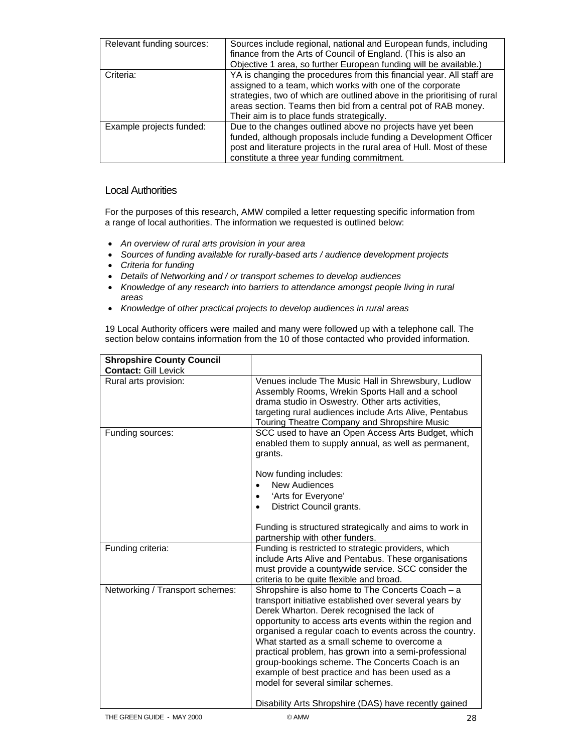| Relevant funding sources: | Sources include regional, national and European funds, including<br>finance from the Arts of Council of England. (This is also an<br>Objective 1 area, so further European funding will be available.)                                                                                                                         |
|---------------------------|--------------------------------------------------------------------------------------------------------------------------------------------------------------------------------------------------------------------------------------------------------------------------------------------------------------------------------|
| Criteria:                 | YA is changing the procedures from this financial year. All staff are<br>assigned to a team, which works with one of the corporate<br>strategies, two of which are outlined above in the prioritising of rural<br>areas section. Teams then bid from a central pot of RAB money.<br>Their aim is to place funds strategically. |
| Example projects funded:  | Due to the changes outlined above no projects have yet been<br>funded, although proposals include funding a Development Officer<br>post and literature projects in the rural area of Hull. Most of these<br>constitute a three year funding commitment.                                                                        |

# Local Authorities

For the purposes of this research, AMW compiled a letter requesting specific information from a range of local authorities. The information we requested is outlined below:

- *An overview of rural arts provision in your area*
- *Sources of funding available for rurally-based arts / audience development projects*
- *Criteria for funding*
- *Details of Networking and / or transport schemes to develop audiences*
- *Knowledge of any research into barriers to attendance amongst people living in rural areas*
- *Knowledge of other practical projects to develop audiences in rural areas*

19 Local Authority officers were mailed and many were followed up with a telephone call. The section below contains information from the 10 of those contacted who provided information.

| <b>Shropshire County Council</b><br><b>Contact: Gill Levick</b> |                                                                                                                                                                                                                                                                                                                                                                                                                                                                                                                                                                                                |
|-----------------------------------------------------------------|------------------------------------------------------------------------------------------------------------------------------------------------------------------------------------------------------------------------------------------------------------------------------------------------------------------------------------------------------------------------------------------------------------------------------------------------------------------------------------------------------------------------------------------------------------------------------------------------|
| Rural arts provision:                                           | Venues include The Music Hall in Shrewsbury, Ludlow<br>Assembly Rooms, Wrekin Sports Hall and a school<br>drama studio in Oswestry. Other arts activities,<br>targeting rural audiences include Arts Alive, Pentabus<br>Touring Theatre Company and Shropshire Music                                                                                                                                                                                                                                                                                                                           |
| Funding sources:                                                | SCC used to have an Open Access Arts Budget, which<br>enabled them to supply annual, as well as permanent,<br>grants.<br>Now funding includes:<br><b>New Audiences</b><br>'Arts for Everyone'<br>District Council grants.<br>Funding is structured strategically and aims to work in<br>partnership with other funders.                                                                                                                                                                                                                                                                        |
| Funding criteria:                                               | Funding is restricted to strategic providers, which<br>include Arts Alive and Pentabus. These organisations<br>must provide a countywide service. SCC consider the<br>criteria to be quite flexible and broad.                                                                                                                                                                                                                                                                                                                                                                                 |
| Networking / Transport schemes:                                 | Shropshire is also home to The Concerts Coach - a<br>transport initiative established over several years by<br>Derek Wharton. Derek recognised the lack of<br>opportunity to access arts events within the region and<br>organised a regular coach to events across the country.<br>What started as a small scheme to overcome a<br>practical problem, has grown into a semi-professional<br>group-bookings scheme. The Concerts Coach is an<br>example of best practice and has been used as a<br>model for several similar schemes.<br>Disability Arts Shropshire (DAS) have recently gained |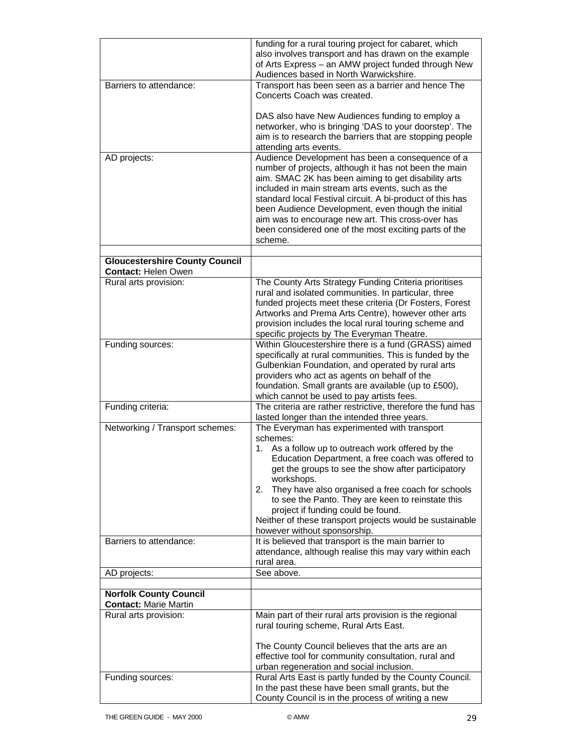|                                                                     | funding for a rural touring project for cabaret, which                                                                                                                                                                                                                                                                                                                                                                                                           |
|---------------------------------------------------------------------|------------------------------------------------------------------------------------------------------------------------------------------------------------------------------------------------------------------------------------------------------------------------------------------------------------------------------------------------------------------------------------------------------------------------------------------------------------------|
|                                                                     | also involves transport and has drawn on the example                                                                                                                                                                                                                                                                                                                                                                                                             |
|                                                                     | of Arts Express - an AMW project funded through New                                                                                                                                                                                                                                                                                                                                                                                                              |
|                                                                     | Audiences based in North Warwickshire.                                                                                                                                                                                                                                                                                                                                                                                                                           |
| Barriers to attendance:                                             | Transport has been seen as a barrier and hence The<br>Concerts Coach was created.                                                                                                                                                                                                                                                                                                                                                                                |
|                                                                     | DAS also have New Audiences funding to employ a<br>networker, who is bringing 'DAS to your doorstep'. The<br>aim is to research the barriers that are stopping people<br>attending arts events.                                                                                                                                                                                                                                                                  |
| AD projects:                                                        | Audience Development has been a consequence of a<br>number of projects, although it has not been the main<br>aim. SMAC 2K has been aiming to get disability arts<br>included in main stream arts events, such as the<br>standard local Festival circuit. A bi-product of this has<br>been Audience Development, even though the initial<br>aim was to encourage new art. This cross-over has<br>been considered one of the most exciting parts of the<br>scheme. |
| <b>Gloucestershire County Council</b><br><b>Contact: Helen Owen</b> |                                                                                                                                                                                                                                                                                                                                                                                                                                                                  |
| Rural arts provision:                                               | The County Arts Strategy Funding Criteria prioritises<br>rural and isolated communities. In particular, three<br>funded projects meet these criteria (Dr Fosters, Forest<br>Artworks and Prema Arts Centre), however other arts<br>provision includes the local rural touring scheme and<br>specific projects by The Everyman Theatre.                                                                                                                           |
| Funding sources:                                                    | Within Gloucestershire there is a fund (GRASS) aimed                                                                                                                                                                                                                                                                                                                                                                                                             |
|                                                                     | specifically at rural communities. This is funded by the<br>Gulbenkian Foundation, and operated by rural arts<br>providers who act as agents on behalf of the<br>foundation. Small grants are available (up to £500),<br>which cannot be used to pay artists fees.                                                                                                                                                                                               |
| Funding criteria:                                                   | The criteria are rather restrictive, therefore the fund has<br>lasted longer than the intended three years.                                                                                                                                                                                                                                                                                                                                                      |
| Networking / Transport schemes:                                     | The Everyman has experimented with transport<br>schemes:                                                                                                                                                                                                                                                                                                                                                                                                         |
|                                                                     | As a follow up to outreach work offered by the<br>1.<br>Education Department, a free coach was offered to<br>get the groups to see the show after participatory<br>workshops.                                                                                                                                                                                                                                                                                    |
|                                                                     | They have also organised a free coach for schools<br>2.<br>to see the Panto. They are keen to reinstate this<br>project if funding could be found.<br>Neither of these transport projects would be sustainable                                                                                                                                                                                                                                                   |
|                                                                     | however without sponsorship.                                                                                                                                                                                                                                                                                                                                                                                                                                     |
| Barriers to attendance:                                             | It is believed that transport is the main barrier to<br>attendance, although realise this may vary within each<br>rural area.                                                                                                                                                                                                                                                                                                                                    |
| AD projects:                                                        | See above.                                                                                                                                                                                                                                                                                                                                                                                                                                                       |
| <b>Norfolk County Council</b>                                       |                                                                                                                                                                                                                                                                                                                                                                                                                                                                  |
| <b>Contact: Marie Martin</b>                                        |                                                                                                                                                                                                                                                                                                                                                                                                                                                                  |
| Rural arts provision:                                               | Main part of their rural arts provision is the regional<br>rural touring scheme, Rural Arts East.                                                                                                                                                                                                                                                                                                                                                                |
|                                                                     | The County Council believes that the arts are an<br>effective tool for community consultation, rural and<br>urban regeneration and social inclusion.                                                                                                                                                                                                                                                                                                             |
| Funding sources:                                                    | Rural Arts East is partly funded by the County Council.<br>In the past these have been small grants, but the<br>County Council is in the process of writing a new                                                                                                                                                                                                                                                                                                |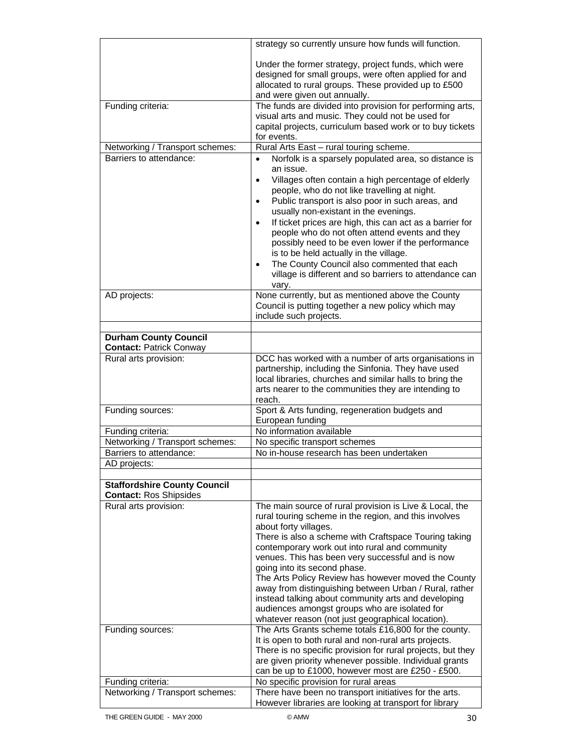|                                                                | strategy so currently unsure how funds will function.                                                                                                                                                                                                                                                                                                                                                                                                                                                                                                                                                                               |
|----------------------------------------------------------------|-------------------------------------------------------------------------------------------------------------------------------------------------------------------------------------------------------------------------------------------------------------------------------------------------------------------------------------------------------------------------------------------------------------------------------------------------------------------------------------------------------------------------------------------------------------------------------------------------------------------------------------|
|                                                                | Under the former strategy, project funds, which were<br>designed for small groups, were often applied for and<br>allocated to rural groups. These provided up to £500<br>and were given out annually.                                                                                                                                                                                                                                                                                                                                                                                                                               |
| Funding criteria:                                              | The funds are divided into provision for performing arts,<br>visual arts and music. They could not be used for<br>capital projects, curriculum based work or to buy tickets<br>for events.                                                                                                                                                                                                                                                                                                                                                                                                                                          |
| Networking / Transport schemes:                                | Rural Arts East - rural touring scheme.                                                                                                                                                                                                                                                                                                                                                                                                                                                                                                                                                                                             |
| Barriers to attendance:                                        | Norfolk is a sparsely populated area, so distance is<br>an issue.<br>Villages often contain a high percentage of elderly<br>٠<br>people, who do not like travelling at night.<br>Public transport is also poor in such areas, and<br>$\bullet$<br>usually non-existant in the evenings.<br>If ticket prices are high, this can act as a barrier for<br>$\bullet$<br>people who do not often attend events and they<br>possibly need to be even lower if the performance<br>is to be held actually in the village.<br>The County Council also commented that each<br>village is different and so barriers to attendance can<br>vary. |
| AD projects:                                                   | None currently, but as mentioned above the County<br>Council is putting together a new policy which may<br>include such projects.                                                                                                                                                                                                                                                                                                                                                                                                                                                                                                   |
|                                                                |                                                                                                                                                                                                                                                                                                                                                                                                                                                                                                                                                                                                                                     |
| <b>Durham County Council</b><br><b>Contact: Patrick Conway</b> |                                                                                                                                                                                                                                                                                                                                                                                                                                                                                                                                                                                                                                     |
| Rural arts provision:                                          | DCC has worked with a number of arts organisations in<br>partnership, including the Sinfonia. They have used<br>local libraries, churches and similar halls to bring the<br>arts nearer to the communities they are intending to<br>reach.                                                                                                                                                                                                                                                                                                                                                                                          |
| Funding sources:                                               | Sport & Arts funding, regeneration budgets and<br>European funding                                                                                                                                                                                                                                                                                                                                                                                                                                                                                                                                                                  |
| Funding criteria:                                              | No information available                                                                                                                                                                                                                                                                                                                                                                                                                                                                                                                                                                                                            |
| Networking / Transport schemes:                                | No specific transport schemes                                                                                                                                                                                                                                                                                                                                                                                                                                                                                                                                                                                                       |
| Barriers to attendance:                                        | No in-house research has been undertaken                                                                                                                                                                                                                                                                                                                                                                                                                                                                                                                                                                                            |
| AD projects:                                                   |                                                                                                                                                                                                                                                                                                                                                                                                                                                                                                                                                                                                                                     |
| <b>Staffordshire County Council</b>                            |                                                                                                                                                                                                                                                                                                                                                                                                                                                                                                                                                                                                                                     |
| <b>Contact: Ros Shipsides</b>                                  |                                                                                                                                                                                                                                                                                                                                                                                                                                                                                                                                                                                                                                     |
| Rural arts provision:                                          | The main source of rural provision is Live & Local, the<br>rural touring scheme in the region, and this involves<br>about forty villages.<br>There is also a scheme with Craftspace Touring taking<br>contemporary work out into rural and community<br>venues. This has been very successful and is now<br>going into its second phase.<br>The Arts Policy Review has however moved the County<br>away from distinguishing between Urban / Rural, rather<br>instead talking about community arts and developing                                                                                                                    |
|                                                                | audiences amongst groups who are isolated for<br>whatever reason (not just geographical location).                                                                                                                                                                                                                                                                                                                                                                                                                                                                                                                                  |
| Funding sources:                                               | The Arts Grants scheme totals £16,800 for the county.<br>It is open to both rural and non-rural arts projects.<br>There is no specific provision for rural projects, but they<br>are given priority whenever possible. Individual grants<br>can be up to £1000, however most are £250 - £500.                                                                                                                                                                                                                                                                                                                                       |
| Funding criteria:                                              | No specific provision for rural areas                                                                                                                                                                                                                                                                                                                                                                                                                                                                                                                                                                                               |
| Networking / Transport schemes:                                | There have been no transport initiatives for the arts.<br>However libraries are looking at transport for library                                                                                                                                                                                                                                                                                                                                                                                                                                                                                                                    |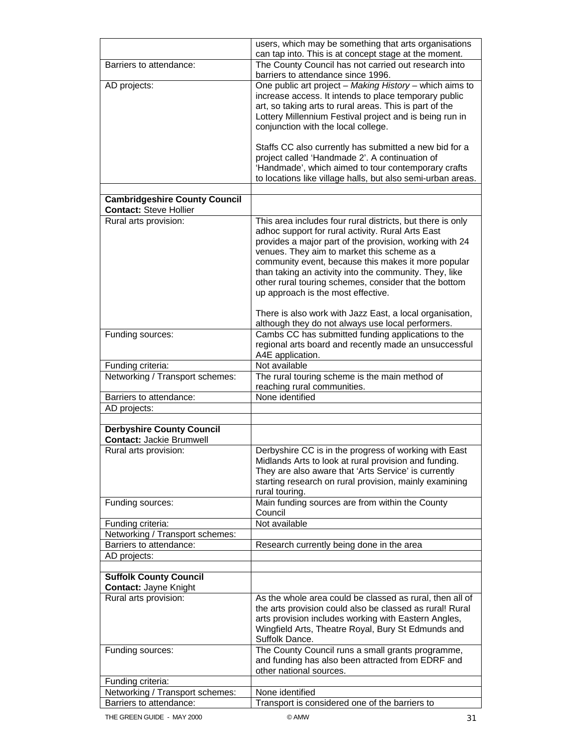|                                                            | users, which may be something that arts organisations                                                    |
|------------------------------------------------------------|----------------------------------------------------------------------------------------------------------|
|                                                            | can tap into. This is at concept stage at the moment.                                                    |
| Barriers to attendance:                                    | The County Council has not carried out research into                                                     |
|                                                            | barriers to attendance since 1996.                                                                       |
| AD projects:                                               | One public art project - Making History - which aims to                                                  |
|                                                            | increase access. It intends to place temporary public                                                    |
|                                                            | art, so taking arts to rural areas. This is part of the                                                  |
|                                                            | Lottery Millennium Festival project and is being run in                                                  |
|                                                            | conjunction with the local college.                                                                      |
|                                                            |                                                                                                          |
|                                                            | Staffs CC also currently has submitted a new bid for a<br>project called 'Handmade 2'. A continuation of |
|                                                            | 'Handmade', which aimed to tour contemporary crafts                                                      |
|                                                            | to locations like village halls, but also semi-urban areas.                                              |
|                                                            |                                                                                                          |
| <b>Cambridgeshire County Council</b>                       |                                                                                                          |
| <b>Contact: Steve Hollier</b>                              |                                                                                                          |
| Rural arts provision:                                      | This area includes four rural districts, but there is only                                               |
|                                                            | adhoc support for rural activity. Rural Arts East                                                        |
|                                                            | provides a major part of the provision, working with 24                                                  |
|                                                            | venues. They aim to market this scheme as a                                                              |
|                                                            | community event, because this makes it more popular                                                      |
|                                                            | than taking an activity into the community. They, like                                                   |
|                                                            | other rural touring schemes, consider that the bottom                                                    |
|                                                            | up approach is the most effective.                                                                       |
|                                                            |                                                                                                          |
|                                                            | There is also work with Jazz East, a local organisation,                                                 |
|                                                            | although they do not always use local performers.                                                        |
| Funding sources:                                           | Cambs CC has submitted funding applications to the                                                       |
|                                                            | regional arts board and recently made an unsuccessful                                                    |
|                                                            | A4E application.                                                                                         |
| Funding criteria:                                          | Not available                                                                                            |
| Networking / Transport schemes:                            | The rural touring scheme is the main method of                                                           |
|                                                            | reaching rural communities.                                                                              |
|                                                            |                                                                                                          |
| Barriers to attendance:                                    | None identified                                                                                          |
| AD projects:                                               |                                                                                                          |
|                                                            |                                                                                                          |
| <b>Derbyshire County Council</b>                           |                                                                                                          |
| <b>Contact: Jackie Brumwell</b>                            |                                                                                                          |
| Rural arts provision:                                      | Derbyshire CC is in the progress of working with East                                                    |
|                                                            | Midlands Arts to look at rural provision and funding.                                                    |
|                                                            | They are also aware that 'Arts Service' is currently                                                     |
|                                                            | starting research on rural provision, mainly examining                                                   |
|                                                            | rural touring.                                                                                           |
| Funding sources:                                           | Main funding sources are from within the County                                                          |
|                                                            | Council                                                                                                  |
| Funding criteria:                                          | Not available                                                                                            |
| Networking / Transport schemes:                            |                                                                                                          |
| Barriers to attendance:                                    | Research currently being done in the area                                                                |
| AD projects:                                               |                                                                                                          |
|                                                            |                                                                                                          |
| <b>Suffolk County Council</b>                              |                                                                                                          |
| <b>Contact: Jayne Knight</b>                               |                                                                                                          |
| Rural arts provision:                                      | As the whole area could be classed as rural, then all of                                                 |
|                                                            | the arts provision could also be classed as rural! Rural                                                 |
|                                                            | arts provision includes working with Eastern Angles,                                                     |
|                                                            | Wingfield Arts, Theatre Royal, Bury St Edmunds and                                                       |
|                                                            | Suffolk Dance.                                                                                           |
| Funding sources:                                           | The County Council runs a small grants programme,                                                        |
|                                                            | and funding has also been attracted from EDRF and<br>other national sources.                             |
|                                                            |                                                                                                          |
| Funding criteria:                                          |                                                                                                          |
| Networking / Transport schemes:<br>Barriers to attendance: | None identified<br>Transport is considered one of the barriers to                                        |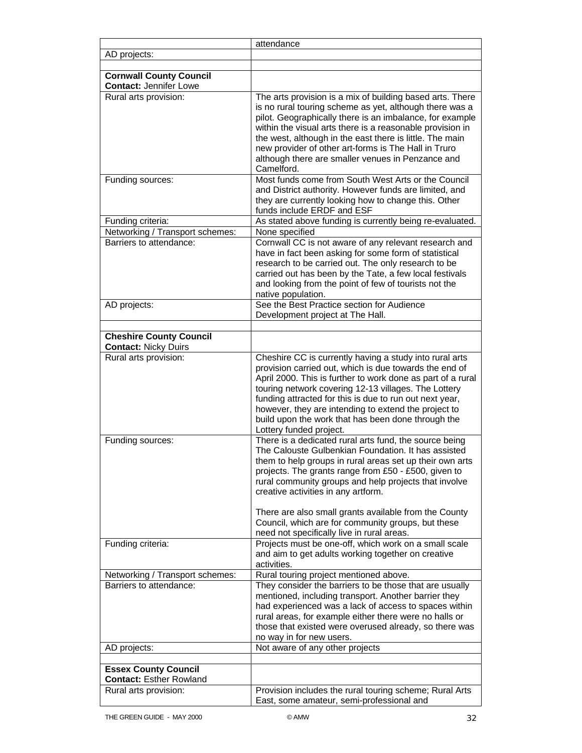|                                                                 | attendance                                                                                                                                                                                                                                                                                                                                                                                                                                                                                     |
|-----------------------------------------------------------------|------------------------------------------------------------------------------------------------------------------------------------------------------------------------------------------------------------------------------------------------------------------------------------------------------------------------------------------------------------------------------------------------------------------------------------------------------------------------------------------------|
| AD projects:                                                    |                                                                                                                                                                                                                                                                                                                                                                                                                                                                                                |
|                                                                 |                                                                                                                                                                                                                                                                                                                                                                                                                                                                                                |
| <b>Cornwall County Council</b><br><b>Contact: Jennifer Lowe</b> |                                                                                                                                                                                                                                                                                                                                                                                                                                                                                                |
| Rural arts provision:                                           | The arts provision is a mix of building based arts. There<br>is no rural touring scheme as yet, although there was a<br>pilot. Geographically there is an imbalance, for example<br>within the visual arts there is a reasonable provision in<br>the west, although in the east there is little. The main<br>new provider of other art-forms is The Hall in Truro<br>although there are smaller venues in Penzance and<br>Camelford.                                                           |
| Funding sources:                                                | Most funds come from South West Arts or the Council<br>and District authority. However funds are limited, and<br>they are currently looking how to change this. Other<br>funds include ERDF and ESF                                                                                                                                                                                                                                                                                            |
| Funding criteria:                                               | As stated above funding is currently being re-evaluated.                                                                                                                                                                                                                                                                                                                                                                                                                                       |
| Networking / Transport schemes:                                 | None specified                                                                                                                                                                                                                                                                                                                                                                                                                                                                                 |
| Barriers to attendance:                                         | Cornwall CC is not aware of any relevant research and<br>have in fact been asking for some form of statistical<br>research to be carried out. The only research to be<br>carried out has been by the Tate, a few local festivals<br>and looking from the point of few of tourists not the<br>native population.                                                                                                                                                                                |
| AD projects:                                                    | See the Best Practice section for Audience<br>Development project at The Hall.                                                                                                                                                                                                                                                                                                                                                                                                                 |
|                                                                 |                                                                                                                                                                                                                                                                                                                                                                                                                                                                                                |
| <b>Cheshire County Council</b><br><b>Contact: Nicky Duirs</b>   |                                                                                                                                                                                                                                                                                                                                                                                                                                                                                                |
| Rural arts provision:                                           | Cheshire CC is currently having a study into rural arts<br>provision carried out, which is due towards the end of<br>April 2000. This is further to work done as part of a rural<br>touring network covering 12-13 villages. The Lottery<br>funding attracted for this is due to run out next year,<br>however, they are intending to extend the project to<br>build upon the work that has been done through the<br>Lottery funded project.                                                   |
| Funding sources:                                                | There is a dedicated rural arts fund, the source being<br>The Calouste Gulbenkian Foundation. It has assisted<br>them to help groups in rural areas set up their own arts<br>projects. The grants range from £50 - £500, given to<br>rural community groups and help projects that involve<br>creative activities in any artform.<br>There are also small grants available from the County<br>Council, which are for community groups, but these<br>need not specifically live in rural areas. |
| Funding criteria:                                               | Projects must be one-off, which work on a small scale<br>and aim to get adults working together on creative<br>activities.                                                                                                                                                                                                                                                                                                                                                                     |
| Networking / Transport schemes:                                 | Rural touring project mentioned above.                                                                                                                                                                                                                                                                                                                                                                                                                                                         |
| Barriers to attendance:                                         | They consider the barriers to be those that are usually<br>mentioned, including transport. Another barrier they<br>had experienced was a lack of access to spaces within<br>rural areas, for example either there were no halls or<br>those that existed were overused already, so there was<br>no way in for new users.                                                                                                                                                                       |
| AD projects:                                                    | Not aware of any other projects                                                                                                                                                                                                                                                                                                                                                                                                                                                                |
|                                                                 |                                                                                                                                                                                                                                                                                                                                                                                                                                                                                                |
| <b>Essex County Council</b><br><b>Contact: Esther Rowland</b>   |                                                                                                                                                                                                                                                                                                                                                                                                                                                                                                |
| Rural arts provision:                                           | Provision includes the rural touring scheme; Rural Arts<br>East, some amateur, semi-professional and                                                                                                                                                                                                                                                                                                                                                                                           |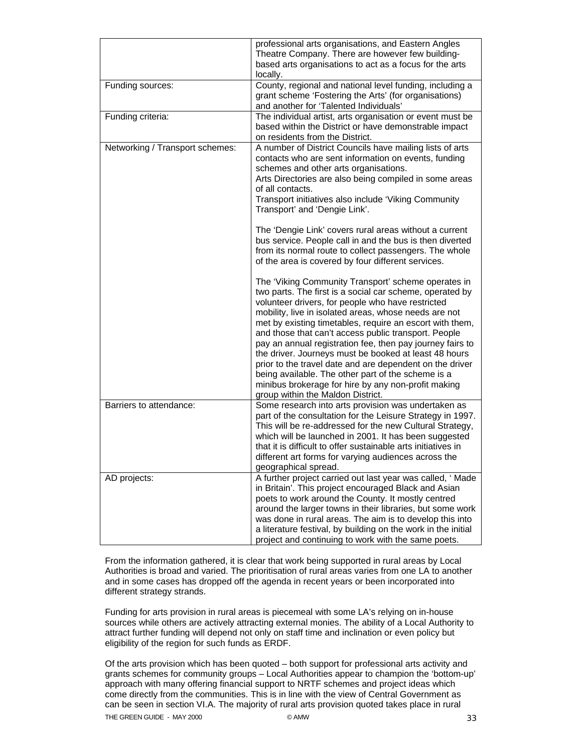|                                 | professional arts organisations, and Eastern Angles<br>Theatre Company. There are however few building-<br>based arts organisations to act as a focus for the arts<br>locally.                                                                                                                                                                                                                                                                                                                                                                                                                                                                                                        |
|---------------------------------|---------------------------------------------------------------------------------------------------------------------------------------------------------------------------------------------------------------------------------------------------------------------------------------------------------------------------------------------------------------------------------------------------------------------------------------------------------------------------------------------------------------------------------------------------------------------------------------------------------------------------------------------------------------------------------------|
| Funding sources:                | County, regional and national level funding, including a<br>grant scheme 'Fostering the Arts' (for organisations)<br>and another for 'Talented Individuals'                                                                                                                                                                                                                                                                                                                                                                                                                                                                                                                           |
| Funding criteria:               | The individual artist, arts organisation or event must be<br>based within the District or have demonstrable impact<br>on residents from the District.                                                                                                                                                                                                                                                                                                                                                                                                                                                                                                                                 |
| Networking / Transport schemes: | A number of District Councils have mailing lists of arts<br>contacts who are sent information on events, funding<br>schemes and other arts organisations.<br>Arts Directories are also being compiled in some areas<br>of all contacts.<br>Transport initiatives also include 'Viking Community<br>Transport' and 'Dengie Link'.<br>The 'Dengie Link' covers rural areas without a current                                                                                                                                                                                                                                                                                            |
|                                 | bus service. People call in and the bus is then diverted<br>from its normal route to collect passengers. The whole<br>of the area is covered by four different services.                                                                                                                                                                                                                                                                                                                                                                                                                                                                                                              |
|                                 | The 'Viking Community Transport' scheme operates in<br>two parts. The first is a social car scheme, operated by<br>volunteer drivers, for people who have restricted<br>mobility, live in isolated areas, whose needs are not<br>met by existing timetables, require an escort with them,<br>and those that can't access public transport. People<br>pay an annual registration fee, then pay journey fairs to<br>the driver. Journeys must be booked at least 48 hours<br>prior to the travel date and are dependent on the driver<br>being available. The other part of the scheme is a<br>minibus brokerage for hire by any non-profit making<br>group within the Maldon District. |
| Barriers to attendance:         | Some research into arts provision was undertaken as<br>part of the consultation for the Leisure Strategy in 1997.<br>This will be re-addressed for the new Cultural Strategy,<br>which will be launched in 2001. It has been suggested<br>that it is difficult to offer sustainable arts initiatives in<br>different art forms for varying audiences across the<br>geographical spread.                                                                                                                                                                                                                                                                                               |
| AD projects:                    | A further project carried out last year was called, 'Made<br>in Britain'. This project encouraged Black and Asian<br>poets to work around the County. It mostly centred<br>around the larger towns in their libraries, but some work<br>was done in rural areas. The aim is to develop this into<br>a literature festival, by building on the work in the initial<br>project and continuing to work with the same poets.                                                                                                                                                                                                                                                              |

From the information gathered, it is clear that work being supported in rural areas by Local Authorities is broad and varied. The prioritisation of rural areas varies from one LA to another and in some cases has dropped off the agenda in recent years or been incorporated into different strategy strands.

Funding for arts provision in rural areas is piecemeal with some LA's relying on in-house sources while others are actively attracting external monies. The ability of a Local Authority to attract further funding will depend not only on staff time and inclination or even policy but eligibility of the region for such funds as ERDF.

THE GREEN GUIDE - MAY 2000 CAMW COMMUNICATION COMMUNICATION OF SAMPLE STATES AND STATES OF SAMPLE STATES AND THE GREEN GUIDE OF STATES AND STATES OF STATES AND STATES AND STATES OF STATES AND STATES AND STATES OF STATES AN Of the arts provision which has been quoted – both support for professional arts activity and grants schemes for community groups – Local Authorities appear to champion the 'bottom-up' approach with many offering financial support to NRTF schemes and project ideas which come directly from the communities. This is in line with the view of Central Government as can be seen in section VI.A. The majority of rural arts provision quoted takes place in rural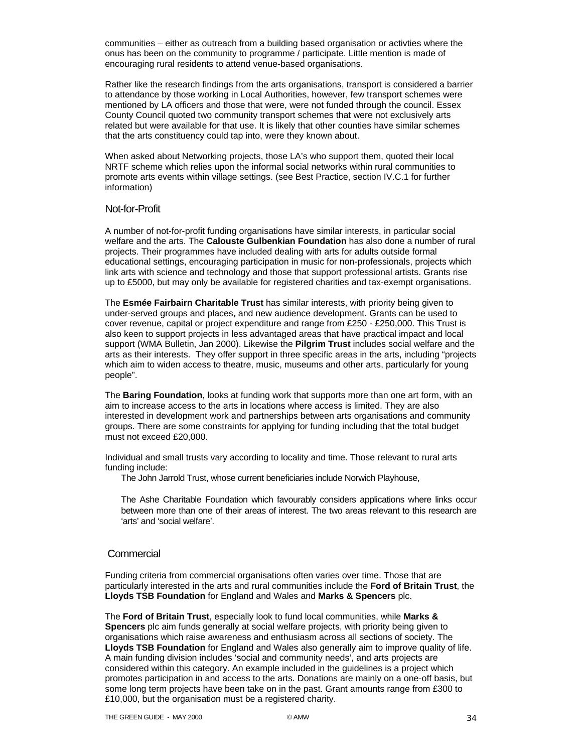communities – either as outreach from a building based organisation or activties where the onus has been on the community to programme / participate. Little mention is made of encouraging rural residents to attend venue-based organisations.

Rather like the research findings from the arts organisations, transport is considered a barrier to attendance by those working in Local Authorities, however, few transport schemes were mentioned by LA officers and those that were, were not funded through the council. Essex County Council quoted two community transport schemes that were not exclusively arts related but were available for that use. It is likely that other counties have similar schemes that the arts constituency could tap into, were they known about.

When asked about Networking projects, those LA's who support them, quoted their local NRTF scheme which relies upon the informal social networks within rural communities to promote arts events within village settings. (see Best Practice, section IV.C.1 for further information)

### Not-for-Profit

A number of not-for-profit funding organisations have similar interests, in particular social welfare and the arts. The **Calouste Gulbenkian Foundation** has also done a number of rural projects. Their programmes have included dealing with arts for adults outside formal educational settings, encouraging participation in music for non-professionals, projects which link arts with science and technology and those that support professional artists. Grants rise up to £5000, but may only be available for registered charities and tax-exempt organisations.

The **Esmée Fairbairn Charitable Trust** has similar interests, with priority being given to under-served groups and places, and new audience development. Grants can be used to cover revenue, capital or project expenditure and range from £250 - £250,000. This Trust is also keen to support projects in less advantaged areas that have practical impact and local support (WMA Bulletin, Jan 2000). Likewise the **Pilgrim Trust** includes social welfare and the arts as their interests. They offer support in three specific areas in the arts, including "projects which aim to widen access to theatre, music, museums and other arts, particularly for young people".

The **Baring Foundation**, looks at funding work that supports more than one art form, with an aim to increase access to the arts in locations where access is limited. They are also interested in development work and partnerships between arts organisations and community groups. There are some constraints for applying for funding including that the total budget must not exceed £20,000.

Individual and small trusts vary according to locality and time. Those relevant to rural arts funding include:

The John Jarrold Trust, whose current beneficiaries include Norwich Playhouse,

The Ashe Charitable Foundation which favourably considers applications where links occur between more than one of their areas of interest. The two areas relevant to this research are 'arts' and 'social welfare'.

### **Commercial**

Funding criteria from commercial organisations often varies over time. Those that are particularly interested in the arts and rural communities include the **Ford of Britain Trust**, the **Lloyds TSB Foundation** for England and Wales and **Marks & Spencers** plc.

The **Ford of Britain Trust**, especially look to fund local communities, while **Marks & Spencers** plc aim funds generally at social welfare projects, with priority being given to organisations which raise awareness and enthusiasm across all sections of society. The **Lloyds TSB Foundation** for England and Wales also generally aim to improve quality of life. A main funding division includes 'social and community needs', and arts projects are considered within this category. An example included in the guidelines is a project which promotes participation in and access to the arts. Donations are mainly on a one-off basis, but some long term projects have been take on in the past. Grant amounts range from £300 to £10,000, but the organisation must be a registered charity.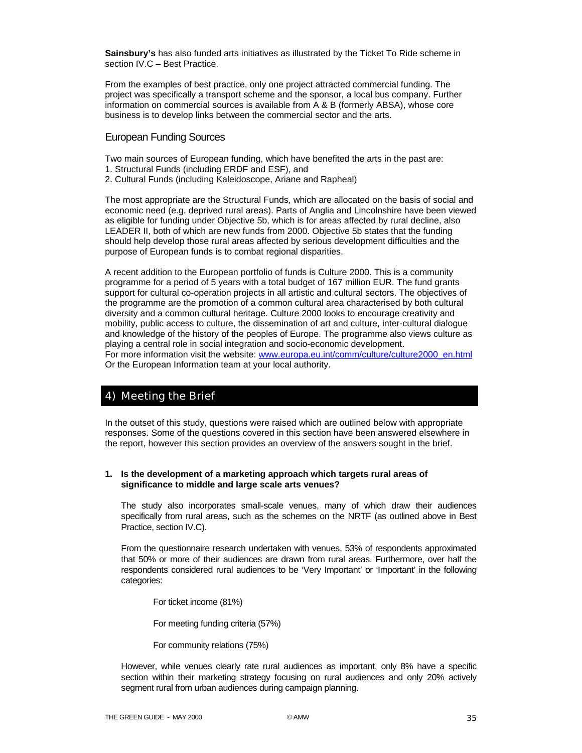**Sainsbury's** has also funded arts initiatives as illustrated by the Ticket To Ride scheme in section IV.C – Best Practice.

From the examples of best practice, only one project attracted commercial funding. The project was specifically a transport scheme and the sponsor, a local bus company. Further information on commercial sources is available from A & B (formerly ABSA), whose core business is to develop links between the commercial sector and the arts.

### European Funding Sources

Two main sources of European funding, which have benefited the arts in the past are:

- 1. Structural Funds (including ERDF and ESF), and
- 2. Cultural Funds (including Kaleidoscope, Ariane and Rapheal)

The most appropriate are the Structural Funds, which are allocated on the basis of social and economic need (e.g. deprived rural areas). Parts of Anglia and Lincolnshire have been viewed as eligible for funding under Objective 5b, which is for areas affected by rural decline, also LEADER II, both of which are new funds from 2000. Objective 5b states that the funding should help develop those rural areas affected by serious development difficulties and the purpose of European funds is to combat regional disparities.

A recent addition to the European portfolio of funds is Culture 2000. This is a community programme for a period of 5 years with a total budget of 167 million EUR. The fund grants support for cultural co-operation projects in all artistic and cultural sectors. The objectives of the programme are the promotion of a common cultural area characterised by both cultural diversity and a common cultural heritage. Culture 2000 looks to encourage creativity and mobility, public access to culture, the dissemination of art and culture, inter-cultural dialogue and knowledge of the history of the peoples of Europe. The programme also views culture as playing a central role in social integration and socio-economic development. For more information visit the website: www.europa.eu.int/comm/culture/culture2000\_en.html Or the European Information team at your local authority.

# 4) Meeting the Brief

In the outset of this study, questions were raised which are outlined below with appropriate responses. Some of the questions covered in this section have been answered elsewhere in the report, however this section provides an overview of the answers sought in the brief.

### **1. Is the development of a marketing approach which targets rural areas of significance to middle and large scale arts venues?**

The study also incorporates small-scale venues, many of which draw their audiences specifically from rural areas, such as the schemes on the NRTF (as outlined above in Best Practice, section IV.C).

From the questionnaire research undertaken with venues, 53% of respondents approximated that 50% or more of their audiences are drawn from rural areas. Furthermore, over half the respondents considered rural audiences to be 'Very Important' or 'Important' in the following categories:

For ticket income (81%)

For meeting funding criteria (57%)

For community relations (75%)

However, while venues clearly rate rural audiences as important, only 8% have a specific section within their marketing strategy focusing on rural audiences and only 20% actively segment rural from urban audiences during campaign planning.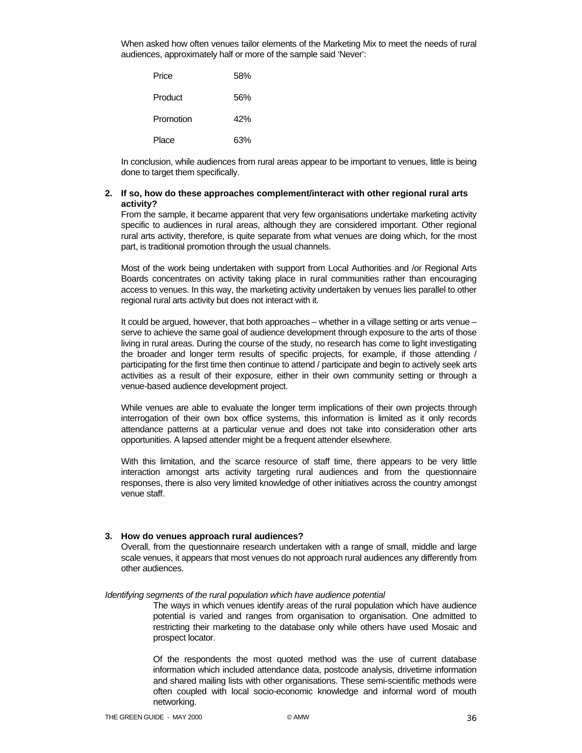When asked how often venues tailor elements of the Marketing Mix to meet the needs of rural audiences, approximately half or more of the sample said 'Never':

| Price     | 58% |
|-----------|-----|
| Product   | 56% |
| Promotion | 42% |
| Place     | 63% |

In conclusion, while audiences from rural areas appear to be important to venues, little is being done to target them specifically.

### **2. If so, how do these approaches complement/interact with other regional rural arts activity?**

From the sample, it became apparent that very few organisations undertake marketing activity specific to audiences in rural areas, although they are considered important. Other regional rural arts activity, therefore, is quite separate from what venues are doing which, for the most part, is traditional promotion through the usual channels.

Most of the work being undertaken with support from Local Authorities and /or Regional Arts Boards concentrates on activity taking place in rural communities rather than encouraging access to venues. In this way, the marketing activity undertaken by venues lies parallel to other regional rural arts activity but does not interact with it.

It could be argued, however, that both approaches – whether in a village setting or arts venue – serve to achieve the same goal of audience development through exposure to the arts of those living in rural areas. During the course of the study, no research has come to light investigating the broader and longer term results of specific projects, for example, if those attending / participating for the first time then continue to attend / participate and begin to actively seek arts activities as a result of their exposure, either in their own community setting or through a venue-based audience development project.

While venues are able to evaluate the longer term implications of their own projects through interrogation of their own box office systems, this information is limited as it only records attendance patterns at a particular venue and does not take into consideration other arts opportunities. A lapsed attender might be a frequent attender elsewhere.

With this limitation, and the scarce resource of staff time, there appears to be very little interaction amongst arts activity targeting rural audiences and from the questionnaire responses, there is also very limited knowledge of other initiatives across the country amongst venue staff.

### **3. How do venues approach rural audiences?**

Overall, from the questionnaire research undertaken with a range of small, middle and large scale venues, it appears that most venues do not approach rural audiences any differently from other audiences.

*Identifying segments of the rural population which have audience potential* 

The ways in which venues identify areas of the rural population which have audience potential is varied and ranges from organisation to organisation. One admitted to restricting their marketing to the database only while others have used Mosaic and prospect locator.

Of the respondents the most quoted method was the use of current database information which included attendance data, postcode analysis, drivetime information and shared mailing lists with other organisations. These semi-scientific methods were often coupled with local socio-economic knowledge and informal word of mouth networking.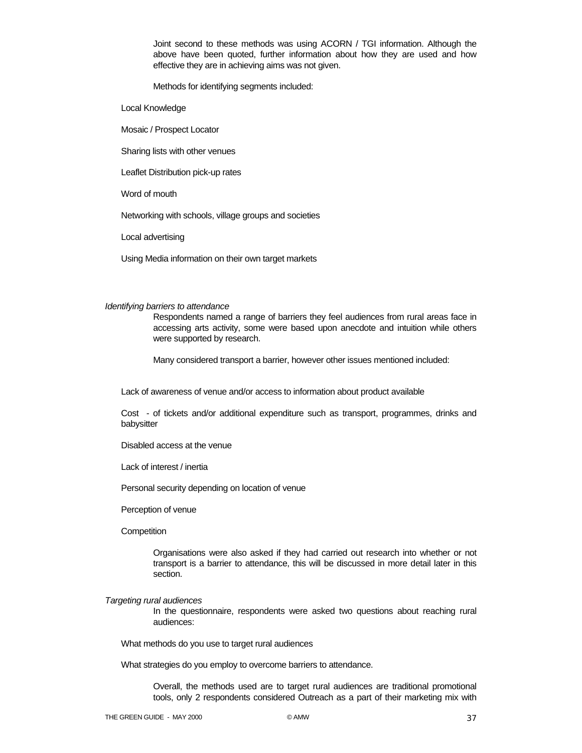Joint second to these methods was using ACORN / TGI information. Although the above have been quoted, further information about how they are used and how effective they are in achieving aims was not given.

Methods for identifying segments included:

Local Knowledge

Mosaic / Prospect Locator

Sharing lists with other venues

Leaflet Distribution pick-up rates

Word of mouth

Networking with schools, village groups and societies

Local advertising

Using Media information on their own target markets

#### *Identifying barriers to attendance*

Respondents named a range of barriers they feel audiences from rural areas face in accessing arts activity, some were based upon anecdote and intuition while others were supported by research.

Many considered transport a barrier, however other issues mentioned included:

Lack of awareness of venue and/or access to information about product available

Cost - of tickets and/or additional expenditure such as transport, programmes, drinks and babysitter

Disabled access at the venue

Lack of interest / inertia

Personal security depending on location of venue

Perception of venue

**Competition** 

Organisations were also asked if they had carried out research into whether or not transport is a barrier to attendance, this will be discussed in more detail later in this section.

#### *Targeting rural audiences*

In the questionnaire, respondents were asked two questions about reaching rural audiences:

What methods do you use to target rural audiences

What strategies do you employ to overcome barriers to attendance.

Overall, the methods used are to target rural audiences are traditional promotional tools, only 2 respondents considered Outreach as a part of their marketing mix with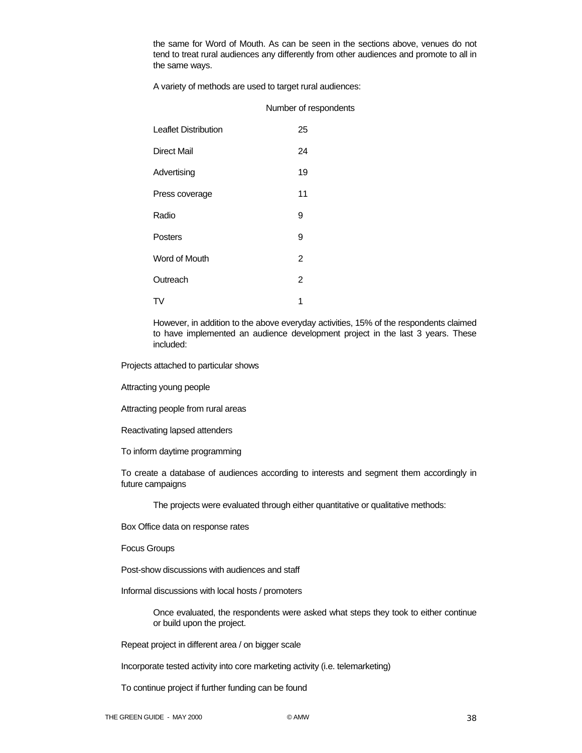the same for Word of Mouth. As can be seen in the sections above, venues do not tend to treat rural audiences any differently from other audiences and promote to all in the same ways.

A variety of methods are used to target rural audiences:

| <b>Leaflet Distribution</b> | 25             |
|-----------------------------|----------------|
| Direct Mail                 | 24             |
| Advertising                 | 19             |
| Press coverage              | 11             |
| Radio                       | 9              |
| Posters                     | 9              |
| Word of Mouth               | 2              |
| Outreach                    | $\overline{2}$ |
| 1 V                         | 1              |

However, in addition to the above everyday activities, 15% of the respondents claimed to have implemented an audience development project in the last 3 years. These included:

Projects attached to particular shows

Attracting young people

Attracting people from rural areas

Reactivating lapsed attenders

To inform daytime programming

To create a database of audiences according to interests and segment them accordingly in future campaigns

The projects were evaluated through either quantitative or qualitative methods:

Box Office data on response rates

Focus Groups

Post-show discussions with audiences and staff

Informal discussions with local hosts / promoters

Once evaluated, the respondents were asked what steps they took to either continue or build upon the project.

Repeat project in different area / on bigger scale

Incorporate tested activity into core marketing activity (i.e. telemarketing)

To continue project if further funding can be found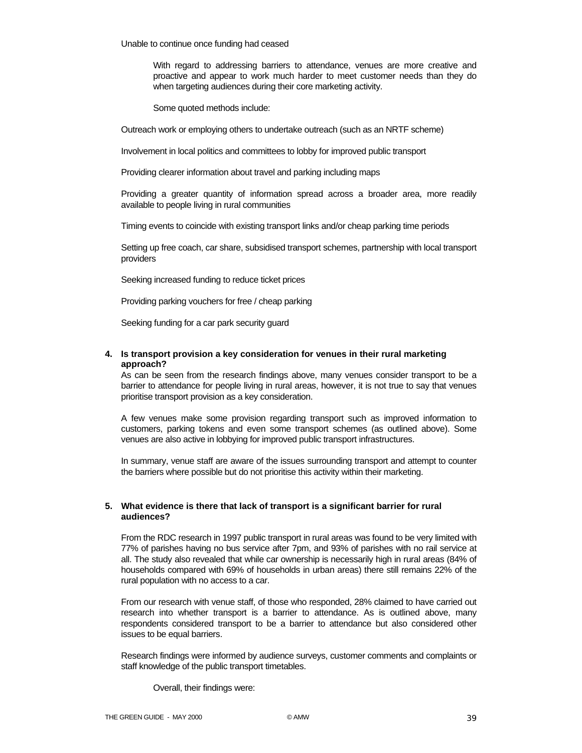Unable to continue once funding had ceased

With regard to addressing barriers to attendance, venues are more creative and proactive and appear to work much harder to meet customer needs than they do when targeting audiences during their core marketing activity.

Some quoted methods include:

Outreach work or employing others to undertake outreach (such as an NRTF scheme)

Involvement in local politics and committees to lobby for improved public transport

Providing clearer information about travel and parking including maps

Providing a greater quantity of information spread across a broader area, more readily available to people living in rural communities

Timing events to coincide with existing transport links and/or cheap parking time periods

Setting up free coach, car share, subsidised transport schemes, partnership with local transport providers

Seeking increased funding to reduce ticket prices

Providing parking vouchers for free / cheap parking

Seeking funding for a car park security guard

### **4. Is transport provision a key consideration for venues in their rural marketing approach?**

As can be seen from the research findings above, many venues consider transport to be a barrier to attendance for people living in rural areas, however, it is not true to say that venues prioritise transport provision as a key consideration.

A few venues make some provision regarding transport such as improved information to customers, parking tokens and even some transport schemes (as outlined above). Some venues are also active in lobbying for improved public transport infrastructures.

In summary, venue staff are aware of the issues surrounding transport and attempt to counter the barriers where possible but do not prioritise this activity within their marketing.

### **5. What evidence is there that lack of transport is a significant barrier for rural audiences?**

From the RDC research in 1997 public transport in rural areas was found to be very limited with 77% of parishes having no bus service after 7pm, and 93% of parishes with no rail service at all. The study also revealed that while car ownership is necessarily high in rural areas (84% of households compared with 69% of households in urban areas) there still remains 22% of the rural population with no access to a car.

From our research with venue staff, of those who responded, 28% claimed to have carried out research into whether transport is a barrier to attendance. As is outlined above, many respondents considered transport to be a barrier to attendance but also considered other issues to be equal barriers.

Research findings were informed by audience surveys, customer comments and complaints or staff knowledge of the public transport timetables.

Overall, their findings were: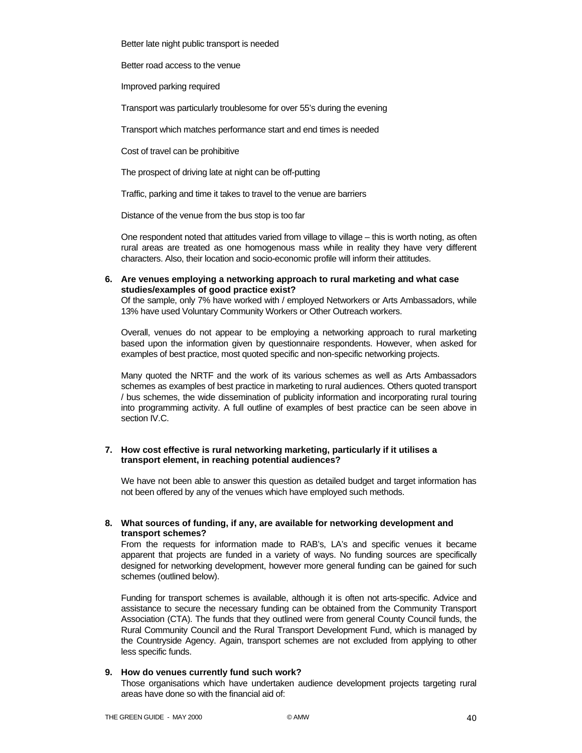Better late night public transport is needed

Better road access to the venue

Improved parking required

Transport was particularly troublesome for over 55's during the evening

Transport which matches performance start and end times is needed

Cost of travel can be prohibitive

The prospect of driving late at night can be off-putting

Traffic, parking and time it takes to travel to the venue are barriers

Distance of the venue from the bus stop is too far

One respondent noted that attitudes varied from village to village – this is worth noting, as often rural areas are treated as one homogenous mass while in reality they have very different characters. Also, their location and socio-economic profile will inform their attitudes.

**6. Are venues employing a networking approach to rural marketing and what case studies/examples of good practice exist?** 

Of the sample, only 7% have worked with / employed Networkers or Arts Ambassadors, while 13% have used Voluntary Community Workers or Other Outreach workers.

Overall, venues do not appear to be employing a networking approach to rural marketing based upon the information given by questionnaire respondents. However, when asked for examples of best practice, most quoted specific and non-specific networking projects.

Many quoted the NRTF and the work of its various schemes as well as Arts Ambassadors schemes as examples of best practice in marketing to rural audiences. Others quoted transport / bus schemes, the wide dissemination of publicity information and incorporating rural touring into programming activity. A full outline of examples of best practice can be seen above in section IV.C.

### **7. How cost effective is rural networking marketing, particularly if it utilises a transport element, in reaching potential audiences?**

We have not been able to answer this question as detailed budget and target information has not been offered by any of the venues which have employed such methods.

**8. What sources of funding, if any, are available for networking development and transport schemes?** 

From the requests for information made to RAB's, LA's and specific venues it became apparent that projects are funded in a variety of ways. No funding sources are specifically designed for networking development, however more general funding can be gained for such schemes (outlined below).

Funding for transport schemes is available, although it is often not arts-specific. Advice and assistance to secure the necessary funding can be obtained from the Community Transport Association (CTA). The funds that they outlined were from general County Council funds, the Rural Community Council and the Rural Transport Development Fund, which is managed by the Countryside Agency. Again, transport schemes are not excluded from applying to other less specific funds.

### **9. How do venues currently fund such work?**

Those organisations which have undertaken audience development projects targeting rural areas have done so with the financial aid of: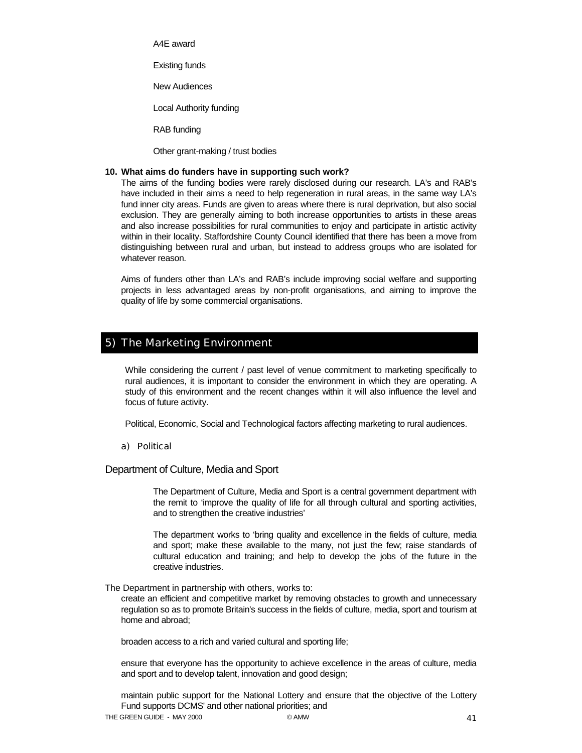A4E award

Existing funds

New Audiences

Local Authority funding

RAB funding

Other grant-making / trust bodies

#### **10. What aims do funders have in supporting such work?**

The aims of the funding bodies were rarely disclosed during our research. LA's and RAB's have included in their aims a need to help regeneration in rural areas, in the same way LA's fund inner city areas. Funds are given to areas where there is rural deprivation, but also social exclusion. They are generally aiming to both increase opportunities to artists in these areas and also increase possibilities for rural communities to enjoy and participate in artistic activity within in their locality. Staffordshire County Council identified that there has been a move from distinguishing between rural and urban, but instead to address groups who are isolated for whatever reason.

Aims of funders other than LA's and RAB's include improving social welfare and supporting projects in less advantaged areas by non-profit organisations, and aiming to improve the quality of life by some commercial organisations.

### 5) The Marketing Environment

While considering the current / past level of venue commitment to marketing specifically to rural audiences, it is important to consider the environment in which they are operating. A study of this environment and the recent changes within it will also influence the level and focus of future activity.

Political, Economic, Social and Technological factors affecting marketing to rural audiences.

#### a) Political

Department of Culture, Media and Sport

The Department of Culture, Media and Sport is a central government department with the remit to 'improve the quality of life for all through cultural and sporting activities, and to strengthen the creative industries'

The department works to 'bring quality and excellence in the fields of culture, media and sport; make these available to the many, not just the few; raise standards of cultural education and training; and help to develop the jobs of the future in the creative industries.

The Department in partnership with others, works to:

create an efficient and competitive market by removing obstacles to growth and unnecessary regulation so as to promote Britain's success in the fields of culture, media, sport and tourism at home and abroad;

broaden access to a rich and varied cultural and sporting life;

ensure that everyone has the opportunity to achieve excellence in the areas of culture, media and sport and to develop talent, innovation and good design;

maintain public support for the National Lottery and ensure that the objective of the Lottery Fund supports DCMS' and other national priorities; and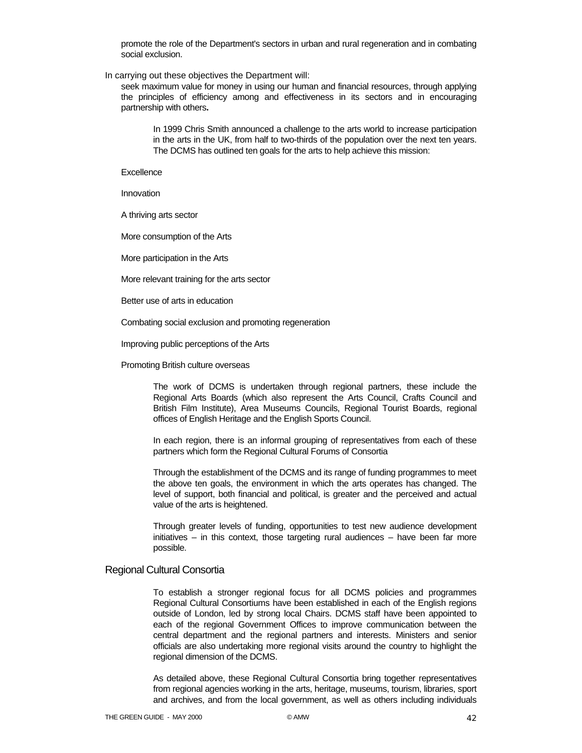promote the role of the Department's sectors in urban and rural regeneration and in combating social exclusion.

In carrying out these objectives the Department will:

seek maximum value for money in using our human and financial resources, through applying the principles of efficiency among and effectiveness in its sectors and in encouraging partnership with others**.** 

In 1999 Chris Smith announced a challenge to the arts world to increase participation in the arts in the UK, from half to two-thirds of the population over the next ten years. The DCMS has outlined ten goals for the arts to help achieve this mission:

**Excellence** 

Innovation

A thriving arts sector

More consumption of the Arts

More participation in the Arts

More relevant training for the arts sector

Better use of arts in education

Combating social exclusion and promoting regeneration

Improving public perceptions of the Arts

Promoting British culture overseas

The work of DCMS is undertaken through regional partners, these include the Regional Arts Boards (which also represent the Arts Council, Crafts Council and British Film Institute), Area Museums Councils, Regional Tourist Boards, regional offices of English Heritage and the English Sports Council.

In each region, there is an informal grouping of representatives from each of these partners which form the Regional Cultural Forums of Consortia

Through the establishment of the DCMS and its range of funding programmes to meet the above ten goals, the environment in which the arts operates has changed. The level of support, both financial and political, is greater and the perceived and actual value of the arts is heightened.

Through greater levels of funding, opportunities to test new audience development initiatives – in this context, those targeting rural audiences – have been far more possible.

#### Regional Cultural Consortia

To establish a stronger regional focus for all DCMS policies and programmes Regional Cultural Consortiums have been established in each of the English regions outside of London, led by strong local Chairs. DCMS staff have been appointed to each of the regional Government Offices to improve communication between the central department and the regional partners and interests. Ministers and senior officials are also undertaking more regional visits around the country to highlight the regional dimension of the DCMS.

As detailed above, these Regional Cultural Consortia bring together representatives from regional agencies working in the arts, heritage, museums, tourism, libraries, sport and archives, and from the local government, as well as others including individuals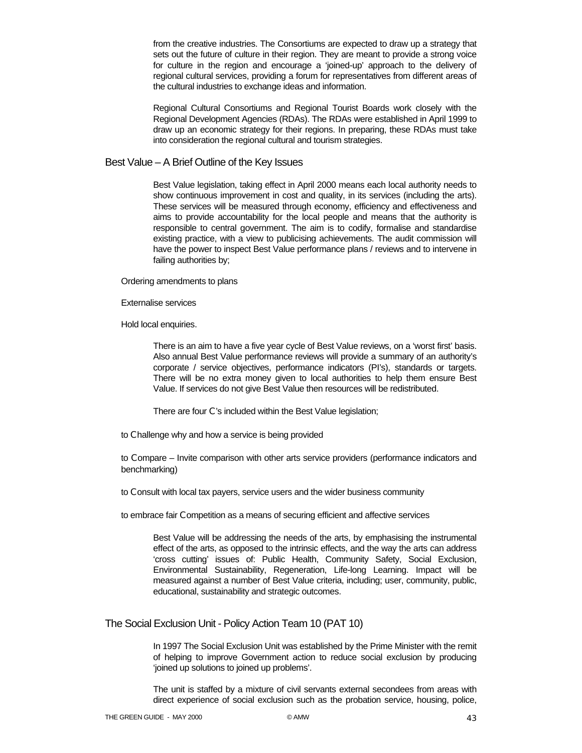from the creative industries. The Consortiums are expected to draw up a strategy that sets out the future of culture in their region. They are meant to provide a strong voice for culture in the region and encourage a 'joined-up' approach to the delivery of regional cultural services, providing a forum for representatives from different areas of the cultural industries to exchange ideas and information.

Regional Cultural Consortiums and Regional Tourist Boards work closely with the Regional Development Agencies (RDAs). The RDAs were established in April 1999 to draw up an economic strategy for their regions. In preparing, these RDAs must take into consideration the regional cultural and tourism strategies.

Best Value – A Brief Outline of the Key Issues

Best Value legislation, taking effect in April 2000 means each local authority needs to show continuous improvement in cost and quality, in its services (including the arts). These services will be measured through economy, efficiency and effectiveness and aims to provide accountability for the local people and means that the authority is responsible to central government. The aim is to codify, formalise and standardise existing practice, with a view to publicising achievements. The audit commission will have the power to inspect Best Value performance plans / reviews and to intervene in failing authorities by;

Ordering amendments to plans

Externalise services

Hold local enquiries.

There is an aim to have a five year cycle of Best Value reviews, on a 'worst first' basis. Also annual Best Value performance reviews will provide a summary of an authority's corporate / service objectives, performance indicators (PI's), standards or targets. There will be no extra money given to local authorities to help them ensure Best Value. If services do not give Best Value then resources will be redistributed.

There are four C's included within the Best Value legislation;

to Challenge why and how a service is being provided

to Compare – Invite comparison with other arts service providers (performance indicators and benchmarking)

to Consult with local tax payers, service users and the wider business community

to embrace fair Competition as a means of securing efficient and affective services

Best Value will be addressing the needs of the arts, by emphasising the instrumental effect of the arts, as opposed to the intrinsic effects, and the way the arts can address 'cross cutting' issues of: Public Health, Community Safety, Social Exclusion, Environmental Sustainability, Regeneration, Life-long Learning. Impact will be measured against a number of Best Value criteria, including; user, community, public, educational, sustainability and strategic outcomes.

The Social Exclusion Unit - Policy Action Team 10 (PAT 10)

In 1997 The Social Exclusion Unit was established by the Prime Minister with the remit of helping to improve Government action to reduce social exclusion by producing 'joined up solutions to joined up problems'.

The unit is staffed by a mixture of civil servants external secondees from areas with direct experience of social exclusion such as the probation service, housing, police,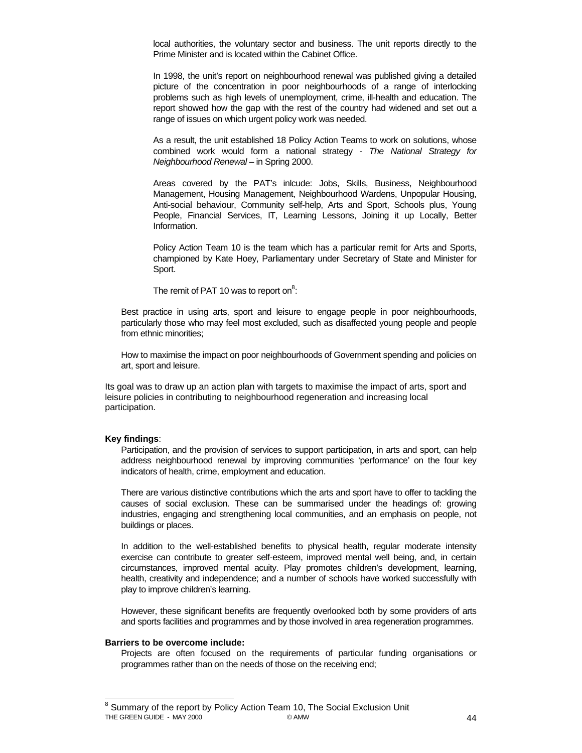local authorities, the voluntary sector and business. The unit reports directly to the Prime Minister and is located within the Cabinet Office.

In 1998, the unit's report on neighbourhood renewal was published giving a detailed picture of the concentration in poor neighbourhoods of a range of interlocking problems such as high levels of unemployment, crime, ill-health and education. The report showed how the gap with the rest of the country had widened and set out a range of issues on which urgent policy work was needed.

As a result, the unit established 18 Policy Action Teams to work on solutions, whose combined work would form a national strategy - *The National Strategy for Neighbourhood Renewal* – in Spring 2000.

Areas covered by the PAT's inlcude: Jobs, Skills, Business, Neighbourhood Management, Housing Management, Neighbourhood Wardens, Unpopular Housing, Anti-social behaviour, Community self-help, Arts and Sport, Schools plus, Young People, Financial Services, IT, Learning Lessons, Joining it up Locally, Better Information.

Policy Action Team 10 is the team which has a particular remit for Arts and Sports, championed by Kate Hoey, Parliamentary under Secretary of State and Minister for Sport.

The remit of PAT 10 was to report on $8$ :

Best practice in using arts, sport and leisure to engage people in poor neighbourhoods, particularly those who may feel most excluded, such as disaffected young people and people from ethnic minorities;

How to maximise the impact on poor neighbourhoods of Government spending and policies on art, sport and leisure.

Its goal was to draw up an action plan with targets to maximise the impact of arts, sport and leisure policies in contributing to neighbourhood regeneration and increasing local participation.

#### **Key findings**:

Participation, and the provision of services to support participation, in arts and sport, can help address neighbourhood renewal by improving communities 'performance' on the four key indicators of health, crime, employment and education.

There are various distinctive contributions which the arts and sport have to offer to tackling the causes of social exclusion. These can be summarised under the headings of: growing industries, engaging and strengthening local communities, and an emphasis on people, not buildings or places.

In addition to the well-established benefits to physical health, regular moderate intensity exercise can contribute to greater self-esteem, improved mental well being, and, in certain circumstances, improved mental acuity. Play promotes children's development, learning, health, creativity and independence; and a number of schools have worked successfully with play to improve children's learning.

However, these significant benefits are frequently overlooked both by some providers of arts and sports facilities and programmes and by those involved in area regeneration programmes.

#### **Barriers to be overcome include:**

Projects are often focused on the requirements of particular funding organisations or programmes rather than on the needs of those on the receiving end;

THE GREEN GUIDE - MAY 2000 **CAMW** 6 AMW 6 AMW 44 <sup>8</sup> Summary of the report by Policy Action Team 10, The Social Exclusion Unit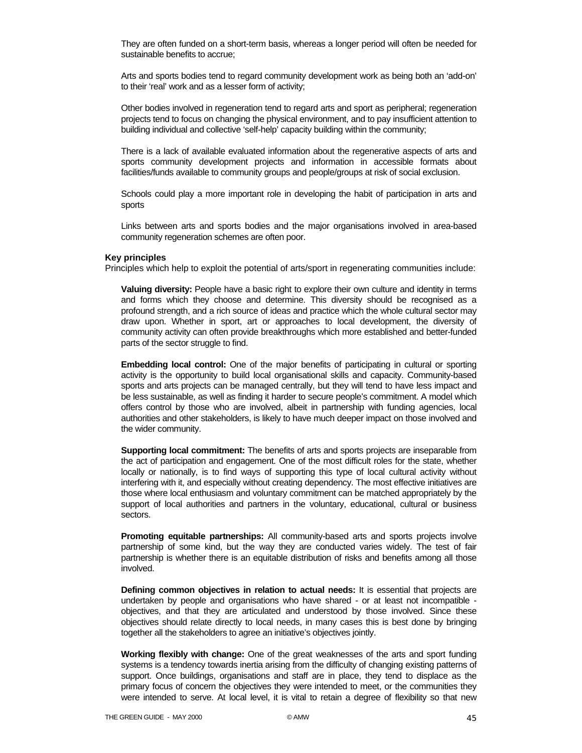They are often funded on a short-term basis, whereas a longer period will often be needed for sustainable benefits to accrue;

Arts and sports bodies tend to regard community development work as being both an 'add-on' to their 'real' work and as a lesser form of activity;

Other bodies involved in regeneration tend to regard arts and sport as peripheral; regeneration projects tend to focus on changing the physical environment, and to pay insufficient attention to building individual and collective 'self-help' capacity building within the community;

There is a lack of available evaluated information about the regenerative aspects of arts and sports community development projects and information in accessible formats about facilities/funds available to community groups and people/groups at risk of social exclusion.

Schools could play a more important role in developing the habit of participation in arts and sports

Links between arts and sports bodies and the major organisations involved in area-based community regeneration schemes are often poor.

#### **Key principles**

Principles which help to exploit the potential of arts/sport in regenerating communities include:

**Valuing diversity:** People have a basic right to explore their own culture and identity in terms and forms which they choose and determine. This diversity should be recognised as a profound strength, and a rich source of ideas and practice which the whole cultural sector may draw upon. Whether in sport, art or approaches to local development, the diversity of community activity can often provide breakthroughs which more established and better-funded parts of the sector struggle to find.

**Embedding local control:** One of the major benefits of participating in cultural or sporting activity is the opportunity to build local organisational skills and capacity. Community-based sports and arts projects can be managed centrally, but they will tend to have less impact and be less sustainable, as well as finding it harder to secure people's commitment. A model which offers control by those who are involved, albeit in partnership with funding agencies, local authorities and other stakeholders, is likely to have much deeper impact on those involved and the wider community.

**Supporting local commitment:** The benefits of arts and sports projects are inseparable from the act of participation and engagement. One of the most difficult roles for the state, whether locally or nationally, is to find ways of supporting this type of local cultural activity without interfering with it, and especially without creating dependency. The most effective initiatives are those where local enthusiasm and voluntary commitment can be matched appropriately by the support of local authorities and partners in the voluntary, educational, cultural or business sectors.

**Promoting equitable partnerships:** All community-based arts and sports projects involve partnership of some kind, but the way they are conducted varies widely. The test of fair partnership is whether there is an equitable distribution of risks and benefits among all those involved.

**Defining common objectives in relation to actual needs:** It is essential that projects are undertaken by people and organisations who have shared - or at least not incompatible objectives, and that they are articulated and understood by those involved. Since these objectives should relate directly to local needs, in many cases this is best done by bringing together all the stakeholders to agree an initiative's objectives jointly.

**Working flexibly with change:** One of the great weaknesses of the arts and sport funding systems is a tendency towards inertia arising from the difficulty of changing existing patterns of support. Once buildings, organisations and staff are in place, they tend to displace as the primary focus of concern the objectives they were intended to meet, or the communities they were intended to serve. At local level, it is vital to retain a degree of flexibility so that new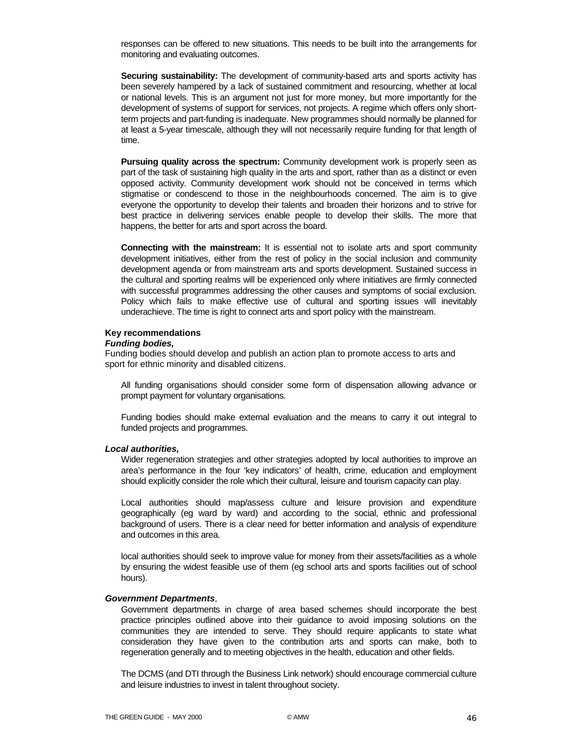responses can be offered to new situations. This needs to be built into the arrangements for monitoring and evaluating outcomes.

**Securing sustainability:** The development of community-based arts and sports activity has been severely hampered by a lack of sustained commitment and resourcing, whether at local or national levels. This is an argument not just for more money, but more importantly for the development of systems of support for services, not projects. A regime which offers only shortterm projects and part-funding is inadequate. New programmes should normally be planned for at least a 5-year timescale, although they will not necessarily require funding for that length of time.

**Pursuing quality across the spectrum:** Community development work is properly seen as part of the task of sustaining high quality in the arts and sport, rather than as a distinct or even opposed activity. Community development work should not be conceived in terms which stigmatise or condescend to those in the neighbourhoods concerned. The aim is to give everyone the opportunity to develop their talents and broaden their horizons and to strive for best practice in delivering services enable people to develop their skills. The more that happens, the better for arts and sport across the board.

**Connecting with the mainstream:** It is essential not to isolate arts and sport community development initiatives, either from the rest of policy in the social inclusion and community development agenda or from mainstream arts and sports development. Sustained success in the cultural and sporting realms will be experienced only where initiatives are firmly connected with successful programmes addressing the other causes and symptoms of social exclusion. Policy which fails to make effective use of cultural and sporting issues will inevitably underachieve. The time is right to connect arts and sport policy with the mainstream.

#### **Key recommendations**

#### *Funding bodies,*

Funding bodies should develop and publish an action plan to promote access to arts and sport for ethnic minority and disabled citizens.

All funding organisations should consider some form of dispensation allowing advance or prompt payment for voluntary organisations.

Funding bodies should make external evaluation and the means to carry it out integral to funded projects and programmes.

#### *Local authorities,*

Wider regeneration strategies and other strategies adopted by local authorities to improve an area's performance in the four 'key indicators' of health, crime, education and employment should explicitly consider the role which their cultural, leisure and tourism capacity can play.

Local authorities should map/assess culture and leisure provision and expenditure geographically (eg ward by ward) and according to the social, ethnic and professional background of users. There is a clear need for better information and analysis of expenditure and outcomes in this area.

local authorities should seek to improve value for money from their assets/facilities as a whole by ensuring the widest feasible use of them (eg school arts and sports facilities out of school hours).

#### *Government Departments*,

Government departments in charge of area based schemes should incorporate the best practice principles outlined above into their guidance to avoid imposing solutions on the communities they are intended to serve. They should require applicants to state what consideration they have given to the contribution arts and sports can make, both to regeneration generally and to meeting objectives in the health, education and other fields.

The DCMS (and DTI through the Business Link network) should encourage commercial culture and leisure industries to invest in talent throughout society.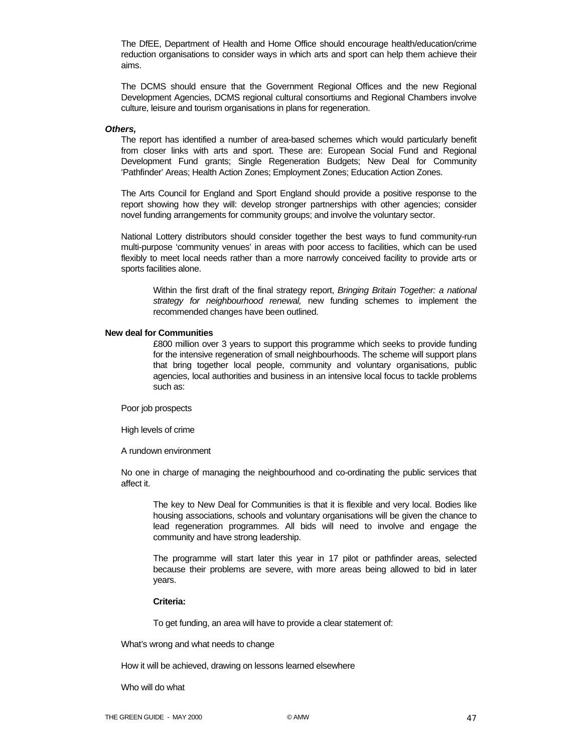The DfEE, Department of Health and Home Office should encourage health/education/crime reduction organisations to consider ways in which arts and sport can help them achieve their aims.

The DCMS should ensure that the Government Regional Offices and the new Regional Development Agencies, DCMS regional cultural consortiums and Regional Chambers involve culture, leisure and tourism organisations in plans for regeneration.

#### *Others,*

The report has identified a number of area-based schemes which would particularly benefit from closer links with arts and sport. These are: European Social Fund and Regional Development Fund grants; Single Regeneration Budgets; New Deal for Community 'Pathfinder' Areas; Health Action Zones; Employment Zones; Education Action Zones.

The Arts Council for England and Sport England should provide a positive response to the report showing how they will: develop stronger partnerships with other agencies; consider novel funding arrangements for community groups; and involve the voluntary sector.

National Lottery distributors should consider together the best ways to fund community-run multi-purpose 'community venues' in areas with poor access to facilities, which can be used flexibly to meet local needs rather than a more narrowly conceived facility to provide arts or sports facilities alone.

Within the first draft of the final strategy report, *Bringing Britain Together: a national strategy for neighbourhood renewal,* new funding schemes to implement the recommended changes have been outlined.

#### **New deal for Communities**

£800 million over 3 years to support this programme which seeks to provide funding for the intensive regeneration of small neighbourhoods. The scheme will support plans that bring together local people, community and voluntary organisations, public agencies, local authorities and business in an intensive local focus to tackle problems such as:

Poor job prospects

High levels of crime

A rundown environment

No one in charge of managing the neighbourhood and co-ordinating the public services that affect it.

The key to New Deal for Communities is that it is flexible and very local. Bodies like housing associations, schools and voluntary organisations will be given the chance to lead regeneration programmes. All bids will need to involve and engage the community and have strong leadership.

The programme will start later this year in 17 pilot or pathfinder areas, selected because their problems are severe, with more areas being allowed to bid in later years.

### **Criteria:**

To get funding, an area will have to provide a clear statement of:

What's wrong and what needs to change

How it will be achieved, drawing on lessons learned elsewhere

Who will do what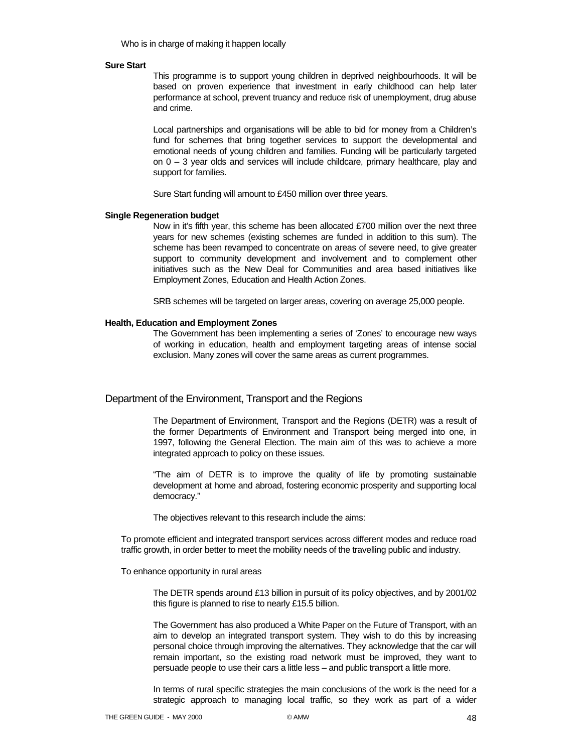Who is in charge of making it happen locally

#### **Sure Start**

This programme is to support young children in deprived neighbourhoods. It will be based on proven experience that investment in early childhood can help later performance at school, prevent truancy and reduce risk of unemployment, drug abuse and crime.

Local partnerships and organisations will be able to bid for money from a Children's fund for schemes that bring together services to support the developmental and emotional needs of young children and families. Funding will be particularly targeted on 0 – 3 year olds and services will include childcare, primary healthcare, play and support for families.

Sure Start funding will amount to £450 million over three years.

#### **Single Regeneration budget**

Now in it's fifth year, this scheme has been allocated £700 million over the next three years for new schemes (existing schemes are funded in addition to this sum). The scheme has been revamped to concentrate on areas of severe need, to give greater support to community development and involvement and to complement other initiatives such as the New Deal for Communities and area based initiatives like Employment Zones, Education and Health Action Zones.

SRB schemes will be targeted on larger areas, covering on average 25,000 people.

#### **Health, Education and Employment Zones**

The Government has been implementing a series of 'Zones' to encourage new ways of working in education, health and employment targeting areas of intense social exclusion. Many zones will cover the same areas as current programmes.

#### Department of the Environment, Transport and the Regions

The Department of Environment, Transport and the Regions (DETR) was a result of the former Departments of Environment and Transport being merged into one, in 1997, following the General Election. The main aim of this was to achieve a more integrated approach to policy on these issues.

"The aim of DETR is to improve the quality of life by promoting sustainable development at home and abroad, fostering economic prosperity and supporting local democracy."

The objectives relevant to this research include the aims:

To promote efficient and integrated transport services across different modes and reduce road traffic growth, in order better to meet the mobility needs of the travelling public and industry.

To enhance opportunity in rural areas

The DETR spends around £13 billion in pursuit of its policy objectives, and by 2001/02 this figure is planned to rise to nearly £15.5 billion.

The Government has also produced a White Paper on the Future of Transport, with an aim to develop an integrated transport system. They wish to do this by increasing personal choice through improving the alternatives. They acknowledge that the car will remain important, so the existing road network must be improved, they want to persuade people to use their cars a little less – and public transport a little more.

In terms of rural specific strategies the main conclusions of the work is the need for a strategic approach to managing local traffic, so they work as part of a wider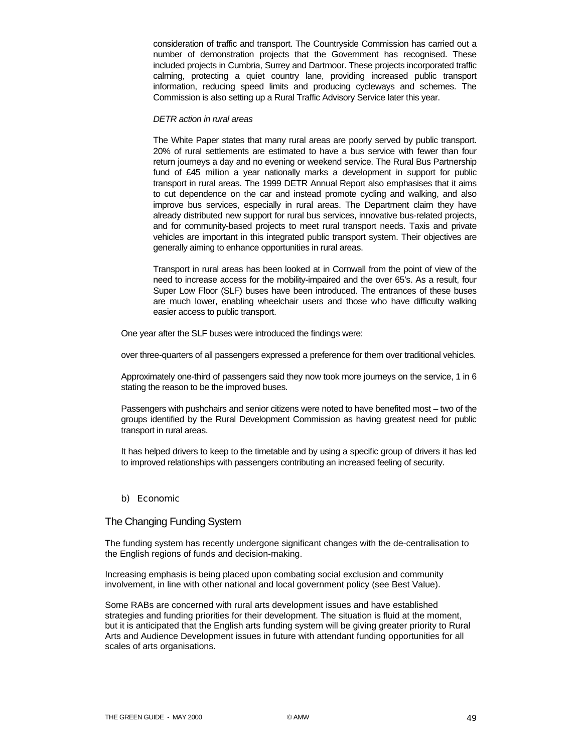consideration of traffic and transport. The Countryside Commission has carried out a number of demonstration projects that the Government has recognised. These included projects in Cumbria, Surrey and Dartmoor. These projects incorporated traffic calming, protecting a quiet country lane, providing increased public transport information, reducing speed limits and producing cycleways and schemes. The Commission is also setting up a Rural Traffic Advisory Service later this year.

#### *DETR action in rural areas*

The White Paper states that many rural areas are poorly served by public transport. 20% of rural settlements are estimated to have a bus service with fewer than four return journeys a day and no evening or weekend service. The Rural Bus Partnership fund of £45 million a year nationally marks a development in support for public transport in rural areas. The 1999 DETR Annual Report also emphasises that it aims to cut dependence on the car and instead promote cycling and walking, and also improve bus services, especially in rural areas. The Department claim they have already distributed new support for rural bus services, innovative bus-related projects, and for community-based projects to meet rural transport needs. Taxis and private vehicles are important in this integrated public transport system. Their objectives are generally aiming to enhance opportunities in rural areas.

Transport in rural areas has been looked at in Cornwall from the point of view of the need to increase access for the mobility-impaired and the over 65's. As a result, four Super Low Floor (SLF) buses have been introduced. The entrances of these buses are much lower, enabling wheelchair users and those who have difficulty walking easier access to public transport.

One year after the SLF buses were introduced the findings were:

over three-quarters of all passengers expressed a preference for them over traditional vehicles.

Approximately one-third of passengers said they now took more journeys on the service, 1 in 6 stating the reason to be the improved buses.

Passengers with pushchairs and senior citizens were noted to have benefited most – two of the groups identified by the Rural Development Commission as having greatest need for public transport in rural areas.

It has helped drivers to keep to the timetable and by using a specific group of drivers it has led to improved relationships with passengers contributing an increased feeling of security.

#### b) Economic

### The Changing Funding System

The funding system has recently undergone significant changes with the de-centralisation to the English regions of funds and decision-making.

Increasing emphasis is being placed upon combating social exclusion and community involvement, in line with other national and local government policy (see Best Value).

Some RABs are concerned with rural arts development issues and have established strategies and funding priorities for their development. The situation is fluid at the moment, but it is anticipated that the English arts funding system will be giving greater priority to Rural Arts and Audience Development issues in future with attendant funding opportunities for all scales of arts organisations.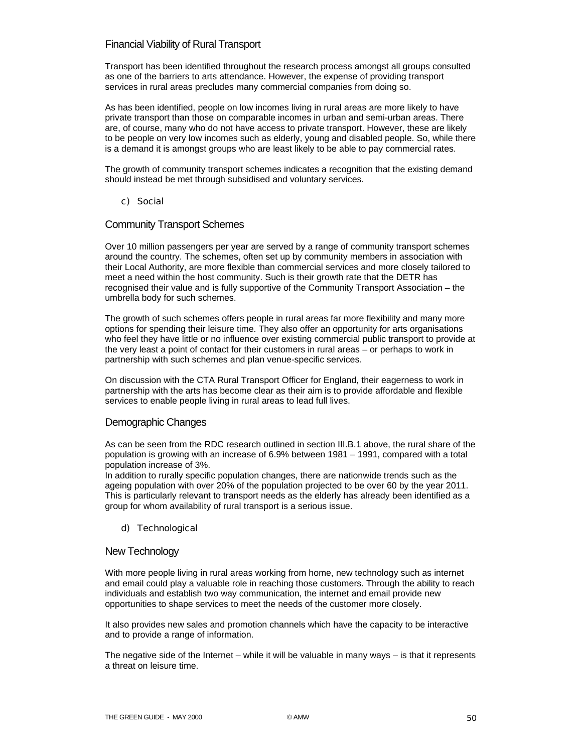### Financial Viability of Rural Transport

Transport has been identified throughout the research process amongst all groups consulted as one of the barriers to arts attendance. However, the expense of providing transport services in rural areas precludes many commercial companies from doing so.

As has been identified, people on low incomes living in rural areas are more likely to have private transport than those on comparable incomes in urban and semi-urban areas. There are, of course, many who do not have access to private transport. However, these are likely to be people on very low incomes such as elderly, young and disabled people. So, while there is a demand it is amongst groups who are least likely to be able to pay commercial rates.

The growth of community transport schemes indicates a recognition that the existing demand should instead be met through subsidised and voluntary services.

### c) Social

### Community Transport Schemes

Over 10 million passengers per year are served by a range of community transport schemes around the country. The schemes, often set up by community members in association with their Local Authority, are more flexible than commercial services and more closely tailored to meet a need within the host community. Such is their growth rate that the DETR has recognised their value and is fully supportive of the Community Transport Association – the umbrella body for such schemes.

The growth of such schemes offers people in rural areas far more flexibility and many more options for spending their leisure time. They also offer an opportunity for arts organisations who feel they have little or no influence over existing commercial public transport to provide at the very least a point of contact for their customers in rural areas – or perhaps to work in partnership with such schemes and plan venue-specific services.

On discussion with the CTA Rural Transport Officer for England, their eagerness to work in partnership with the arts has become clear as their aim is to provide affordable and flexible services to enable people living in rural areas to lead full lives.

### Demographic Changes

As can be seen from the RDC research outlined in section III.B.1 above, the rural share of the population is growing with an increase of 6.9% between 1981 – 1991, compared with a total population increase of 3%.

In addition to rurally specific population changes, there are nationwide trends such as the ageing population with over 20% of the population projected to be over 60 by the year 2011. This is particularly relevant to transport needs as the elderly has already been identified as a group for whom availability of rural transport is a serious issue.

### d) Technological

### New Technology

With more people living in rural areas working from home, new technology such as internet and email could play a valuable role in reaching those customers. Through the ability to reach individuals and establish two way communication, the internet and email provide new opportunities to shape services to meet the needs of the customer more closely.

It also provides new sales and promotion channels which have the capacity to be interactive and to provide a range of information.

The negative side of the Internet – while it will be valuable in many ways  $-$  is that it represents a threat on leisure time.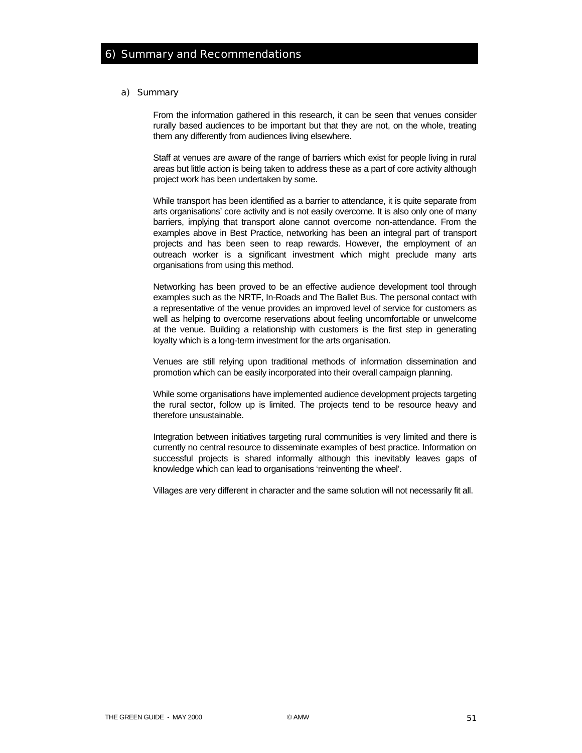#### a) Summary

From the information gathered in this research, it can be seen that venues consider rurally based audiences to be important but that they are not, on the whole, treating them any differently from audiences living elsewhere.

Staff at venues are aware of the range of barriers which exist for people living in rural areas but little action is being taken to address these as a part of core activity although project work has been undertaken by some.

While transport has been identified as a barrier to attendance, it is quite separate from arts organisations' core activity and is not easily overcome. It is also only one of many barriers, implying that transport alone cannot overcome non-attendance. From the examples above in Best Practice, networking has been an integral part of transport projects and has been seen to reap rewards. However, the employment of an outreach worker is a significant investment which might preclude many arts organisations from using this method.

Networking has been proved to be an effective audience development tool through examples such as the NRTF, In-Roads and The Ballet Bus. The personal contact with a representative of the venue provides an improved level of service for customers as well as helping to overcome reservations about feeling uncomfortable or unwelcome at the venue. Building a relationship with customers is the first step in generating loyalty which is a long-term investment for the arts organisation.

Venues are still relying upon traditional methods of information dissemination and promotion which can be easily incorporated into their overall campaign planning.

While some organisations have implemented audience development projects targeting the rural sector, follow up is limited. The projects tend to be resource heavy and therefore unsustainable.

Integration between initiatives targeting rural communities is very limited and there is currently no central resource to disseminate examples of best practice. Information on successful projects is shared informally although this inevitably leaves gaps of knowledge which can lead to organisations 'reinventing the wheel'.

Villages are very different in character and the same solution will not necessarily fit all.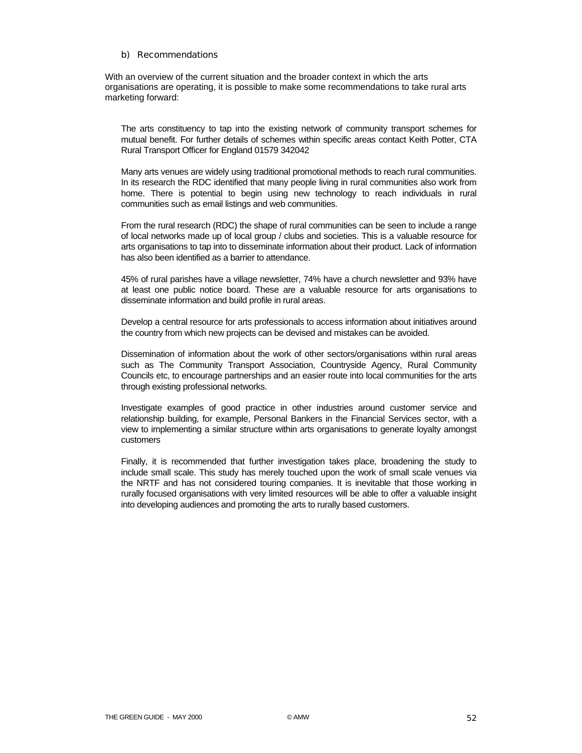### b) Recommendations

With an overview of the current situation and the broader context in which the arts organisations are operating, it is possible to make some recommendations to take rural arts marketing forward:

The arts constituency to tap into the existing network of community transport schemes for mutual benefit. For further details of schemes within specific areas contact Keith Potter, CTA Rural Transport Officer for England 01579 342042

Many arts venues are widely using traditional promotional methods to reach rural communities. In its research the RDC identified that many people living in rural communities also work from home. There is potential to begin using new technology to reach individuals in rural communities such as email listings and web communities.

From the rural research (RDC) the shape of rural communities can be seen to include a range of local networks made up of local group / clubs and societies. This is a valuable resource for arts organisations to tap into to disseminate information about their product. Lack of information has also been identified as a barrier to attendance.

45% of rural parishes have a village newsletter, 74% have a church newsletter and 93% have at least one public notice board. These are a valuable resource for arts organisations to disseminate information and build profile in rural areas.

Develop a central resource for arts professionals to access information about initiatives around the country from which new projects can be devised and mistakes can be avoided.

Dissemination of information about the work of other sectors/organisations within rural areas such as The Community Transport Association, Countryside Agency, Rural Community Councils etc, to encourage partnerships and an easier route into local communities for the arts through existing professional networks.

Investigate examples of good practice in other industries around customer service and relationship building, for example, Personal Bankers in the Financial Services sector, with a view to implementing a similar structure within arts organisations to generate loyalty amongst customers

Finally, it is recommended that further investigation takes place, broadening the study to include small scale. This study has merely touched upon the work of small scale venues via the NRTF and has not considered touring companies. It is inevitable that those working in rurally focused organisations with very limited resources will be able to offer a valuable insight into developing audiences and promoting the arts to rurally based customers.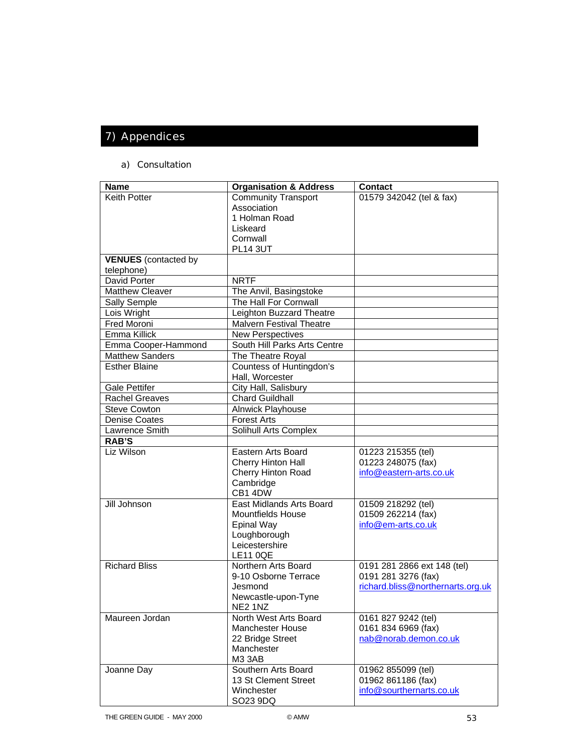# 7) Appendices

### a) Consultation

| <b>Name</b>                 | <b>Organisation &amp; Address</b> | <b>Contact</b>                    |
|-----------------------------|-----------------------------------|-----------------------------------|
| <b>Keith Potter</b>         | Community Transport               | 01579 342042 (tel & fax)          |
|                             | Association                       |                                   |
|                             | 1 Holman Road                     |                                   |
|                             | Liskeard                          |                                   |
|                             | Cornwall                          |                                   |
|                             | <b>PL14 3UT</b>                   |                                   |
| <b>VENUES</b> (contacted by |                                   |                                   |
| telephone)                  |                                   |                                   |
| David Porter                | <b>NRTF</b>                       |                                   |
| <b>Matthew Cleaver</b>      | The Anvil, Basingstoke            |                                   |
| Sally Semple                | The Hall For Cornwall             |                                   |
| Lois Wright                 | Leighton Buzzard Theatre          |                                   |
| Fred Moroni                 | <b>Malvern Festival Theatre</b>   |                                   |
| Emma Killick                | <b>New Perspectives</b>           |                                   |
| Emma Cooper-Hammond         | South Hill Parks Arts Centre      |                                   |
| <b>Matthew Sanders</b>      | The Theatre Royal                 |                                   |
| <b>Esther Blaine</b>        | Countess of Huntingdon's          |                                   |
|                             | Hall, Worcester                   |                                   |
| <b>Gale Pettifer</b>        | City Hall, Salisbury              |                                   |
| <b>Rachel Greaves</b>       | <b>Chard Guildhall</b>            |                                   |
| <b>Steve Cowton</b>         | Alnwick Playhouse                 |                                   |
| <b>Denise Coates</b>        | <b>Forest Arts</b>                |                                   |
| Lawrence Smith              | Solihull Arts Complex             |                                   |
| <b>RAB'S</b>                |                                   |                                   |
| Liz Wilson                  | Eastern Arts Board                | 01223 215355 (tel)                |
|                             | Cherry Hinton Hall                | 01223 248075 (fax)                |
|                             | <b>Cherry Hinton Road</b>         | info@eastern-arts.co.uk           |
|                             | Cambridge                         |                                   |
|                             | CB1 4DW                           |                                   |
| Jill Johnson                | <b>East Midlands Arts Board</b>   | 01509 218292 (tel)                |
|                             | <b>Mountfields House</b>          | 01509 262214 (fax)                |
|                             | <b>Epinal Way</b>                 | info@em-arts.co.uk                |
|                             | Loughborough                      |                                   |
|                             | Leicestershire                    |                                   |
|                             | <b>LE11 0QE</b>                   |                                   |
| <b>Richard Bliss</b>        | Northern Arts Board               | 0191 281 2866 ext 148 (tel)       |
|                             | 9-10 Osborne Terrace              | 0191 281 3276 (fax)               |
|                             | Jesmond                           | richard.bliss@northernarts.org.uk |
|                             | Newcastle-upon-Tyne               |                                   |
|                             | NE2 1NZ                           |                                   |
| Maureen Jordan              | North West Arts Board             | 0161 827 9242 (tel)               |
|                             | <b>Manchester House</b>           | 0161 834 6969 (fax)               |
|                             | 22 Bridge Street                  | nab@norab.demon.co.uk             |
|                             | Manchester                        |                                   |
|                             | M3 3AB                            |                                   |
| Joanne Day                  | Southern Arts Board               | 01962 855099 (tel)                |
|                             | 13 St Clement Street              | 01962 861186 (fax)                |
|                             | Winchester                        | info@sourthernarts.co.uk          |
|                             | SO23 9DQ                          |                                   |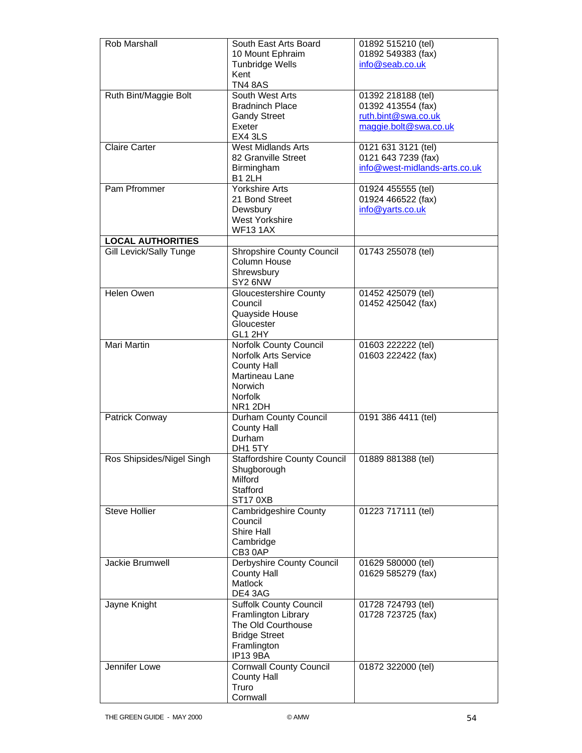| <b>Rob Marshall</b>            | South East Arts Board               | 01892 515210 (tel)            |
|--------------------------------|-------------------------------------|-------------------------------|
|                                | 10 Mount Ephraim                    | 01892 549383 (fax)            |
|                                | <b>Tunbridge Wells</b>              | info@seab.co.uk               |
|                                | Kent                                |                               |
|                                | TN4 8AS                             |                               |
| Ruth Bint/Maggie Bolt          | South West Arts                     | 01392 218188 (tel)            |
|                                | <b>Bradninch Place</b>              | 01392 413554 (fax)            |
|                                | <b>Gandy Street</b>                 | ruth.bint@swa.co.uk           |
|                                | Exeter                              | maggie.bolt@swa.co.uk         |
|                                | EX4 3LS                             |                               |
| <b>Claire Carter</b>           | <b>West Midlands Arts</b>           | 0121 631 3121 (tel)           |
|                                | 82 Granville Street                 | 0121 643 7239 (fax)           |
|                                | Birmingham                          | info@west-midlands-arts.co.uk |
|                                | <b>B1 2LH</b>                       |                               |
| Pam Pfrommer                   | <b>Yorkshire Arts</b>               | 01924 455555 (tel)            |
|                                | 21 Bond Street                      | 01924 466522 (fax)            |
|                                | Dewsbury                            | info@yarts.co.uk              |
|                                | <b>West Yorkshire</b>               |                               |
|                                | <b>WF13 1AX</b>                     |                               |
| <b>LOCAL AUTHORITIES</b>       |                                     |                               |
| <b>Gill Levick/Sally Tunge</b> | <b>Shropshire County Council</b>    | 01743 255078 (tel)            |
|                                | Column House                        |                               |
|                                | Shrewsbury                          |                               |
|                                | SY2 6NW                             |                               |
| Helen Owen                     | <b>Gloucestershire County</b>       | 01452 425079 (tel)            |
|                                | Council                             | 01452 425042 (fax)            |
|                                |                                     |                               |
|                                | Quayside House                      |                               |
|                                | Gloucester                          |                               |
|                                | GL1 2HY                             |                               |
| Mari Martin                    | Norfolk County Council              | 01603 222222 (tel)            |
|                                | <b>Norfolk Arts Service</b>         | 01603 222422 (fax)            |
|                                | <b>County Hall</b>                  |                               |
|                                | Martineau Lane                      |                               |
|                                | <b>Norwich</b>                      |                               |
|                                | <b>Norfolk</b>                      |                               |
|                                | NR1 2DH                             |                               |
| Patrick Conway                 | Durham County Council               | 0191 386 4411 (tel)           |
|                                | <b>County Hall</b>                  |                               |
|                                | Durham                              |                               |
|                                | DH1 5TY                             |                               |
| Ros Shipsides/Nigel Singh      | <b>Staffordshire County Council</b> | 01889 881388 (tel)            |
|                                | Shugborough                         |                               |
|                                | Milford                             |                               |
|                                | Stafford                            |                               |
|                                | ST170XB                             |                               |
| <b>Steve Hollier</b>           | Cambridgeshire County               | 01223 717111 (tel)            |
|                                | Council                             |                               |
|                                | Shire Hall                          |                               |
|                                | Cambridge                           |                               |
|                                | CB30AP                              |                               |
| Jackie Brumwell                | Derbyshire County Council           | 01629 580000 (tel)            |
|                                | <b>County Hall</b>                  | 01629 585279 (fax)            |
|                                | <b>Matlock</b>                      |                               |
|                                | DE4 3AG                             |                               |
| Jayne Knight                   | <b>Suffolk County Council</b>       | 01728 724793 (tel)            |
|                                | Framlington Library                 | 01728 723725 (fax)            |
|                                | The Old Courthouse                  |                               |
|                                | <b>Bridge Street</b>                |                               |
|                                | Framlington                         |                               |
|                                | IP13 9BA                            |                               |
| Jennifer Lowe                  | <b>Cornwall County Council</b>      | 01872 322000 (tel)            |
|                                | <b>County Hall</b>                  |                               |
|                                | Truro                               |                               |
|                                | Cornwall                            |                               |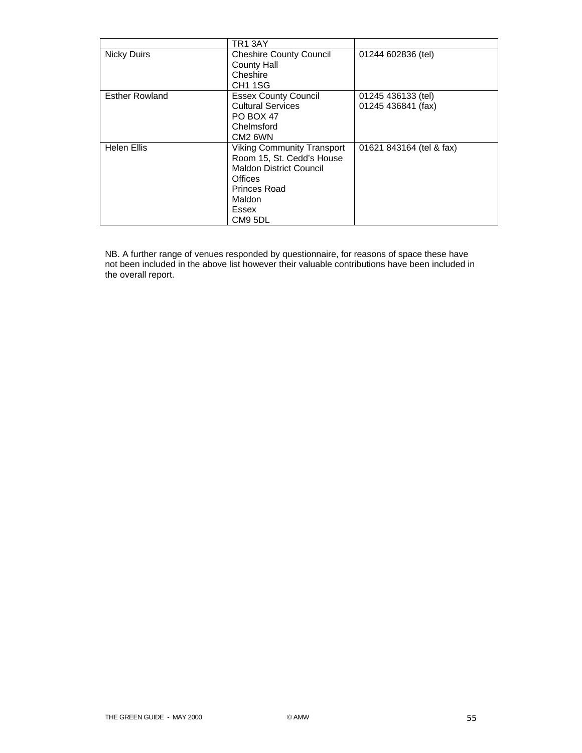|                       | TR1 3AY                           |                          |
|-----------------------|-----------------------------------|--------------------------|
| <b>Nicky Duirs</b>    | <b>Cheshire County Council</b>    | 01244 602836 (tel)       |
|                       | County Hall                       |                          |
|                       | Cheshire                          |                          |
|                       | CH <sub>1</sub> 1SG               |                          |
| <b>Esther Rowland</b> | <b>Essex County Council</b>       | 01245 436133 (tel)       |
|                       | <b>Cultural Services</b>          | 01245 436841 (fax)       |
|                       | PO BOX 47                         |                          |
|                       | Chelmsford                        |                          |
|                       | CM <sub>2</sub> 6WN               |                          |
| <b>Helen Ellis</b>    | <b>Viking Community Transport</b> | 01621 843164 (tel & fax) |
|                       | Room 15, St. Cedd's House         |                          |
|                       | <b>Maldon District Council</b>    |                          |
|                       | Offices                           |                          |
|                       | Princes Road                      |                          |
|                       | Maldon                            |                          |
|                       | Essex                             |                          |
|                       | CM9 5DL                           |                          |

NB. A further range of venues responded by questionnaire, for reasons of space these have not been included in the above list however their valuable contributions have been included in the overall report.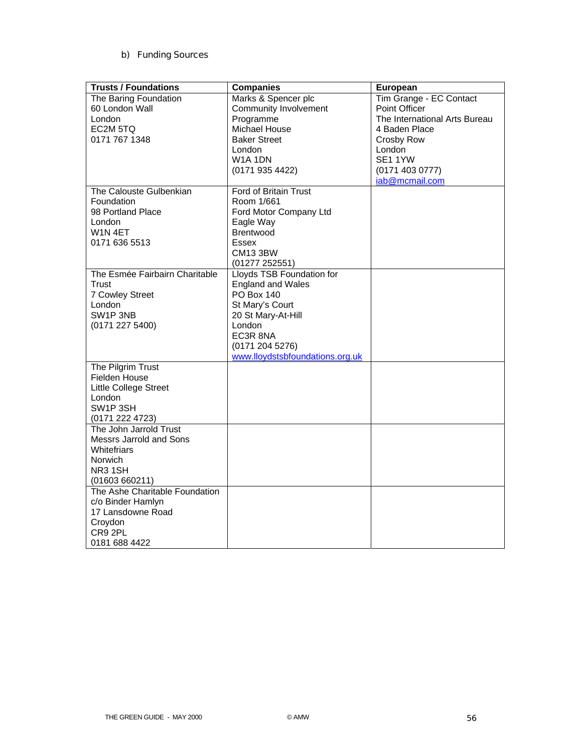### b) Funding Sources

| <b>Trusts / Foundations</b>               | <b>Companies</b>                | European                      |
|-------------------------------------------|---------------------------------|-------------------------------|
| The Baring Foundation                     | Marks & Spencer plc             | Tim Grange - EC Contact       |
| 60 London Wall                            | <b>Community Involvement</b>    | Point Officer                 |
| London                                    | Programme                       | The International Arts Bureau |
| EC2M 5TQ                                  | <b>Michael House</b>            | 4 Baden Place                 |
| 0171 767 1348                             | <b>Baker Street</b>             | Crosby Row                    |
|                                           | London                          | London                        |
|                                           | W1A 1DN                         | SE11YW                        |
|                                           | (0171 935 4422)                 | (01714030777)                 |
|                                           |                                 | iab@mcmail.com                |
| The Calouste Gulbenkian                   | Ford of Britain Trust           |                               |
| Foundation                                | Room 1/661                      |                               |
| 98 Portland Place                         | Ford Motor Company Ltd          |                               |
| London                                    | Eagle Way                       |                               |
| W <sub>1</sub> N <sub>4ET</sub>           | <b>Brentwood</b>                |                               |
| 0171 636 5513                             | Essex                           |                               |
|                                           | <b>CM13 3BW</b>                 |                               |
|                                           | (01277252551)                   |                               |
| The Esmée Fairbairn Charitable            | Lloyds TSB Foundation for       |                               |
| Trust                                     | <b>England and Wales</b>        |                               |
| 7 Cowley Street                           | <b>PO Box 140</b>               |                               |
| London                                    | St Mary's Court                 |                               |
| SW1P 3NB                                  | 20 St Mary-At-Hill              |                               |
| (0171 227 5400)                           | London                          |                               |
|                                           | EC3R 8NA                        |                               |
|                                           | (01712045276)                   |                               |
|                                           | www.lloydstsbfoundations.org.uk |                               |
| The Pilgrim Trust                         |                                 |                               |
| <b>Fielden House</b>                      |                                 |                               |
| Little College Street                     |                                 |                               |
| London                                    |                                 |                               |
| SW1P 3SH                                  |                                 |                               |
| (0171 222 4723)<br>The John Jarrold Trust |                                 |                               |
| Messrs Jarrold and Sons                   |                                 |                               |
| <b>Whitefriars</b>                        |                                 |                               |
|                                           |                                 |                               |
| Norwich<br>NR31SH                         |                                 |                               |
| (01603660211)                             |                                 |                               |
| The Ashe Charitable Foundation            |                                 |                               |
| c/o Binder Hamlyn                         |                                 |                               |
| 17 Lansdowne Road                         |                                 |                               |
| Croydon                                   |                                 |                               |
| CR9 2PL                                   |                                 |                               |
| 0181 688 4422                             |                                 |                               |